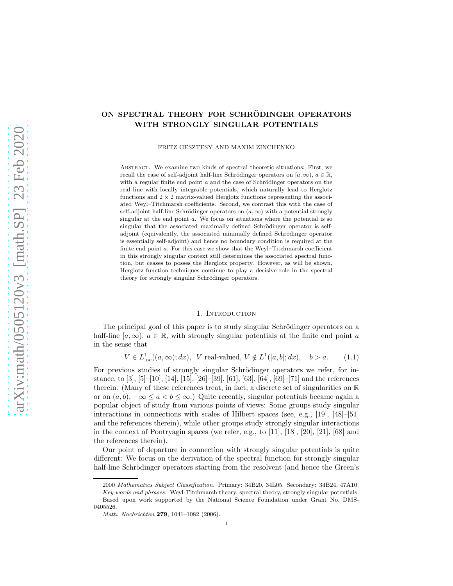# ON SPECTRAL THEORY FOR SCHRÖDINGER OPERATORS WITH STRONGLY SINGULAR POTENTIALS

FRITZ GESZTESY AND MAXIM ZINCHENKO

ABSTRACT. We examine two kinds of spectral theoretic situations: First, we recall the case of self-adjoint half-line Schrödinger operators on  $[a,\infty), a \in \mathbb{R}$ , with a regular finite end point  $a$  and the case of Schrödinger operators on the real line with locally integrable potentials, which naturally lead to Herglotz functions and  $2 \times 2$  matrix-valued Herglotz functions representing the associated Weyl–Titchmarsh coefficients. Second, we contrast this with the case of self-adjoint half-line Schrödinger operators on  $(a, \infty)$  with a potential strongly singular at the end point a. We focus on situations where the potential is so singular that the associated maximally defined Schrödinger operator is selfadjoint (equivalently, the associated minimally defined Schrödinger operator is essentially self-adjoint) and hence no boundary condition is required at the finite end point  $a$ . For this case we show that the Weyl–Titchmarsh coefficient in this strongly singular context still determines the associated spectral function, but ceases to posses the Herglotz property. However, as will be shown, Herglotz function techniques continue to play a decisive role in the spectral theory for strongly singular Schrödinger operators.

### 1. INTRODUCTION

The principal goal of this paper is to study singular Schrödinger operators on a half-line  $[a,\infty), a \in \mathbb{R}$ , with strongly singular potentials at the finite end point a in the sense that

 $V \in L^1_{loc}((a,\infty);dx), \ \ V \text{ real-valued}, \ V \notin L^1([a,b];dx), \quad b > a.$  (1.1)

For previous studies of strongly singular Schrödinger operators we refer, for instance, to [3], [5]–[10], [14], [15], [26]–[39], [61], [63], [64], [69]–[71] and the references therein. (Many of these references treat, in fact, a discrete set of singularities on  $\mathbb R$ or on  $(a, b)$ ,  $-\infty \le a < b \le \infty$ .) Quite recently, singular potentials became again a popular object of study from various points of views: Some groups study singular interactions in connections with scales of Hilbert spaces (see, e.g., [19], [48]–[51] and the references therein), while other groups study strongly singular interactions in the context of Pontryagin spaces (we refer, e.g., to [11], [18], [20], [21], [68] and the references therein).

Our point of departure in connection with strongly singular potentials is quite different: We focus on the derivation of the spectral function for strongly singular half-line Schrödinger operators starting from the resolvent (and hence the Green's

<sup>2000</sup> Mathematics Subject Classification. Primary: 34B20, 34L05. Secondary: 34B24, 47A10. Key words and phrases. Weyl-Titchmarsh theory, spectral theory, strongly singular potentials. Based upon work supported by the National Science Foundation under Grant No. DMS-0405526.

Math. Nachrichten 279, 1041–1082 (2006).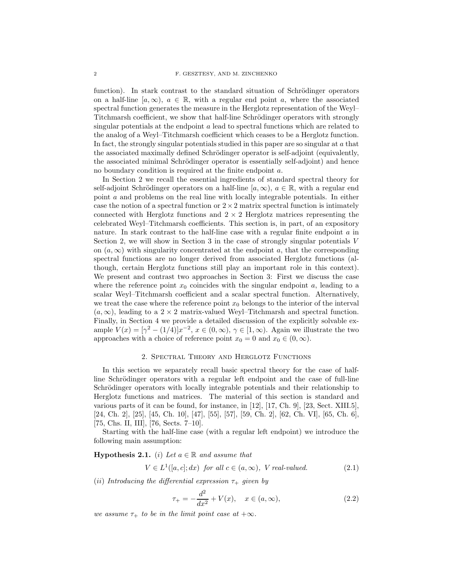function). In stark contrast to the standard situation of Schrödinger operators on a half-line  $[a, \infty), a \in \mathbb{R}$ , with a regular end point a, where the associated spectral function generates the measure in the Herglotz representation of the Weyl– Titchmarsh coefficient, we show that half-line Schrödinger operators with strongly singular potentials at the endpoint a lead to spectral functions which are related to the analog of a Weyl–Titchmarsh coefficient which ceases to be a Herglotz function. In fact, the strongly singular potentials studied in this paper are so singular at a that the associated maximally defined Schrödinger operator is self-adjoint (equivalently, the associated minimal Schrödinger operator is essentially self-adjoint) and hence no boundary condition is required at the finite endpoint a.

In Section 2 we recall the essential ingredients of standard spectral theory for self-adjoint Schrödinger operators on a half-line  $[a, \infty), a \in \mathbb{R}$ , with a regular end point a and problems on the real line with locally integrable potentials. In either case the notion of a spectral function or  $2 \times 2$  matrix spectral function is intimately connected with Herglotz functions and  $2 \times 2$  Herglotz matrices representing the celebrated Weyl–Titchmarsh coefficients. This section is, in part, of an expository nature. In stark contrast to the half-line case with a regular finite endpoint a in Section 2, we will show in Section 3 in the case of strongly singular potentials  $V$ on  $(a, \infty)$  with singularity concentrated at the endpoint a, that the corresponding spectral functions are no longer derived from associated Herglotz functions (although, certain Herglotz functions still play an important role in this context). We present and contrast two approaches in Section 3: First we discuss the case where the reference point  $x_0$  coincides with the singular endpoint  $a$ , leading to a scalar Weyl–Titchmarsh coefficient and a scalar spectral function. Alternatively, we treat the case where the reference point  $x_0$  belongs to the interior of the interval  $(a, \infty)$ , leading to a  $2 \times 2$  matrix-valued Weyl–Titchmarsh and spectral function. Finally, in Section 4 we provide a detailed discussion of the explicitly solvable example  $V(x) = [\gamma^2 - (1/4)]x^{-2}, x \in (0, \infty), \gamma \in [1, \infty)$ . Again we illustrate the two approaches with a choice of reference point  $x_0 = 0$  and  $x_0 \in (0, \infty)$ .

#### 2. Spectral Theory and Herglotz Functions

In this section we separately recall basic spectral theory for the case of halfline Schrödinger operators with a regular left endpoint and the case of full-line Schrödinger operators with locally integrable potentials and their relationship to Herglotz functions and matrices. The material of this section is standard and various parts of it can be found, for instance, in [12], [17, Ch. 9], [23, Sect. XIII.5], [24, Ch. 2], [25], [45, Ch. 10], [47], [55], [57], [59, Ch. 2], [62, Ch. VI], [65, Ch. 6], [75, Chs. II, III], [76, Sects. 7–10].

Starting with the half-line case (with a regular left endpoint) we introduce the following main assumption:

# **Hypothesis 2.1.** (i) Let  $a \in \mathbb{R}$  and assume that

$$
V \in L^{1}([a, c]; dx) \text{ for all } c \in (a, \infty), \text{ V real-valued.}
$$
 (2.1)

(ii) Introducing the differential expression  $\tau_+$  given by

$$
\tau_{+} = -\frac{d^2}{dx^2} + V(x), \quad x \in (a, \infty), \tag{2.2}
$$

we assume  $\tau_+$  to be in the limit point case at  $+\infty$ .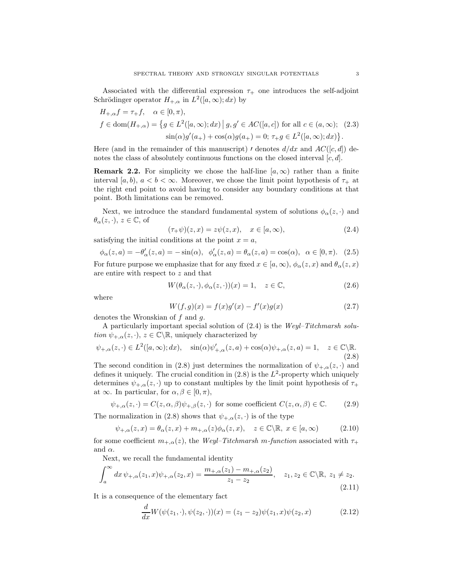Associated with the differential expression  $\tau_{+}$  one introduces the self-adjoint Schrödinger operator  $H_{+,\alpha}$  in  $L^2([a,\infty);dx)$  by

$$
H_{+,\alpha}f = \tau_{+}f, \quad \alpha \in [0, \pi),
$$
  
\n
$$
f \in \text{dom}(H_{+,\alpha}) = \{ g \in L^{2}([a,\infty); dx) \mid g, g' \in AC([a,c]) \text{ for all } c \in (a,\infty); (2.3)
$$
  
\n
$$
\sin(\alpha)g'(a_{+}) + \cos(\alpha)g(a_{+}) = 0; \ \tau_{+}g \in L^{2}([a,\infty); dx) \}.
$$

Here (and in the remainder of this manuscript) *'* denotes  $d/dx$  and  $AC([c, d])$  denotes the class of absolutely continuous functions on the closed interval  $[c, d]$ .

**Remark 2.2.** For simplicity we chose the half-line  $[a, \infty)$  rather than a finite interval [a, b),  $a < b < \infty$ . Moreover, we chose the limit point hypothesis of  $\tau_{+}$  at the right end point to avoid having to consider any boundary conditions at that point. Both limitations can be removed.

Next, we introduce the standard fundamental system of solutions  $\phi_{\alpha}(z, \cdot)$  and  $\theta_{\alpha}(z, \cdot), z \in \mathbb{C}$ , of

$$
(\tau_{+}\psi)(z,x) = z\psi(z,x), \quad x \in [a,\infty), \tag{2.4}
$$

satisfying the initial conditions at the point  $x = a$ ,

$$
\phi_{\alpha}(z,a) = -\theta_{\alpha}'(z,a) = -\sin(\alpha), \quad \phi_{\alpha}'(z,a) = \theta_{\alpha}(z,a) = \cos(\alpha), \quad \alpha \in [0, \pi). \tag{2.5}
$$

For future purpose we emphasize that for any fixed  $x \in [a, \infty)$ ,  $\phi_{\alpha}(z, x)$  and  $\theta_{\alpha}(z, x)$ are entire with respect to z and that

$$
W(\theta_{\alpha}(z,\cdot), \phi_{\alpha}(z,\cdot))(x) = 1, \quad z \in \mathbb{C}, \tag{2.6}
$$

where

$$
W(f,g)(x) = f(x)g'(x) - f'(x)g(x)
$$
\n(2.7)

denotes the Wronskian of  $f$  and  $g$ .

A particularly important special solution of (2.4) is the Weyl–Titchmarsh solution  $\psi_{+,\alpha}(z, \cdot), z \in \mathbb{C} \backslash \mathbb{R}$ , uniquely characterized by

$$
\psi_{+,\alpha}(z,\cdot) \in L^2([a,\infty);dx), \quad \sin(\alpha)\psi'_{+,\alpha}(z,a) + \cos(\alpha)\psi_{+,\alpha}(z,a) = 1, \quad z \in \mathbb{C}\backslash\mathbb{R}.
$$
\n(2.8)

The second condition in (2.8) just determines the normalization of  $\psi_{+,\alpha}(z, \cdot)$  and defines it uniquely. The crucial condition in  $(2.8)$  is the  $L^2$ -property which uniquely determines  $\psi_{+,\alpha}(z, \cdot)$  up to constant multiples by the limit point hypothesis of  $\tau_{+}$ at  $\infty$ . In particular, for  $\alpha, \beta \in [0, \pi)$ ,

$$
\psi_{+,\alpha}(z,\cdot) = C(z,\alpha,\beta)\psi_{+,\beta}(z,\cdot) \text{ for some coefficient } C(z,\alpha,\beta) \in \mathbb{C}.\tag{2.9}
$$

The normalization in (2.8) shows that  $\psi_{+,\alpha}(z, \cdot)$  is of the type

$$
\psi_{+,\alpha}(z,x) = \theta_{\alpha}(z,x) + m_{+,\alpha}(z)\phi_{\alpha}(z,x), \quad z \in \mathbb{C} \backslash \mathbb{R}, \ x \in [a,\infty)
$$
 (2.10)

for some coefficient  $m_{+\alpha}(z)$ , the Weyl–Titchmarsh m-function associated with  $\tau_{+}$ and  $\alpha$ .

Next, we recall the fundamental identity

$$
\int_{a}^{\infty} dx \, \psi_{+,\alpha}(z_1, x)\psi_{+,\alpha}(z_2, x) = \frac{m_{+,\alpha}(z_1) - m_{+,\alpha}(z_2)}{z_1 - z_2}, \quad z_1, z_2 \in \mathbb{C} \backslash \mathbb{R}, \ z_1 \neq z_2.
$$
\n(2.11)

It is a consequence of the elementary fact

$$
\frac{d}{dx}W(\psi(z_1,\cdot),\psi(z_2,\cdot))(x) = (z_1 - z_2)\psi(z_1,x)\psi(z_2,x) \tag{2.12}
$$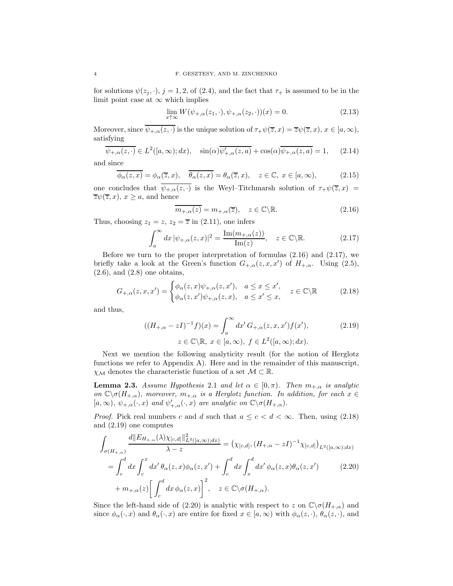for solutions  $\psi(z_j, \cdot), j = 1, 2,$  of (2.4), and the fact that  $\tau_+$  is assumed to be in the limit point case at  $\infty$  which implies

$$
\lim_{x \uparrow \infty} W(\psi_{+,\alpha}(z_1,\cdot), \psi_{+,\alpha}(z_2,\cdot))(x) = 0.
$$
\n(2.13)

Moreover, since  $\overline{\psi_{+,\alpha}(z,\cdot)}$  is the unique solution of  $\tau_+\psi(\overline{z},x)=\overline{z}\psi(\overline{z},x), x\in[a,\infty),$ satisfying

$$
\overline{\psi_{+,\alpha}(z,\cdot)} \in L^2([a,\infty);dx), \quad \sin(\alpha)\overline{\psi'_{+,\alpha}(z,a)} + \cos(\alpha)\overline{\psi_{+,\alpha}(z,a)} = 1, \quad (2.14)
$$

and since

$$
\overline{\phi_{\alpha}(z,x)} = \phi_{\alpha}(\overline{z},x), \quad \overline{\theta_{\alpha}(z,x)} = \theta_{\alpha}(\overline{z},x), \quad z \in \mathbb{C}, \ x \in [a,\infty), \tag{2.15}
$$

one concludes that  $\psi_{+,\alpha}(z, \cdot)$  is the Weyl–Titchmarsh solution of  $\tau_{+}\psi(\overline{z}, x)$  =  $\overline{z}\psi(\overline{z},x), x \geq a$ , and hence

$$
\overline{m_{+,\alpha}(z)} = m_{+,\alpha}(\overline{z}), \quad z \in \mathbb{C} \backslash \mathbb{R}.\tag{2.16}
$$

Thus, choosing  $z_1 = z$ ,  $z_2 = \overline{z}$  in (2.11), one infers

$$
\int_{a}^{\infty} dx \, |\psi_{+,\alpha}(z,x)|^2 = \frac{\text{Im}(m_{+,\alpha}(z))}{\text{Im}(z)}, \quad z \in \mathbb{C} \backslash \mathbb{R}.
$$
 (2.17)

Before we turn to the proper interpretation of formulas (2.16) and (2.17), we briefly take a look at the Green's function  $G_{+,\alpha}(z,x,x')$  of  $H_{+,\alpha}$ . Using (2.5),  $(2.6)$ , and  $(2.8)$  one obtains,

$$
G_{+,\alpha}(z,x,x') = \begin{cases} \phi_{\alpha}(z,x)\psi_{+,\alpha}(z,x'), & a \leq x \leq x', \\ \phi_{\alpha}(z,x')\psi_{+,\alpha}(z,x), & a \leq x' \leq x, \end{cases} \quad z \in \mathbb{C} \backslash \mathbb{R} \tag{2.18}
$$

and thus,

$$
((H_{+,\alpha}-zI)^{-1}f)(x) = \int_a^{\infty} dx' G_{+,\alpha}(z,x,x')f(x'),
$$
  
\n
$$
z \in \mathbb{C} \setminus \mathbb{R}, \ x \in [a,\infty), \ f \in L^2([a,\infty);dx).
$$
\n(2.19)

Next we mention the following analyticity result (for the notion of Herglotz functions we refer to Appendix A). Here and in the remainder of this manuscript,  $\chi_{\mathcal{M}}$  denotes the characteristic function of a set  $\mathcal{M} \subset \mathbb{R}$ .

**Lemma 2.3.** Assume Hypothesis 2.1 and let  $\alpha \in [0, \pi)$ . Then  $m_{+,\alpha}$  is analytic on  $\mathbb{C}\setminus\sigma(H_{+,\alpha})$ , moreover,  $m_{+,\alpha}$  is a Herglotz function. In addition, for each  $x \in$  $[a,\infty), \psi_{+,\alpha}(\cdot,x)$  and  $\psi'_{+,\alpha}(\cdot,x)$  are analytic on  $\mathbb{C}\backslash \sigma(H_{+,\alpha})$ .

*Proof.* Pick real numbers c and d such that  $a \leq c < d < \infty$ . Then, using (2.18) and (2.19) one computes

$$
\int_{\sigma(H_{+,\alpha})} \frac{d||E_{H_{+,\alpha}}(\lambda)\chi_{[c,d]}||_{L^2([a,\infty);dx)}}{\lambda-z} = (\chi_{[c,d]}, (H_{+,\alpha} - zI)^{-1}\chi_{[c,d]})_{L^2([a,\infty);dx)}
$$
\n
$$
= \int_c^d dx \int_c^x dx' \theta_\alpha(z,x)\phi_\alpha(z,x') + \int_c^d dx' \int_x^d dx' \phi_\alpha(z,x)\theta_\alpha(z,x') \qquad (2.20)
$$
\n
$$
+ m_{+,\alpha}(z) \left[ \int_c^d dx \phi_\alpha(z,x) \right]^2, \quad z \in \mathbb{C} \setminus \sigma(H_{+,\alpha}).
$$

Since the left-hand side of (2.20) is analytic with respect to z on  $\mathbb{C}\setminus\sigma(H_{+,\alpha})$  and since  $\phi_{\alpha}(\cdot, x)$  and  $\theta_{\alpha}(\cdot, x)$  are entire for fixed  $x \in [a, \infty)$  with  $\phi_{\alpha}(z, \cdot), \theta_{\alpha}(z, \cdot)$ , and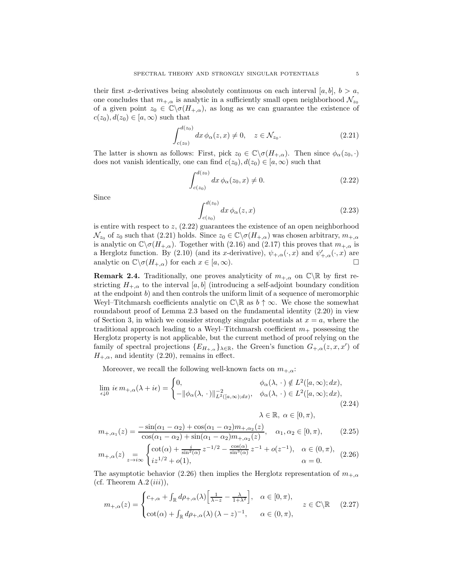their first x-derivatives being absolutely continuous on each interval  $[a, b], b > a$ , one concludes that  $m_{+,\alpha}$  is analytic in a sufficiently small open neighborhood  $\mathcal{N}_{z_0}$ of a given point  $z_0 \in \mathbb{C} \backslash \sigma(H_{+,\alpha})$ , as long as we can guarantee the existence of  $c(z_0), d(z_0) \in [a, \infty)$  such that

$$
\int_{c(z_0)}^{d(z_0)} dx \,\phi_\alpha(z,x) \neq 0, \quad z \in \mathcal{N}_{z_0}.
$$
\n(2.21)

The latter is shown as follows: First, pick  $z_0 \in \mathbb{C} \backslash \sigma(H_{+,\alpha})$ . Then since  $\phi_\alpha(z_0, \cdot)$ does not vanish identically, one can find  $c(z_0), d(z_0) \in [a, \infty)$  such that

$$
\int_{c(z_0)}^{d(z_0)} dx \, \phi_\alpha(z_0, x) \neq 0.
$$
 (2.22)

Since

$$
\int_{c(z_0)}^{d(z_0)} dx \, \phi_\alpha(z, x) \tag{2.23}
$$

is entire with respect to  $z$ ,  $(2.22)$  guarantees the existence of an open neighborhood  $\mathcal{N}_{z_0}$  of  $z_0$  such that (2.21) holds. Since  $z_0 \in \mathbb{C} \backslash \sigma(H_{+\alpha})$  was chosen arbitrary,  $m_{+\alpha}$ is analytic on  $\mathbb{C}\setminus\sigma(H_{+,\alpha})$ . Together with (2.16) and (2.17) this proves that  $m_{+,\alpha}$  is a Herglotz function. By (2.10) (and its x-derivative),  $\psi_{+,\alpha}(\cdot,x)$  and  $\psi'_{+,\alpha}(\cdot,x)$  are analytic on  $\mathbb{C}\setminus \sigma(H_{+,\alpha})$  for each  $x \in [a,\infty)$ .

**Remark 2.4.** Traditionally, one proves analyticity of  $m_{+,\alpha}$  on  $\mathbb{C}\backslash\mathbb{R}$  by first restricting  $H_{+\alpha}$  to the interval [a, b] (introducing a self-adjoint boundary condition at the endpoint  $b$ ) and then controls the uniform limit of a sequence of meromorphic Weyl–Titchmarsh coefficients analytic on  $\mathbb{C}\setminus\mathbb{R}$  as  $b \uparrow \infty$ . We chose the somewhat roundabout proof of Lemma 2.3 based on the fundamental identity  $(2.20)$  in view of Section 3, in which we consider strongly singular potentials at  $x = a$ , where the traditional approach leading to a Weyl–Titchmarsh coefficient  $m_+$  possessing the Herglotz property is not applicable, but the current method of proof relying on the family of spectral projections  $\{E_{H_{+,\alpha}}\}_{\lambda\in\mathbb{R}}$ , the Green's function  $G_{+,\alpha}(z,x,x')$  of  $H_{+,\alpha}$ , and identity (2.20), remains in effect.

Moreover, we recall the following well-known facts on  $m_{+,\alpha}$ :

$$
\lim_{\epsilon \downarrow 0} i\epsilon \, m_{+,\alpha}(\lambda + i\epsilon) = \begin{cases} 0, & \phi_{\alpha}(\lambda, \cdot) \notin L^{2}([a, \infty); dx), \\ -\|\phi_{\alpha}(\lambda, \cdot)\|_{L^{2}([a, \infty); dx)}^{-2}, & \phi_{\alpha}(\lambda, \cdot) \in L^{2}([a, \infty); dx), \end{cases}
$$
\n(2.24)

$$
\lambda\in\mathbb{R},\;\alpha\in[0,\pi),
$$

$$
m_{+,\alpha_1}(z) = \frac{-\sin(\alpha_1 - \alpha_2) + \cos(\alpha_1 - \alpha_2)m_{+,\alpha_2}(z)}{\cos(\alpha_1 - \alpha_2) + \sin(\alpha_1 - \alpha_2)m_{+,\alpha_2}(z)}, \quad \alpha_1, \alpha_2 \in [0, \pi), \tag{2.25}
$$

$$
m_{+,\alpha}(z) = \begin{cases} \cot(\alpha) + \frac{i}{\sin^2(\alpha)} z^{-1/2} - \frac{\cos(\alpha)}{\sin^3(\alpha)} z^{-1} + o(z^{-1}), & \alpha \in (0, \pi), \\ iz^{1/2} + o(1), & \alpha = 0. \end{cases}
$$
(2.26)

The asymptotic behavior (2.26) then implies the Herglotz representation of  $m_{+\alpha}$ (cf. Theorem  $A.2 (iii)$ ),

$$
m_{+,\alpha}(z) = \begin{cases} c_{+,\alpha} + \int_{\mathbb{R}} d\rho_{+,\alpha}(\lambda) \left[ \frac{1}{\lambda - z} - \frac{\lambda}{1 + \lambda^2} \right], & \alpha \in [0, \pi), \\ \cot(\alpha) + \int_{\mathbb{R}} d\rho_{+,\alpha}(\lambda) \left( \lambda - z \right)^{-1}, & \alpha \in (0, \pi), \end{cases} z \in \mathbb{C} \backslash \mathbb{R} \tag{2.27}
$$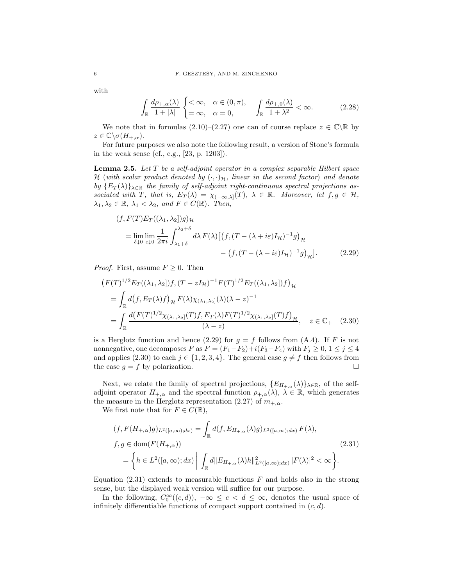with

$$
\int_{\mathbb{R}} \frac{d\rho_{+,\alpha}(\lambda)}{1+|\lambda|} \begin{cases} <\infty, & \alpha \in (0,\pi), \\ =\infty, & \alpha = 0, \end{cases} \quad \int_{\mathbb{R}} \frac{d\rho_{+,0}(\lambda)}{1+\lambda^2} < \infty. \tag{2.28}
$$

We note that in formulas  $(2.10)$ – $(2.27)$  one can of course replace  $z \in \mathbb{C} \setminus \mathbb{R}$  by  $z \in \mathbb{C} \backslash \sigma(H_{+,\alpha}).$ 

For future purposes we also note the following result, a version of Stone's formula in the weak sense (cf., e.g., [23, p. 1203]).

**Lemma 2.5.** Let  $T$  be a self-adjoint operator in a complex separable Hilbert space H (with scalar product denoted by  $(\cdot, \cdot)_{\mathcal{H}}$ , linear in the second factor) and denote by  ${E_T(\lambda)}_{\lambda \in \mathbb{R}}$  the family of self-adjoint right-continuous spectral projections associated with T, that is,  $E_T(\lambda) = \chi_{(-\infty,\lambda]}(T)$ ,  $\lambda \in \mathbb{R}$ . Moreover, let  $f, g \in \mathcal{H}$ ,  $\lambda_1, \lambda_2 \in \mathbb{R}, \lambda_1 < \lambda_2, \text{ and } F \in C(\mathbb{R}).$  Then,

$$
(f, F(T)E_T((\lambda_1, \lambda_2))g)_{\mathcal{H}}
$$
  
= 
$$
\lim_{\delta \downarrow 0} \lim_{\varepsilon \downarrow 0} \frac{1}{2\pi i} \int_{\lambda_1 + \delta}^{\lambda_2 + \delta} d\lambda F(\lambda) \left[ \left( f, (T - (\lambda + i\varepsilon)I_{\mathcal{H}})^{-1}g \right)_{\mathcal{H}} - \left( f, (T - (\lambda - i\varepsilon)I_{\mathcal{H}})^{-1}g \right)_{\mathcal{H}} \right].
$$
 (2.29)

*Proof.* First, assume  $F \geq 0$ . Then

$$
(F(T)^{1/2}E_T((\lambda_1, \lambda_2))f, (T - zI_{\mathcal{H}})^{-1}F(T)^{1/2}E_T((\lambda_1, \lambda_2))f)_{\mathcal{H}}
$$
  
= 
$$
\int_{\mathbb{R}} d(f, E_T(\lambda)f)_{\mathcal{H}} F(\lambda) \chi_{(\lambda_1, \lambda_2]}(\lambda) (\lambda - z)^{-1}
$$
  
= 
$$
\int_{\mathbb{R}} \frac{d(F(T)^{1/2} \chi_{(\lambda_1, \lambda_2]}(T)f, E_T(\lambda)F(T)^{1/2} \chi_{(\lambda_1, \lambda_2]}(T)f)_{\mathcal{H}}}{(\lambda - z)}, \quad z \in \mathbb{C}_+ \quad (2.30)
$$

is a Herglotz function and hence (2.29) for  $g = f$  follows from (A.4). If F is not nonnegative, one decomposes F as  $F = (F_1 - F_2) + i(F_3 - F_4)$  with  $F_j \ge 0, 1 \le j \le 4$ and applies (2.30) to each  $j \in \{1, 2, 3, 4\}$ . The general case  $g \neq f$  then follows from the case  $g = f$  by polarization.

Next, we relate the family of spectral projections,  $\{E_{H_{+,\alpha}}(\lambda)\}_{\lambda\in\mathbb{R}}$ , of the selfadjoint operator  $H_{+,\alpha}$  and the spectral function  $\rho_{+,\alpha}(\lambda), \lambda \in \mathbb{R}$ , which generates the measure in the Herglotz representation (2.27) of  $m_{+,\alpha}$ .

We first note that for  $F \in C(\mathbb{R}),$ 

$$
(f, F(H_{+,\alpha})g)_{L^2([a,\infty);dx)} = \int_{\mathbb{R}} d(f, E_{H_{+,\alpha}}(\lambda)g)_{L^2([a,\infty);dx)} F(\lambda),
$$
  

$$
f, g \in \text{dom}(F(H_{+,\alpha}))
$$
  

$$
= \left\{ h \in L^2([a,\infty);dx) \middle| \int_{\mathbb{R}} d||E_{H_{+,\alpha}}(\lambda)h||^2_{L^2([a,\infty);dx)} |F(\lambda)|^2 < \infty \right\}.
$$
 (2.31)

Equation  $(2.31)$  extends to measurable functions F and holds also in the strong sense, but the displayed weak version will suffice for our purpose.

In the following,  $C_0^{\infty}((c,d))$ ,  $-\infty \leq c < d \leq \infty$ , denotes the usual space of infinitely differentiable functions of compact support contained in  $(c, d)$ .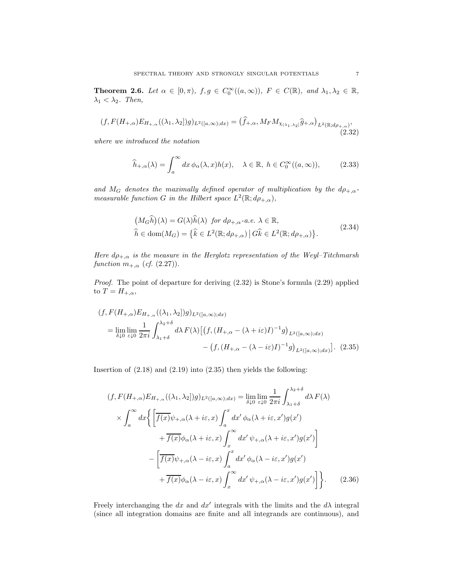**Theorem 2.6.** Let  $\alpha \in [0, \pi)$ ,  $f, g \in C_0^{\infty}((a, \infty))$ ,  $F \in C(\mathbb{R})$ , and  $\lambda_1, \lambda_2 \in \mathbb{R}$ ,  $\lambda_1 < \lambda_2$ . Then,

$$
(f, F(H_{+,\alpha})E_{H_{+,\alpha}}((\lambda_1,\lambda_2])g)_{L^2([a,\infty);dx)} = (\widehat{f}_{+,\alpha}, M_F M_{\chi_{(\lambda_1,\lambda_2]}}\widehat{g}_{+,\alpha})_{L^2(\mathbb{R};d\rho_{+,\alpha})},
$$
\n(2.32)

where we introduced the notation

$$
\widehat{h}_{+,\alpha}(\lambda) = \int_{a}^{\infty} dx \, \phi_{\alpha}(\lambda, x) h(x), \quad \lambda \in \mathbb{R}, \ h \in C_{0}^{\infty}((a, \infty)), \tag{2.33}
$$

and  $M_G$  denotes the maximally defined operator of multiplication by the  $d\rho_{+,\alpha}$ measurable function G in the Hilbert space  $L^2(\mathbb{R}; d\rho_{+,\alpha})$ ,

$$
\left(M_G\widehat{h}\right)(\lambda) = G(\lambda)\widehat{h}(\lambda) \text{ for } d\rho_{+,\alpha}. a.e. \lambda \in \mathbb{R},
$$
\n
$$
\widehat{h} \in \text{dom}(M_G) = \left\{\widehat{k} \in L^2(\mathbb{R}; d\rho_{+,\alpha}) \, \middle| \, G\widehat{k} \in L^2(\mathbb{R}; d\rho_{+,\alpha})\right\}.
$$
\n
$$
(2.34)
$$

Here  $d\rho_{+,\alpha}$  is the measure in the Herglotz representation of the Weyl–Titchmarsh function  $m_{+,\alpha}$  (cf. (2.27)).

Proof. The point of departure for deriving (2.32) is Stone's formula (2.29) applied to  $T = H_{+,\alpha}$ ,

$$
(f, F(H_{+,\alpha})E_{H_{+,\alpha}}((\lambda_1, \lambda_2))g)_{L^2([a,\infty);dx)}
$$
  
= 
$$
\lim_{\delta \downarrow 0} \lim_{\varepsilon \downarrow 0} \frac{1}{2\pi i} \int_{\lambda_1 + \delta}^{\lambda_2 + \delta} d\lambda F(\lambda) \left[ \left( f, (H_{+,\alpha} - (\lambda + i\varepsilon)I)^{-1}g \right)_{L^2([a,\infty);dx)} - \left( f, (H_{+,\alpha} - (\lambda - i\varepsilon)I)^{-1}g \right)_{L^2([a,\infty);dx} \right].
$$
 (2.35)

Insertion of (2.18) and (2.19) into (2.35) then yields the following:

$$
(f, F(H_{+,\alpha})E_{H_{+,\alpha}}((\lambda_1, \lambda_2|)g)_{L^2([a,\infty);dx)} = \lim_{\delta \downarrow 0} \lim_{\varepsilon \downarrow 0} \frac{1}{2\pi i} \int_{\lambda_1+\delta}^{\lambda_2+\delta} d\lambda F(\lambda)
$$

$$
\times \int_a^\infty dx \Big\{ \Big[ \overline{f(x)} \psi_{+,\alpha}(\lambda + i\varepsilon, x) \int_a^x dx' \phi_\alpha(\lambda + i\varepsilon, x') g(x') + \overline{f(x)} \phi_\alpha(\lambda + i\varepsilon, x) \int_x^\infty dx' \psi_{+,\alpha}(\lambda + i\varepsilon, x') g(x') \Big] - \Big[ \overline{f(x)} \psi_{+,\alpha}(\lambda - i\varepsilon, x) \int_a^x dx' \phi_\alpha(\lambda - i\varepsilon, x') g(x') + \overline{f(x)} \phi_\alpha(\lambda - i\varepsilon, x) \int_x^\infty dx' \psi_{+,\alpha}(\lambda - i\varepsilon, x') g(x') \Big] \Big\}. \tag{2.36}
$$

Freely interchanging the dx and  $dx'$  integrals with the limits and the  $d\lambda$  integral (since all integration domains are finite and all integrands are continuous), and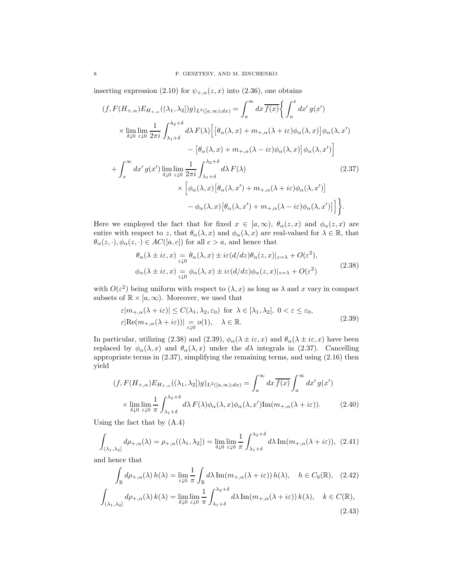inserting expression (2.10) for  $\psi_{+,\alpha}(z,x)$  into (2.36), one obtains

$$
(f, F(H_{+,\alpha})E_{H_{+,\alpha}}((\lambda_1, \lambda_2))g)_{L^2([a,\infty);dx)} = \int_a^{\infty} dx \overline{f(x)} \Big\{ \int_a^x dx' g(x')
$$
  

$$
\times \lim_{\delta \downarrow 0} \lim_{\varepsilon \downarrow 0} \frac{1}{2\pi i} \int_{\lambda_1+\delta}^{\lambda_2+\delta} d\lambda F(\lambda) \Big[ \big[\theta_\alpha(\lambda, x) + m_{+,\alpha}(\lambda + i\varepsilon)\phi_\alpha(\lambda, x)\big] \phi_\alpha(\lambda, x')
$$

$$
- \big[\theta_\alpha(\lambda, x) + m_{+,\alpha}(\lambda - i\varepsilon)\phi_\alpha(\lambda, x)\big] \phi_\alpha(\lambda, x') \Big]
$$

$$
+ \int_x^{\infty} dx' g(x') \lim_{\delta \downarrow 0} \lim_{\varepsilon \downarrow 0} \frac{1}{2\pi i} \int_{\lambda_1+\delta}^{\lambda_2+\delta} d\lambda F(\lambda) \Big[ \phi_\alpha(\lambda, x') + m_{+,\alpha}(\lambda + i\varepsilon)\phi_\alpha(\lambda, x') \Big]
$$

$$
\times \big[\phi_\alpha(\lambda, x) \big[\theta_\alpha(\lambda, x') + m_{+,\alpha}(\lambda - i\varepsilon)\phi_\alpha(\lambda, x')\big] \Big]
$$

$$
- \phi_\alpha(\lambda, x) \big[\theta_\alpha(\lambda, x') + m_{+,\alpha}(\lambda - i\varepsilon)\phi_\alpha(\lambda, x')\big] \Big].
$$
 (2.37)

Here we employed the fact that for fixed  $x \in [a,\infty)$ ,  $\theta_{\alpha}(z,x)$  and  $\phi_{\alpha}(z,x)$  are entire with respect to z, that  $\theta_{\alpha}(\lambda, x)$  and  $\phi_{\alpha}(\lambda, x)$  are real-valued for  $\lambda \in \mathbb{R}$ , that  $\theta_{\alpha}(z, \cdot), \phi_{\alpha}(z, \cdot) \in AC([a, c])$  for all  $c > a$ , and hence that

$$
\theta_{\alpha}(\lambda \pm i\varepsilon, x) = \theta_{\alpha}(\lambda, x) \pm i\varepsilon (d/dz) \theta_{\alpha}(z, x)|_{z=\lambda} + O(\varepsilon^2),
$$
  

$$
\phi_{\alpha}(\lambda \pm i\varepsilon, x) = \phi_{\alpha}(\lambda, x) \pm i\varepsilon (d/dz) \phi_{\alpha}(z, x)|_{z=\lambda} + O(\varepsilon^2)
$$
 (2.38)

with  $O(\varepsilon^2)$  being uniform with respect to  $(\lambda, x)$  as long as  $\lambda$  and x vary in compact subsets of  $\mathbb{R} \times [a, \infty)$ . Moreover, we used that

$$
\varepsilon |m_{+,\alpha}(\lambda + i\varepsilon)| \le C(\lambda_1, \lambda_2, \varepsilon_0) \text{ for } \lambda \in [\lambda_1, \lambda_2], 0 < \varepsilon \le \varepsilon_0,
$$
  

$$
\varepsilon |\text{Re}(m_{+,\alpha}(\lambda + i\varepsilon))| \underset{\varepsilon \downarrow 0}{=} o(1), \quad \lambda \in \mathbb{R}.
$$
 (2.39)

In particular, utilizing (2.38) and (2.39),  $\phi_{\alpha}(\lambda \pm i\varepsilon, x)$  and  $\theta_{\alpha}(\lambda \pm i\varepsilon, x)$  have been replaced by  $\phi_{\alpha}(\lambda, x)$  and  $\theta_{\alpha}(\lambda, x)$  under the  $d\lambda$  integrals in (2.37). Cancelling appropriate terms in (2.37), simplifying the remaining terms, and using (2.16) then yield

$$
(f, F(H_{+,\alpha})E_{H_{+,\alpha}}((\lambda_1, \lambda_2])g)_{L^2([a,\infty);dx)} = \int_a^{\infty} dx \overline{f(x)} \int_a^{\infty} dx' g(x')
$$
  
 
$$
\times \lim_{\delta \downarrow 0} \lim_{\varepsilon \downarrow 0} \frac{1}{\pi} \int_{\lambda_1 + \delta}^{\lambda_2 + \delta} d\lambda F(\lambda) \phi_{\alpha}(\lambda, x) \phi_{\alpha}(\lambda, x') \text{Im}(m_{+,\alpha}(\lambda + i\varepsilon)). \tag{2.40}
$$

Using the fact that by (A.4)

$$
\int_{(\lambda_1,\lambda_2]} d\rho_{+,\alpha}(\lambda) = \rho_{+,\alpha}((\lambda_1,\lambda_2]) = \lim_{\delta \downarrow 0} \lim_{\varepsilon \downarrow 0} \frac{1}{\pi} \int_{\lambda_1+\delta}^{\lambda_2+\delta} d\lambda \operatorname{Im}(m_{+,\alpha}(\lambda + i\varepsilon)), \tag{2.41}
$$

and hence that

$$
\int_{\mathbb{R}} d\rho_{+,\alpha}(\lambda) h(\lambda) = \lim_{\varepsilon \downarrow 0} \frac{1}{\pi} \int_{\mathbb{R}} d\lambda \operatorname{Im}(m_{+,\alpha}(\lambda + i\varepsilon)) h(\lambda), \quad h \in C_0(\mathbb{R}), \quad (2.42)
$$

$$
\int_{(\lambda_1,\lambda_2]} d\rho_{+,\alpha}(\lambda) k(\lambda) = \lim_{\delta \downarrow 0} \lim_{\varepsilon \downarrow 0} \frac{1}{\pi} \int_{\lambda_1+\delta}^{\lambda_2+\delta} d\lambda \operatorname{Im}(m_{+,\alpha}(\lambda + i\varepsilon)) k(\lambda), \quad k \in C(\mathbb{R}), \quad (2.43)
$$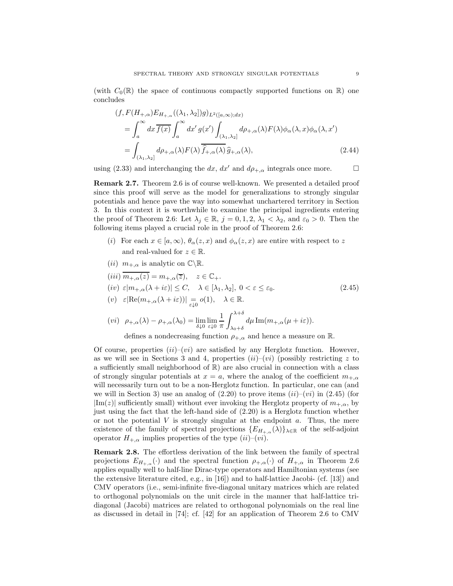(with  $C_0(\mathbb{R})$  the space of continuous compactly supported functions on  $\mathbb{R}$ ) one concludes

$$
(f, F(H_{+,\alpha})E_{H_{+,\alpha}}((\lambda_1, \lambda_2))g)_{L^2([a,\infty);dx)}
$$
  
= 
$$
\int_a^{\infty} dx \overline{f(x)} \int_a^{\infty} dx' g(x') \int_{(\lambda_1, \lambda_2]} d\rho_{+,\alpha}(\lambda) F(\lambda) \phi_{\alpha}(\lambda, x) \phi_{\alpha}(\lambda, x')
$$
  
= 
$$
\int_{(\lambda_1, \lambda_2]} d\rho_{+,\alpha}(\lambda) F(\lambda) \overline{\hat{f}_{+,\alpha}(\lambda)} \hat{g}_{+,\alpha}(\lambda),
$$
 (2.44)

using (2.33) and interchanging the dx, dx' and  $d\rho_{+,\alpha}$  integrals once more.  $\Box$ 

Remark 2.7. Theorem 2.6 is of course well-known. We presented a detailed proof since this proof will serve as the model for generalizations to strongly singular potentials and hence pave the way into somewhat unchartered territory in Section 3. In this context it is worthwhile to examine the principal ingredients entering the proof of Theorem 2.6: Let  $\lambda_j \in \mathbb{R}$ ,  $j = 0, 1, 2, \lambda_1 < \lambda_2$ , and  $\varepsilon_0 > 0$ . Then the following items played a crucial role in the proof of Theorem 2.6:

- (i) For each  $x \in [a,\infty)$ ,  $\theta_{\alpha}(z,x)$  and  $\phi_{\alpha}(z,x)$  are entire with respect to z and real-valued for  $z \in \mathbb{R}$ .
- (*ii*)  $m_{+,\alpha}$  is analytic on  $\mathbb{C}\backslash\mathbb{R}$ .
- $(iii)$   $\overline{m_{+,\alpha}(z)} = m_{+,\alpha}(\overline{z}), \quad z \in \mathbb{C}_+.$ (iv)  $\varepsilon |m_{+,\alpha}(\lambda + i\varepsilon)| \leq C, \quad \lambda \in [\lambda_1, \lambda_2], \ 0 < \varepsilon \leq \varepsilon_0.$  (2.45) (v)  $\varepsilon |\text{Re}(m_{+,\alpha}(\lambda + i\varepsilon))| = o(1), \quad \lambda \in \mathbb{R}.$  $\sqrt{2}$

$$
(vi) \quad \rho_{+,\alpha}(\lambda) - \rho_{+,\alpha}(\lambda_0) = \lim_{\delta \downarrow 0} \lim_{\varepsilon \downarrow 0} \frac{1}{\pi} \int_{\lambda_0 + \delta}^{\lambda + \delta} d\mu \operatorname{Im}(m_{+,\alpha}(\mu + i\varepsilon)).
$$

defines a nondecreasing function  $\rho_{+,\alpha}$  and hence a measure on R.

Of course, properties  $(ii)-(vi)$  are satisfied by any Herglotz function. However, as we will see in Sections 3 and 4, properties  $(ii)-(vi)$  (possibly restricting z to a sufficiently small neighborhood of  $\mathbb{R}$ ) are also crucial in connection with a class of strongly singular potentials at  $x = a$ , where the analog of the coefficient  $m_{+\alpha}$ will necessarily turn out to be a non-Herglotz function. In particular, one can (and we will in Section 3) use an analog of  $(2.20)$  to prove items  $(ii)-(vi)$  in  $(2.45)$  (for  $|\text{Im}(z)|$  sufficiently small) without ever invoking the Herglotz property of  $m_{+,\alpha}$ , by just using the fact that the left-hand side of (2.20) is a Herglotz function whether or not the potential  $V$  is strongly singular at the endpoint  $a$ . Thus, the mere existence of the family of spectral projections  $\{E_{H_{+,\alpha}}(\lambda)\}\_{\lambda\in\mathbb{R}}$  of the self-adjoint operator  $H_{+,\alpha}$  implies properties of the type  $(ii)-(vi)$ .

Remark 2.8. The effortless derivation of the link between the family of spectral projections  $E_{H_{+,\alpha}}(\cdot)$  and the spectral function  $\rho_{+,\alpha}(\cdot)$  of  $H_{+,\alpha}$  in Theorem 2.6 applies equally well to half-line Dirac-type operators and Hamiltonian systems (see the extensive literature cited, e.g., in  $|16|$ ) and to half-lattice Jacobi- (cf.  $|13|$ ) and CMV operators (i.e., semi-infinite five-diagonal unitary matrices which are related to orthogonal polynomials on the unit circle in the manner that half-lattice tridiagonal (Jacobi) matrices are related to orthogonal polynomials on the real line as discussed in detail in [74]; cf. [42] for an application of Theorem 2.6 to CMV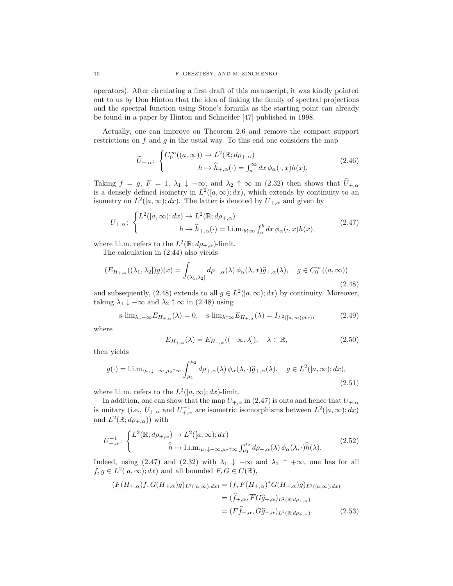operators). After circulating a first draft of this manuscript, it was kindly pointed out to us by Don Hinton that the idea of linking the family of spectral projections and the spectral function using Stone's formula as the starting point can already be found in a paper by Hinton and Schneider [47] published in 1998.

Actually, one can improve on Theorem 2.6 and remove the compact support restrictions on  $f$  and  $g$  in the usual way. To this end one considers the map

$$
\widetilde{U}_{+,\alpha} \colon \begin{cases}\nC_0^{\infty}((a,\infty)) \to L^2(\mathbb{R}; d\rho_{+,\alpha}) \\
h \mapsto \widehat{h}_{+,\alpha}(\cdot) = \int_a^{\infty} dx \,\phi_{\alpha}(\cdot, x)h(x).\n\end{cases} \tag{2.46}
$$

Taking  $f = g, F = 1, \lambda_1 \downarrow -\infty$ , and  $\lambda_2 \uparrow \infty$  in (2.32) then shows that  $\tilde{U}_{+,\alpha}$ is a densely defined isometry in  $L^2([a,\infty);dx)$ , which extends by continuity to an isometry on  $L^2([a,\infty); dx)$ . The latter is denoted by  $U_{+,\alpha}$  and given by

$$
U_{+,\alpha} \colon \begin{cases} L^2([a,\infty);dx) \to L^2(\mathbb{R};d\rho_{+,\alpha}) \\ h \mapsto \widehat{h}_{+,\alpha}(\cdot) = \text{l.i.m.}_{b\uparrow\infty} \int_a^b dx \, \phi_\alpha(\cdot,x)h(x), \end{cases} \tag{2.47}
$$

where l.i.m. refers to the  $L^2(\mathbb{R}; d\rho_{+,\alpha})$ -limit.

The calculation in (2.44) also yields

$$
(E_{H_{+,\alpha}}((\lambda_1,\lambda_2])g)(x) = \int_{(\lambda_1,\lambda_2]} d\rho_{+,\alpha}(\lambda) \phi_{\alpha}(\lambda,x)\widehat{g}_{+,\alpha}(\lambda), \quad g \in C_0^{\infty}((a,\infty))
$$
\n(2.48)

and subsequently, (2.48) extends to all  $g \in L^2([a,\infty);dx)$  by continuity. Moreover, taking  $\lambda_1 \downarrow -\infty$  and  $\lambda_2 \uparrow \infty$  in (2.48) using

$$
\mathrm{s-lim}_{\lambda\downarrow-\infty}E_{H_{+,\alpha}}(\lambda)=0,\quad \mathrm{s-lim}_{\lambda\uparrow\infty}E_{H_{+,\alpha}}(\lambda)=I_{L^2([a,\infty);dx)},\tag{2.49}
$$

where

$$
E_{H_{+,\alpha}}(\lambda) = E_{H_{+,\alpha}}((-\infty,\lambda]), \quad \lambda \in \mathbb{R},
$$
\n(2.50)

then yields

$$
g(\cdot) = 1 \text{.i.m.} \mu_1 \downarrow -\infty, \mu_2 \uparrow \infty \int_{\mu_1}^{\mu_2} d\rho_{+,\alpha}(\lambda) \phi_\alpha(\lambda, \cdot) \widehat{g}_{+,\alpha}(\lambda), \quad g \in L^2([a, \infty); dx), \tag{2.51}
$$

where l.i.m. refers to the  $L^2([a,\infty);dx)$ -limit.

In addition, one can show that the map  $U_{+,\alpha}$  in (2.47) is onto and hence that  $U_{+,\alpha}$ is unitary (i.e.,  $U_{+,\alpha}$  and  $U_{+,\alpha}^{-1}$  are isometric isomorphisms between  $L^2([a,\infty);dx)$ and  $L^2(\mathbb{R}; d\rho_{+,\alpha})$  with

$$
U_{+,\alpha}^{-1}: \begin{cases} L^{2}(\mathbb{R}; d\rho_{+,\alpha}) \to L^{2}([a,\infty); dx) \\ \widehat{h} \mapsto \text{l.i.m.}_{\mu_{1}\downarrow -\infty, \mu_{2}\uparrow\infty} \int_{\mu_{1}}^{\mu_{2}} d\rho_{+,\alpha}(\lambda) \phi_{\alpha}(\lambda, \cdot) \widehat{h}(\lambda). \end{cases} (2.52)
$$

Indeed, using (2.47) and (2.32) with  $\lambda_1 \downarrow -\infty$  and  $\lambda_2 \uparrow +\infty$ , one has for all  $f, g \in L^2([a,\infty);dx)$  and all bounded  $F, G \in C(\mathbb{R}),$ 

$$
(F(H_{+,\alpha})f, G(H_{+,\alpha})g)_{L^2([a,\infty);dx)} = (f, F(H_{+,\alpha})^*G(H_{+,\alpha})g)_{L^2([a,\infty);dx)}
$$
  

$$
= (\widehat{f}_{+,\alpha}, \overline{F}G\widehat{g}_{+,\alpha})_{L^2(\mathbb{R};d\rho_{+,\alpha})}
$$
  

$$
= (F\widehat{f}_{+,\alpha}, G\widehat{g}_{+,\alpha})_{L^2(\mathbb{R};d\rho_{+,\alpha})}.
$$
 (2.53)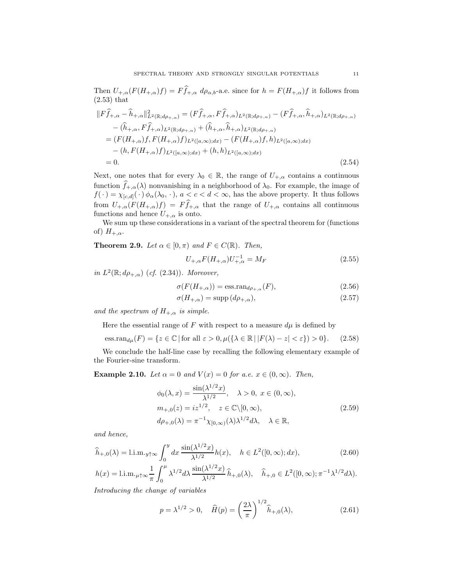Then  $U_{+,\alpha}(F(H_{+,\alpha})f) = F\hat{f}_{+,\alpha} d\rho_{\alpha,b}$ -a.e. since for  $h = F(H_{+,\alpha})f$  it follows from (2.53) that

$$
||F\hat{f}_{+,\alpha} - \hat{h}_{+,\alpha}||_{L^{2}(\mathbb{R};d\rho_{+,\alpha})}^{2} = (F\hat{f}_{+,\alpha}, F\hat{f}_{+,\alpha})_{L^{2}(\mathbb{R};d\rho_{+,\alpha})} - (F\hat{f}_{+,\alpha}, \hat{h}_{+,\alpha})_{L^{2}(\mathbb{R};d\rho_{+,\alpha})} - (\hat{h}_{+,\alpha}, F\hat{f}_{+,\alpha})_{L^{2}(\mathbb{R};d\rho_{+,\alpha})} + (\hat{h}_{+,\alpha}, \hat{h}_{+,\alpha})_{L^{2}(\mathbb{R};d\rho_{+,\alpha})} = (F(H_{+,\alpha})f, F(H_{+,\alpha})f)_{L^{2}([a,\infty);dx)} - (F(H_{+,\alpha})f, h)_{L^{2}([a,\infty);dx}) - (h, F(H_{+,\alpha})f)_{L^{2}([a,\infty);dx)} + (h, h)_{L^{2}([a,\infty);dx})
$$
  
= 0. (2.54)

Next, one notes that for every  $\lambda_0 \in \mathbb{R}$ , the range of  $U_{+,\alpha}$  contains a continuous function  $\widehat{f}_{+,\alpha}(\lambda)$  nonvanishing in a neighborhood of  $\lambda_0$ . For example, the image of  $f(\cdot) = \chi_{[c,d]}(\cdot) \phi_\alpha(\lambda_0, \cdot), a < c < d < \infty$ , has the above property. It thus follows from  $U_{+,\alpha}(F(H_{+,\alpha})f) = F\widehat{f}_{+,\alpha}$  that the range of  $U_{+,\alpha}$  contains all continuous functions and hence  $U_{+,\alpha}$  is onto.

We sum up these considerations in a variant of the spectral theorem for (functions of)  $H_{+,\alpha}$ .

**Theorem 2.9.** Let  $\alpha \in [0, \pi)$  and  $F \in C(\mathbb{R})$ . Then,

$$
U_{+,\alpha}F(H_{+,\alpha})U_{+,\alpha}^{-1} = M_F
$$
\n(2.55)

in  $L^2(\mathbb{R}; d\rho_{+,\alpha})$  (cf. (2.34)). Moreover,

$$
\sigma(F(H_{+,\alpha})) = \text{ess.random}_{d\rho_{+,\alpha}}(F),\tag{2.56}
$$

$$
\sigma(H_{+,\alpha}) = \text{supp}\,(d\rho_{+,\alpha}),\tag{2.57}
$$

and the spectrum of  $H_{+,\alpha}$  is simple.

Here the essential range of  $F$  with respect to a measure  $d\mu$  is defined by

$$
\text{ess.ran}_{d\mu}(F) = \{ z \in \mathbb{C} \mid \text{for all } \varepsilon > 0, \mu(\{\lambda \in \mathbb{R} \mid |F(\lambda) - z| < \varepsilon \}) > 0 \}. \tag{2.58}
$$

We conclude the half-line case by recalling the following elementary example of the Fourier-sine transform.

Example 2.10. Let  $\alpha = 0$  and  $V(x) = 0$  for a.e.  $x \in (0, \infty)$ . Then,

$$
\phi_0(\lambda, x) = \frac{\sin(\lambda^{1/2} x)}{\lambda^{1/2}}, \quad \lambda > 0, \ x \in (0, \infty),
$$
  
\n
$$
m_{+,0}(z) = iz^{1/2}, \quad z \in \mathbb{C} \setminus [0, \infty),
$$
  
\n
$$
d\rho_{+,0}(\lambda) = \pi^{-1} \chi_{[0,\infty)}(\lambda) \lambda^{1/2} d\lambda, \quad \lambda \in \mathbb{R},
$$
\n(2.59)

and hence,

$$
\widehat{h}_{+,0}(\lambda) = \text{l.i.m.}_{y \uparrow \infty} \int_0^y dx \, \frac{\sin(\lambda^{1/2}x)}{\lambda^{1/2}} h(x), \quad h \in L^2([0,\infty); dx), \tag{2.60}
$$

$$
h(x) = \text{l.i.m.}_{\mu\uparrow\infty} \frac{1}{\pi} \int_0^\mu \lambda^{1/2} d\lambda \, \frac{\sin(\lambda^{1/2} x)}{\lambda^{1/2}} \,\widehat{h}_{+,0}(\lambda), \quad \widehat{h}_{+,0} \in L^2([0,\infty); \pi^{-1} \lambda^{1/2} d\lambda).
$$

Introducing the change of variables

$$
p = \lambda^{1/2} > 0, \quad \hat{H}(p) = \left(\frac{2\lambda}{\pi}\right)^{1/2} \hat{h}_{+,0}(\lambda), \tag{2.61}
$$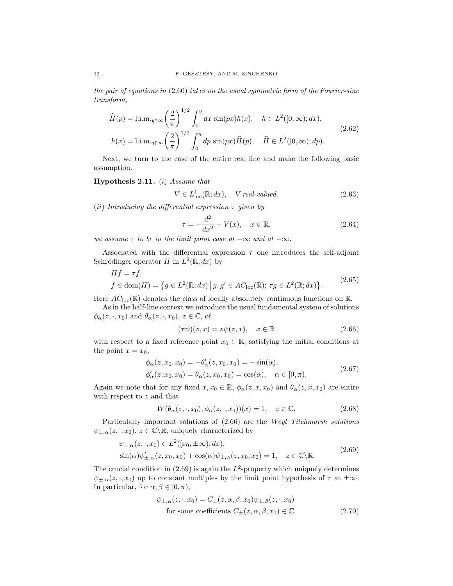the pair of equations in (2.60) takes on the usual symmetric form of the Fourier-sine transform,

$$
\widehat{H}(p) = \lim_{y \uparrow \infty} \left(\frac{2}{\pi}\right)^{1/2} \int_0^y dx \, \sin(px)h(x), \quad h \in L^2([0, \infty); dx),
$$
\n
$$
h(x) = \lim_{q \uparrow \infty} \left(\frac{2}{\pi}\right)^{1/2} \int_0^q dp \, \sin(px)\widehat{H}(p), \quad \widehat{H} \in L^2([0, \infty); dp).
$$
\n(2.62)

Next, we turn to the case of the entire real line and make the following basic assumption.

# **Hypothesis 2.11.** (i) Assume that

$$
V \in L^1_{loc}(\mathbb{R}; dx), \quad V \text{ real-valued.} \tag{2.63}
$$

(ii) Introducing the differential expression  $\tau$  given by

$$
\tau = -\frac{d^2}{dx^2} + V(x), \quad x \in \mathbb{R}, \tag{2.64}
$$

we assume  $\tau$  to be in the limit point case at  $+\infty$  and at  $-\infty$ .

Associated with the differential expression  $\tau$  one introduces the self-adjoint Schrödinger operator H in  $L^2(\mathbb{R};dx)$  by

$$
Hf = \tau f,
$$
  
\n
$$
f \in \text{dom}(H) = \{ g \in L^2(\mathbb{R}; dx) \mid g, g' \in AC_{\text{loc}}(\mathbb{R}); \tau g \in L^2(\mathbb{R}; dx) \}.
$$
\n(2.65)

Here  $AC_{\text{loc}}(\mathbb{R})$  denotes the class of locally absolutely continuous functions on  $\mathbb{R}$ .

As in the half-line context we introduce the usual fundamental system of solutions  $\phi_{\alpha}(z, \cdot, x_0)$  and  $\theta_{\alpha}(z, \cdot, x_0)$ ,  $z \in \mathbb{C}$ , of

$$
(\tau \psi)(z, x) = z\psi(z, x), \quad x \in \mathbb{R}
$$
\n(2.66)

with respect to a fixed reference point  $x_0 \in \mathbb{R}$ , satisfying the initial conditions at the point  $x = x_0$ ,

$$
\phi_{\alpha}(z, x_0, x_0) = -\theta'_{\alpha}(z, x_0, x_0) = -\sin(\alpha), \n\phi'_{\alpha}(z, x_0, x_0) = \theta_{\alpha}(z, x_0, x_0) = \cos(\alpha), \quad \alpha \in [0, \pi).
$$
\n(2.67)

Again we note that for any fixed  $x, x_0 \in \mathbb{R}$ ,  $\phi_\alpha(z, x, x_0)$  and  $\theta_\alpha(z, x, x_0)$  are entire with respect to z and that

$$
W(\theta_{\alpha}(z,\cdot,x_0),\phi_{\alpha}(z,\cdot,x_0))(x) = 1, \quad z \in \mathbb{C}.
$$
 (2.68)

Particularly important solutions of (2.66) are the Weyl–Titchmarsh solutions  $\psi_{\pm,\alpha}(z,\cdot,x_0),\,z\in\mathbb{C}\backslash\mathbb{R}$ , uniquely characterized by

$$
\psi_{\pm,\alpha}(z,\cdot,x_0) \in L^2([x_0,\pm\infty);dx),
$$
  
\n
$$
\sin(\alpha)\psi'_{\pm,\alpha}(z,x_0,x_0) + \cos(\alpha)\psi_{\pm,\alpha}(z,x_0,x_0) = 1, \quad z \in \mathbb{C}\setminus\mathbb{R}.
$$
\n(2.69)

The crucial condition in  $(2.69)$  is again the  $L^2$ -property which uniquely determines  $\psi_{\pm,\alpha}(z,\cdot,x_0)$  up to constant multiples by the limit point hypothesis of  $\tau$  at  $\pm\infty$ . In particular, for  $\alpha, \beta \in [0, \pi)$ ,

$$
\psi_{\pm,\alpha}(z,\cdot,x_0) = C_{\pm}(z,\alpha,\beta,x_0)\psi_{\pm,\beta}(z,\cdot,x_0)
$$
  
for some coefficients  $C_{\pm}(z,\alpha,\beta,x_0) \in \mathbb{C}$ . (2.70)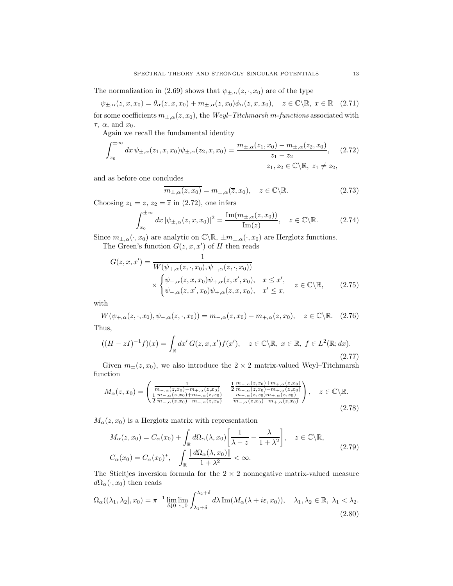The normalization in (2.69) shows that  $\psi_{\pm,\alpha}(z,\cdot,x_0)$  are of the type

$$
\psi_{\pm,\alpha}(z,x,x_0) = \theta_\alpha(z,x,x_0) + m_{\pm,\alpha}(z,x_0)\phi_\alpha(z,x,x_0), \quad z \in \mathbb{C}\backslash \mathbb{R}, \ x \in \mathbb{R} \quad (2.71)
$$

for some coefficients  $m_{\pm,\alpha}(z,x_0)$ , the Weyl–Titchmarsh m-functions associated with  $\tau$ ,  $\alpha$ , and  $x_0$ .

Again we recall the fundamental identity

$$
\int_{x_0}^{\pm \infty} dx \, \psi_{\pm,\alpha}(z_1, x, x_0) \psi_{\pm,\alpha}(z_2, x, x_0) = \frac{m_{\pm,\alpha}(z_1, x_0) - m_{\pm,\alpha}(z_2, x_0)}{z_1 - z_2}, \quad (2.72)
$$
\n
$$
z_1, z_2 \in \mathbb{C} \setminus \mathbb{R}, \ z_1 \neq z_2,
$$

and as before one concludes

$$
m_{\pm,\alpha}(z,x_0) = m_{\pm,\alpha}(\overline{z},x_0), \quad z \in \mathbb{C} \backslash \mathbb{R}.
$$
 (2.73)

Choosing  $z_1 = z$ ,  $z_2 = \overline{z}$  in (2.72), one infers

$$
\int_{x_0}^{\pm \infty} dx \, |\psi_{\pm,\alpha}(z,x,x_0)|^2 = \frac{\text{Im}(m_{\pm,\alpha}(z,x_0))}{\text{Im}(z)}, \quad z \in \mathbb{C} \backslash \mathbb{R}.
$$
 (2.74)

Since  $m_{\pm,\alpha}(\cdot,x_0)$  are analytic on  $\mathbb{C}\backslash\mathbb{R}, \pm m_{\pm,\alpha}(\cdot,x_0)$  are Herglotz functions.

The Green's function  $G(z, x, x')$  of H then reads

$$
G(z, x, x') = \frac{1}{W(\psi_{+, \alpha}(z, \cdot, x_0), \psi_{-, \alpha}(z, \cdot, x_0))}
$$
  
 
$$
\times \begin{cases} \psi_{-, \alpha}(z, x, x_0) \psi_{+, \alpha}(z, x', x_0), & x \leq x', \\ \psi_{-, \alpha}(z, x', x_0) \psi_{+, \alpha}(z, x, x_0), & x' \leq x, \end{cases}
$$
 (2.75)

with

 $W(\psi_{+,\alpha}(z,\cdot,x_0), \psi_{-,\alpha}(z,\cdot,x_0)) = m_{-,\alpha}(z,x_0) - m_{+,\alpha}(z,x_0), \quad z \in \mathbb{C} \backslash \mathbb{R}.$  (2.76) Thus,

$$
((H - zI)^{-1}f)(x) = \int_{\mathbb{R}} dx' G(z, x, x') f(x'), \quad z \in \mathbb{C} \backslash \mathbb{R}, \ x \in \mathbb{R}, \ f \in L^2(\mathbb{R}; dx). \tag{2.77}
$$

Given  $m_{\pm}(z, x_0)$ , we also introduce the  $2 \times 2$  matrix-valued Weyl–Titchmarsh function

$$
M_{\alpha}(z,x_{0}) = \begin{pmatrix} \frac{1}{m_{-\alpha}(z,x_{0})-m_{+\alpha}(z,x_{0})} & \frac{1}{2} \frac{m_{-\alpha}(z,x_{0})+m_{+\alpha}(z,x_{0})}{m_{-\alpha}(z,x_{0})-m_{+\alpha}(z,x_{0})} \\ \frac{1}{2} \frac{m_{-\alpha}(z,x_{0})+m_{+\alpha}(z,x_{0})}{m_{-\alpha}(z,x_{0})-m_{+\alpha}(z,x_{0})} & \frac{m_{-\alpha}(z,x_{0})m_{+\alpha}(z,x_{0})}{m_{-\alpha}(z,x_{0})-m_{+\alpha}(z,x_{0})} \end{pmatrix}, \quad z \in \mathbb{C} \backslash \mathbb{R}. \tag{2.78}
$$

 $M_{\alpha}(z, x_0)$  is a Herglotz matrix with representation

$$
M_{\alpha}(z, x_0) = C_{\alpha}(x_0) + \int_{\mathbb{R}} d\Omega_{\alpha}(\lambda, x_0) \left[ \frac{1}{\lambda - z} - \frac{\lambda}{1 + \lambda^2} \right], \quad z \in \mathbb{C} \backslash \mathbb{R},
$$
  

$$
C_{\alpha}(x_0) = C_{\alpha}(x_0)^*, \quad \int_{\mathbb{R}} \frac{\|d\Omega_{\alpha}(\lambda, x_0)\|}{1 + \lambda^2} < \infty.
$$
 (2.79)

The Stieltjes inversion formula for the  $2 \times 2$  nonnegative matrix-valued measure  $d\Omega_{\alpha}(\cdot, x_0)$  then reads

$$
\Omega_{\alpha}((\lambda_1, \lambda_2], x_0) = \pi^{-1} \lim_{\delta \downarrow 0} \lim_{\varepsilon \downarrow 0} \int_{\lambda_1 + \delta}^{\lambda_2 + \delta} d\lambda \operatorname{Im}(M_{\alpha}(\lambda + i\varepsilon, x_0)), \quad \lambda_1, \lambda_2 \in \mathbb{R}, \ \lambda_1 < \lambda_2. \tag{2.80}
$$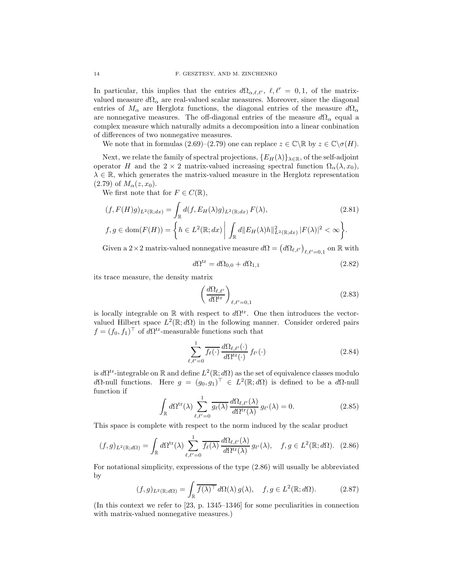In particular, this implies that the entries  $d\Omega_{\alpha,\ell,\ell'}$ ,  $\ell,\ell' = 0,1$ , of the matrixvalued measure  $d\Omega_{\alpha}$  are real-valued scalar measures. Moreover, since the diagonal entries of  $M_{\alpha}$  are Herglotz functions, the diagonal entries of the measure  $d\Omega_{\alpha}$ are nonnegative measures. The off-diagonal entries of the measure  $d\Omega_{\alpha}$  equal a complex measure which naturally admits a decomposition into a linear conbination of differences of two nonnegative measures.

We note that in formulas  $(2.69)-(2.79)$  one can replace  $z \in \mathbb{C} \backslash \mathbb{R}$  by  $z \in \mathbb{C} \backslash \sigma(H)$ .

Next, we relate the family of spectral projections,  $\{E_H(\lambda)\}_{\lambda \in \mathbb{R}}$ , of the self-adjoint operator H and the  $2 \times 2$  matrix-valued increasing spectral function  $\Omega_{\alpha}(\lambda, x_0)$ ,  $\lambda \in \mathbb{R}$ , which generates the matrix-valued measure in the Herglotz representation (2.79) of  $M_{\alpha}(z, x_0)$ .

We first note that for  $F \in C(\mathbb{R}),$ 

$$
(f, F(H)g)_{L^2(\mathbb{R};dx)} = \int_{\mathbb{R}} d(f, E_H(\lambda)g)_{L^2(\mathbb{R};dx)} F(\lambda),
$$
\n
$$
f, g \in \text{dom}(F(H)) = \left\{ h \in L^2(\mathbb{R};dx) \middle| \int_{\mathbb{R}} d||E_H(\lambda)h||_{L^2(\mathbb{R};dx)}^2 |F(\lambda)|^2 < \infty \right\}.
$$
\n
$$
(2.81)
$$

Given a 2 × 2 matrix-valued nonnegative measure  $d\Omega = (d\Omega_{\ell,\ell'})_{\ell,\ell'=0,1}$  on  $\mathbb R$  with

$$
d\Omega^{\text{tr}} = d\Omega_{0,0} + d\Omega_{1,1} \tag{2.82}
$$

its trace measure, the density matrix

$$
\left(\frac{d\Omega_{\ell,\ell'}}{d\Omega^{\text{tr}}}\right)_{\ell,\ell'=0,1} \tag{2.83}
$$

is locally integrable on  $\mathbb R$  with respect to  $d\Omega^{tr}$ . One then introduces the vectorvalued Hilbert space  $L^2(\mathbb{R}; d\Omega)$  in the following manner. Consider ordered pairs  $f = (f_0, f_1)^\top$  of  $d\Omega^{\text{tr}}$ -measurable functions such that

$$
\sum_{\ell,\ell'=0}^{1} \overline{f_{\ell}(\cdot)} \, \frac{d\Omega_{\ell,\ell'}(\cdot)}{d\Omega^{\text{tr}}(\cdot)} \, f_{\ell'}(\cdot) \tag{2.84}
$$

is  $d\Omega^{tr}$ -integrable on  $\mathbb R$  and define  $L^2(\mathbb R; d\Omega)$  as the set of equivalence classes modulo dΩ-null functions. Here  $g = (g_0, g_1)^\top \in L^2(\mathbb{R}; d\Omega)$  is defined to be a dΩ-null function if

$$
\int_{\mathbb{R}} d\Omega^{\text{tr}}(\lambda) \sum_{\ell,\ell'=0}^{1} \overline{g_{\ell}(\lambda)} \frac{d\Omega_{\ell,\ell'}(\lambda)}{d\Omega^{\text{tr}}(\lambda)} g_{\ell'}(\lambda) = 0.
$$
\n(2.85)

This space is complete with respect to the norm induced by the scalar product

$$
(f,g)_{L^2(\mathbb{R};d\Omega)} = \int_{\mathbb{R}} d\Omega^{\text{tr}}(\lambda) \sum_{\ell,\ell'=0}^1 \overline{f_{\ell}(\lambda)} \frac{d\Omega_{\ell,\ell'}(\lambda)}{d\Omega^{\text{tr}}(\lambda)} g_{\ell'}(\lambda), \quad f,g \in L^2(\mathbb{R};d\Omega). \tag{2.86}
$$

For notational simplicity, expressions of the type (2.86) will usually be abbreviated by

$$
(f,g)_{L^2(\mathbb{R};d\Omega)} = \int_{\mathbb{R}} \overline{f(\lambda)^\top} \, d\Omega(\lambda) \, g(\lambda), \quad f, g \in L^2(\mathbb{R};d\Omega). \tag{2.87}
$$

(In this context we refer to [23, p. 1345–1346] for some peculiarities in connection with matrix-valued nonnegative measures.)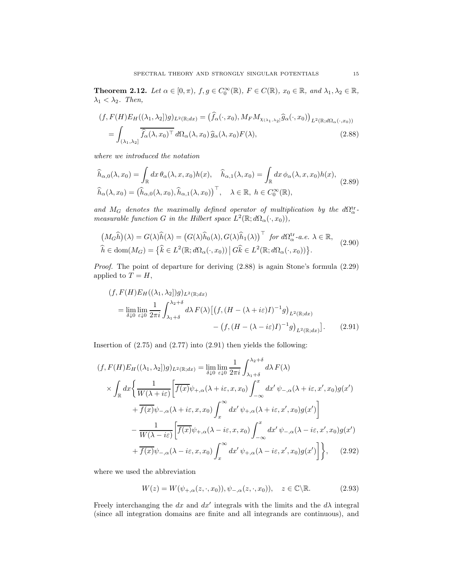**Theorem 2.12.** Let  $\alpha \in [0, \pi)$ ,  $f, g \in C_0^{\infty}(\mathbb{R})$ ,  $F \in C(\mathbb{R})$ ,  $x_0 \in \mathbb{R}$ , and  $\lambda_1, \lambda_2 \in \mathbb{R}$ ,  $\lambda_1 < \lambda_2$ . Then,

$$
(f, F(H)E_H((\lambda_1, \lambda_2)g)_{L^2(\mathbb{R};dx)} = (\hat{f}_{\alpha}(\cdot, x_0), M_F M_{\chi_{(\lambda_1, \lambda_2)}} \hat{g}_{\alpha}(\cdot, x_0))_{L^2(\mathbb{R};d\Omega_{\alpha}(\cdot, x_0))}
$$
  
= 
$$
\int_{(\lambda_1, \lambda_2]} \overline{\hat{f}_{\alpha}(\lambda, x_0)^{\top}} d\Omega_{\alpha}(\lambda, x_0) \hat{g}_{\alpha}(\lambda, x_0) F(\lambda),
$$
 (2.88)

where we introduced the notation

$$
\widehat{h}_{\alpha,0}(\lambda, x_0) = \int_{\mathbb{R}} dx \,\theta_{\alpha}(\lambda, x, x_0) h(x), \quad \widehat{h}_{\alpha,1}(\lambda, x_0) = \int_{\mathbb{R}} dx \,\phi_{\alpha}(\lambda, x, x_0) h(x),
$$
\n
$$
\widehat{h}_{\alpha}(\lambda, x_0) = \left(\widehat{h}_{\alpha,0}(\lambda, x_0), \widehat{h}_{\alpha,1}(\lambda, x_0)\right)^\top, \quad \lambda \in \mathbb{R}, \ h \in C_0^\infty(\mathbb{R}),
$$
\n(2.89)

and  $M_G$  denotes the maximally defined operator of multiplication by the  $d\Omega^{\text{tr}}_{\alpha}$ measurable function G in the Hilbert space  $L^2(\mathbb{R}; d\Omega_{\alpha}(\cdot, x_0)),$ 

$$
\left(M_G\widehat{h}\right)(\lambda) = G(\lambda)\widehat{h}(\lambda) = \left(G(\lambda)\widehat{h}_0(\lambda), G(\lambda)\widehat{h}_1(\lambda)\right)^\top \text{ for } d\Omega_\alpha^{\text{tr}}\text{-a.e. } \lambda \in \mathbb{R},
$$
\n
$$
\widehat{h} \in \text{dom}(M_G) = \left\{\widehat{k} \in L^2(\mathbb{R}; d\Omega_\alpha(\cdot, x_0)) \, \middle| \, G\widehat{k} \in L^2(\mathbb{R}; d\Omega_\alpha(\cdot, x_0))\right\}.
$$
\n(2.90)

Proof. The point of departure for deriving (2.88) is again Stone's formula (2.29) applied to  $T = H$ ,

$$
(f, F(H)E_H((\lambda_1, \lambda_2|)g)_{L^2(\mathbb{R};dx)}
$$
  
= 
$$
\lim_{\delta \downarrow 0} \lim_{\varepsilon \downarrow 0} \frac{1}{2\pi i} \int_{\lambda_1 + \delta}^{\lambda_2 + \delta} d\lambda F(\lambda) \left[ \left( f, (H - (\lambda + i\varepsilon)I)^{-1}g \right)_{L^2(\mathbb{R};dx)} - \left( f, (H - (\lambda - i\varepsilon)I)^{-1}g \right)_{L^2(\mathbb{R};dx)} \right].
$$
 (2.91)

Insertion of  $(2.75)$  and  $(2.77)$  into  $(2.91)$  then yields the following:

$$
(f, F(H)E_H((\lambda_1, \lambda_2))g)_{L^2(\mathbb{R};dx)} = \lim_{\delta \downarrow 0} \lim_{\varepsilon \downarrow 0} \frac{1}{2\pi i} \int_{\lambda_1 + \delta}^{\lambda_2 + \delta} d\lambda F(\lambda)
$$
  

$$
\times \int_{\mathbb{R}} dx \Biggl\{ \frac{1}{W(\lambda + i\varepsilon)} \Biggl[ \overline{f(x)} \psi_{+, \alpha}(\lambda + i\varepsilon, x, x_0) \int_{-\infty}^x dx' \psi_{-, \alpha}(\lambda + i\varepsilon, x', x_0) g(x') \Biggr] + \overline{f(x)} \psi_{-, \alpha}(\lambda + i\varepsilon, x, x_0) \int_x^\infty dx' \psi_{+, \alpha}(\lambda + i\varepsilon, x', x_0) g(x') \Biggr] - \frac{1}{W(\lambda - i\varepsilon)} \Biggl[ \overline{f(x)} \psi_{+, \alpha}(\lambda - i\varepsilon, x, x_0) \int_{-\infty}^x dx' \psi_{-, \alpha}(\lambda - i\varepsilon, x', x_0) g(x') + \overline{f(x)} \psi_{-, \alpha}(\lambda - i\varepsilon, x, x_0) \int_x^\infty dx' \psi_{+, \alpha}(\lambda - i\varepsilon, x', x_0) g(x') \Biggr] \Biggr\}, \quad (2.92)
$$

where we used the abbreviation

$$
W(z) = W(\psi_{+,\alpha}(z,\cdot,x_0)), \psi_{-,\alpha}(z,\cdot,x_0)), \quad z \in \mathbb{C} \backslash \mathbb{R}.
$$
 (2.93)

Freely interchanging the dx and  $dx'$  integrals with the limits and the  $d\lambda$  integral (since all integration domains are finite and all integrands are continuous), and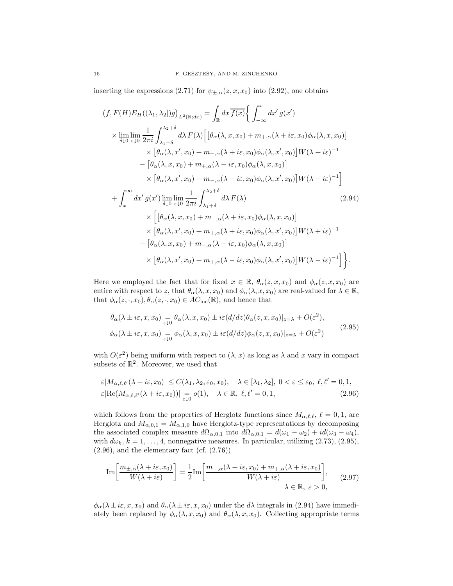inserting the expressions (2.71) for  $\psi_{\pm,\alpha}(z,x,x_0)$  into (2.92), one obtains

$$
(f, F(H)E_H((\lambda_1, \lambda_2)g)_{L^2(\mathbb{R};dx)} = \int_{\mathbb{R}} dx \overline{f(x)} \Big\{ \int_{-\infty}^x dx' g(x')
$$
  
\n
$$
\times \lim_{\delta \downarrow 0} \lim_{\varepsilon \downarrow 0} \frac{1}{2\pi i} \int_{\lambda_1 + \delta}^{\lambda_2 + \delta} d\lambda F(\lambda) \Big[ \big[ \theta_\alpha(\lambda, x, x_0) + m_{+,\alpha}(\lambda + i\varepsilon, x_0) \phi_\alpha(\lambda, x, x_0) \big] \Big] \times \big[ \theta_\alpha(\lambda, x', x_0) + m_{-,\alpha}(\lambda + i\varepsilon, x_0) \phi_\alpha(\lambda, x', x_0) \big] W(\lambda + i\varepsilon)^{-1}
$$
  
\n
$$
- \big[ \theta_\alpha(\lambda, x, x_0) + m_{+,\alpha}(\lambda - i\varepsilon, x_0) \phi_\alpha(\lambda, x, x_0) \big] \Big] W(\lambda - i\varepsilon)^{-1} \Big]
$$
  
\n
$$
\times \big[ \theta_\alpha(\lambda, x', x_0) + m_{-,\alpha}(\lambda - i\varepsilon, x_0) \phi_\alpha(\lambda, x', x_0) \big] W(\lambda - i\varepsilon)^{-1} \Big]
$$
  
\n
$$
+ \int_x^\infty dx' g(x') \lim_{\delta \downarrow 0} \lim_{\varepsilon \downarrow 0} \frac{1}{2\pi i} \int_{\lambda_1 + \delta}^{\lambda_2 + \delta} d\lambda F(\lambda) \Big[ \theta_\alpha(\lambda, x, x_0) + m_{-,\alpha}(\lambda + i\varepsilon, x_0) \phi_\alpha(\lambda, x, x_0) \Big] \times \big[ \theta_\alpha(\lambda, x', x_0) + m_{+,\alpha}(\lambda + i\varepsilon, x_0) \phi_\alpha(\lambda, x', x_0) \big] W(\lambda + i\varepsilon)^{-1}
$$
  
\n
$$
- \big[ \theta_\alpha(\lambda, x, x_0) + m_{-,\alpha}(\lambda - i\varepsilon, x_0) \phi_\alpha(\lambda, x', x_0) \big] W(\lambda - i\varepsilon)^{-1} \Big] \Big\}.
$$
  
\n
$$
\times \big[ \theta_\alpha(\lambda, x', x_0) + m_{+,\alpha}(\lambda - i\varepsilon, x_0) \phi_\alpha(\lambda,
$$

Here we employed the fact that for fixed  $x \in \mathbb{R}$ ,  $\theta_{\alpha}(z, x, x_0)$  and  $\phi_{\alpha}(z, x, x_0)$  are entire with respect to z, that  $\theta_{\alpha}(\lambda, x, x_0)$  and  $\phi_{\alpha}(\lambda, x, x_0)$  are real-valued for  $\lambda \in \mathbb{R}$ , that  $\phi_{\alpha}(z, \cdot, x_0), \theta_{\alpha}(z, \cdot, x_0) \in AC_{\text{loc}}(\mathbb{R})$ , and hence that

$$
\theta_{\alpha}(\lambda \pm i\varepsilon, x, x_0) = \theta_{\alpha}(\lambda, x, x_0) \pm i\varepsilon (d/dz) \theta_{\alpha}(z, x, x_0)|_{z=\lambda} + O(\varepsilon^2),
$$
  

$$
\phi_{\alpha}(\lambda \pm i\varepsilon, x, x_0) = \phi_{\alpha}(\lambda, x, x_0) \pm i\varepsilon (d/dz) \phi_{\alpha}(z, x, x_0)|_{z=\lambda} + O(\varepsilon^2)
$$
(2.95)

with  $O(\varepsilon^2)$  being uniform with respect to  $(\lambda, x)$  as long as  $\lambda$  and x vary in compact subsets of  $\mathbb{R}^2$ . Moreover, we used that

$$
\varepsilon |M_{\alpha,\ell,\ell'}(\lambda + i\varepsilon, x_0)| \le C(\lambda_1, \lambda_2, \varepsilon_0, x_0), \quad \lambda \in [\lambda_1, \lambda_2], \ 0 < \varepsilon \le \varepsilon_0, \ \ell, \ell' = 0, 1, \n\varepsilon |\text{Re}(M_{\alpha,\ell,\ell'}(\lambda + i\varepsilon, x_0))| = o(1), \quad \lambda \in \mathbb{R}, \ \ell, \ell' = 0, 1, \tag{2.96}
$$

which follows from the properties of Herglotz functions since  $M_{\alpha,\ell,\ell}$ ,  $\ell = 0,1$ , are Herglotz and  $M_{\alpha,0,1} = M_{\alpha,1,0}$  have Herglotz-type representations by decomposing the associated complex measure  $d\Omega_{\alpha,0,1}$  into  $d\Omega_{\alpha,0,1} = d(\omega_1 - \omega_2) + id(\omega_3 - \omega_4)$ , with  $d\omega_k$ ,  $k = 1, \ldots, 4$ , nonnegative measures. In particular, utilizing (2.73), (2.95),  $(2.96)$ , and the elementary fact  $(cf. (2.76))$ 

$$
\operatorname{Im}\left[\frac{m_{\pm,\alpha}(\lambda+i\varepsilon,x_0)}{W(\lambda+i\varepsilon)}\right] = \frac{1}{2}\operatorname{Im}\left[\frac{m_{-,\alpha}(\lambda+i\varepsilon,x_0)+m_{+,\alpha}(\lambda+i\varepsilon,x_0)}{W(\lambda+i\varepsilon)}\right],\qquad(2.97)
$$
  

$$
\lambda \in \mathbb{R}, \ \varepsilon > 0,
$$

 $\phi_{\alpha}(\lambda \pm i\varepsilon, x, x_0)$  and  $\theta_{\alpha}(\lambda \pm i\varepsilon, x, x_0)$  under the  $d\lambda$  integrals in (2.94) have immediately been replaced by  $\phi_{\alpha}(\lambda, x, x_0)$  and  $\theta_{\alpha}(\lambda, x, x_0)$ . Collecting appropriate terms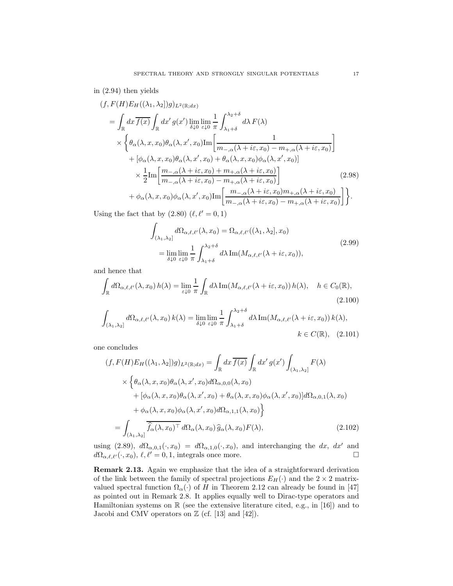# in (2.94) then yields

$$
(f, F(H)E_H((\lambda_1, \lambda_2)g)_{L^2(\mathbb{R};dx)}
$$
\n
$$
= \int_{\mathbb{R}} dx \overline{f(x)} \int_{\mathbb{R}} dx' g(x') \lim_{\delta \downarrow 0} \lim_{\varepsilon \downarrow 0} \frac{1}{\pi} \int_{\lambda_1 + \delta}^{\lambda_2 + \delta} d\lambda F(\lambda)
$$
\n
$$
\times \left\{ \theta_\alpha(\lambda, x, x_0) \theta_\alpha(\lambda, x', x_0) \text{Im} \left[ \frac{1}{m_{-,\alpha}(\lambda + i\varepsilon, x_0) - m_{+,\alpha}(\lambda + i\varepsilon, x_0)} \right] + \left[ \phi_\alpha(\lambda, x, x_0) \theta_\alpha(\lambda, x', x_0) + \theta_\alpha(\lambda, x, x_0) \phi_\alpha(\lambda, x', x_0) \right] \right\}
$$
\n
$$
\times \frac{1}{2} \text{Im} \left[ \frac{m_{-,\alpha}(\lambda + i\varepsilon, x_0) + m_{+,\alpha}(\lambda + i\varepsilon, x_0)}{m_{-,\alpha}(\lambda + i\varepsilon, x_0) - m_{+,\alpha}(\lambda + i\varepsilon, x_0)} \right] \tag{2.98}
$$
\n
$$
+ \phi_\alpha(\lambda, x, x_0) \phi_\alpha(\lambda, x', x_0) \text{Im} \left[ \frac{m_{-,\alpha}(\lambda + i\varepsilon, x_0) m_{+,\alpha}(\lambda + i\varepsilon, x_0)}{m_{-,\alpha}(\lambda + i\varepsilon, x_0) - m_{+,\alpha}(\lambda + i\varepsilon, x_0)} \right] \right\}.
$$

Using the fact that by  $(2.80)$   $(\ell, \ell' = 0, 1)$ 

$$
\int_{(\lambda_1,\lambda_2]} d\Omega_{\alpha,\ell,\ell'}(\lambda, x_0) = \Omega_{\alpha,\ell,\ell'}((\lambda_1,\lambda_2], x_0)
$$
\n
$$
= \lim_{\delta \downarrow 0} \lim_{\varepsilon \downarrow 0} \frac{1}{\pi} \int_{\lambda_1+\delta}^{\lambda_2+\delta} d\lambda \operatorname{Im}(M_{\alpha,\ell,\ell'}(\lambda + i\varepsilon, x_0)),
$$
\n(2.99)

and hence that

$$
\int_{\mathbb{R}} d\Omega_{\alpha,\ell,\ell'}(\lambda, x_0) h(\lambda) = \lim_{\varepsilon \downarrow 0} \frac{1}{\pi} \int_{\mathbb{R}} d\lambda \operatorname{Im}(M_{\alpha,\ell,\ell'}(\lambda + i\varepsilon, x_0)) h(\lambda), \quad h \in C_0(\mathbb{R}),
$$
\n(2.100)

$$
\int_{(\lambda_1,\lambda_2]} d\Omega_{\alpha,\ell,\ell'}(\lambda,x_0) k(\lambda) = \lim_{\delta \downarrow 0} \lim_{\varepsilon \downarrow 0} \frac{1}{\pi} \int_{\lambda_1+\delta}^{\lambda_2+\delta} d\lambda \operatorname{Im}(M_{\alpha,\ell,\ell'}(\lambda + i\varepsilon,x_0)) k(\lambda),
$$
  
  $k \in C(\mathbb{R}), (2.101)$ 

one concludes

$$
(f, F(H)E_H((\lambda_1, \lambda_2)g)_{L^2(\mathbb{R};dx)} = \int_{\mathbb{R}} dx \overline{f(x)} \int_{\mathbb{R}} dx' g(x') \int_{(\lambda_1, \lambda_2]} F(\lambda)
$$
  
 
$$
\times \left\{ \theta_\alpha(\lambda, x, x_0) \theta_\alpha(\lambda, x', x_0) d\Omega_{\alpha, 0, 0}(\lambda, x_0) + [\phi_\alpha(\lambda, x, x_0) \theta_\alpha(\lambda, x', x_0) + \theta_\alpha(\lambda, x, x_0) \phi_\alpha(\lambda, x', x_0)] d\Omega_{\alpha, 0, 1}(\lambda, x_0) + \phi_\alpha(\lambda, x, x_0) \phi_\alpha(\lambda, x', x_0) d\Omega_{\alpha, 1, 1}(\lambda, x_0) \right\}
$$
  
= 
$$
\int_{(\lambda_1, \lambda_2]} \overline{\hat{f}_\alpha(\lambda, x_0)^\top} d\Omega_\alpha(\lambda, x_0) \hat{g}_\alpha(\lambda, x_0) F(\lambda),
$$
 (2.102)

using (2.89),  $d\Omega_{\alpha,0,1}(\cdot, x_0) = d\Omega_{\alpha,1,0}(\cdot, x_0)$ , and interchanging the dx, dx' and  $d\Omega_{\alpha,\ell,\ell'}(\cdot,x_0),\,\ell,\ell'=0,1,$  integrals once more.

Remark 2.13. Again we emphasize that the idea of a straightforward derivation of the link between the family of spectral projections  $E_H(\cdot)$  and the  $2 \times 2$  matrixvalued spectral function  $\Omega_{\alpha}(\cdot)$  of H in Theorem 2.12 can already be found in [47] as pointed out in Remark 2.8. It applies equally well to Dirac-type operators and Hamiltonian systems on  $\mathbb R$  (see the extensive literature cited, e.g., in [16]) and to Jacobi and CMV operators on  $\mathbb{Z}$  (cf. [13] and [42]).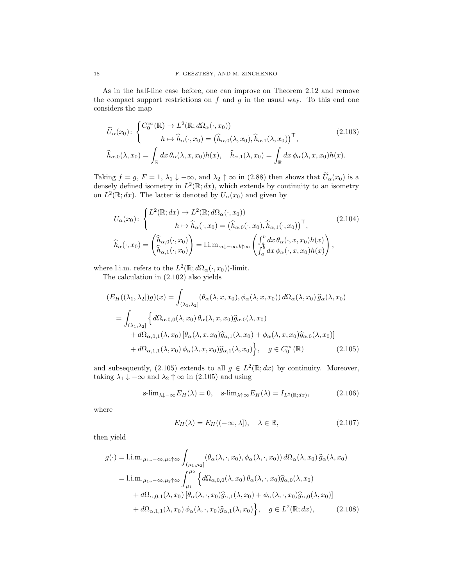As in the half-line case before, one can improve on Theorem 2.12 and remove the compact support restrictions on  $f$  and  $g$  in the usual way. To this end one considers the map

$$
\widetilde{U}_{\alpha}(x_0): \begin{cases}\nC_0^{\infty}(\mathbb{R}) \to L^2(\mathbb{R}; d\Omega_{\alpha}(\cdot, x_0)) \\
h \mapsto \widehat{h}_{\alpha}(\cdot, x_0) = (\widehat{h}_{\alpha,0}(\lambda, x_0), \widehat{h}_{\alpha,1}(\lambda, x_0))^\top, \\
\widehat{h}_{\alpha,0}(\lambda, x_0) = \int_{\mathbb{R}} dx \,\theta_{\alpha}(\lambda, x, x_0) h(x), \quad \widehat{h}_{\alpha,1}(\lambda, x_0) = \int_{\mathbb{R}} dx \,\phi_{\alpha}(\lambda, x, x_0) h(x).\n\end{cases} (2.103)
$$

Taking  $f = g$ ,  $F = 1$ ,  $\lambda_1 \downarrow -\infty$ , and  $\lambda_2 \uparrow \infty$  in (2.88) then shows that  $U_{\alpha}(x_0)$  is a densely defined isometry in  $L^2(\mathbb{R};dx)$ , which extends by continuity to an isometry on  $L^2(\mathbb{R}; dx)$ . The latter is denoted by  $U_{\alpha}(x_0)$  and given by

$$
U_{\alpha}(x_{0}) \colon \begin{cases} L^{2}(\mathbb{R}; dx) \to L^{2}(\mathbb{R}; d\Omega_{\alpha}(\cdot, x_{0})) \\ h \mapsto \widehat{h}_{\alpha}(\cdot, x_{0}) = (\widehat{h}_{\alpha,0}(\cdot, x_{0}), \widehat{h}_{\alpha,1}(\cdot, x_{0}))^{\top}, \\ \widehat{h}_{\alpha}(\cdot, x_{0}) = \begin{pmatrix} \widehat{h}_{\alpha,0}(\cdot, x_{0}) \\ \widehat{h}_{\alpha,1}(\cdot, x_{0}) \end{pmatrix} = 1 \text{.im.}_{a\downarrow -\infty, b\uparrow\infty} \begin{pmatrix} \int_{a}^{b} dx \, \theta_{\alpha}(\cdot, x, x_{0}) h(x) \\ \int_{a}^{b} dx \, \phi_{\alpha}(\cdot, x, x_{0}) h(x) \end{pmatrix}, \end{cases}
$$
(2.104)

where l.i.m. refers to the  $L^2(\mathbb{R}; d\Omega_\alpha(\cdot, x_0))$ -limit.

The calculation in (2.102) also yields

$$
(E_H((\lambda_1, \lambda_2))g)(x) = \int_{(\lambda_1, \lambda_2]} (\theta_\alpha(\lambda, x, x_0), \phi_\alpha(\lambda, x, x_0)) d\Omega_\alpha(\lambda, x_0) \widehat{g}_\alpha(\lambda, x_0)
$$
  
= 
$$
\int_{(\lambda_1, \lambda_2]} \left\{ d\Omega_{\alpha, 0, 0}(\lambda, x_0) \theta_\alpha(\lambda, x, x_0) \widehat{g}_{\alpha, 0}(\lambda, x_0) + d\Omega_{\alpha, 0, 1}(\lambda, x_0) [\theta_\alpha(\lambda, x, x_0) \widehat{g}_{\alpha, 1}(\lambda, x_0) + \phi_\alpha(\lambda, x, x_0) \widehat{g}_{\alpha, 0}(\lambda, x_0)] \right\}
$$
  
+ 
$$
d\Omega_{\alpha, 1, 1}(\lambda, x_0) \phi_\alpha(\lambda, x, x_0) \widehat{g}_{\alpha, 1}(\lambda, x_0) \left.\right\}, \quad g \in C_0^\infty(\mathbb{R}) \tag{2.105}
$$

and subsequently, (2.105) extends to all  $g \in L^2(\mathbb{R}; dx)$  by continuity. Moreover, taking  $\lambda_1 \downarrow -\infty$  and  $\lambda_2 \uparrow \infty$  in (2.105) and using

$$
\text{s-lim}_{\lambda \downarrow -\infty} E_H(\lambda) = 0, \quad \text{s-lim}_{\lambda \uparrow \infty} E_H(\lambda) = I_{L^2(\mathbb{R};dx)}, \tag{2.106}
$$

where

$$
E_H(\lambda) = E_H((-\infty, \lambda]), \quad \lambda \in \mathbb{R}, \tag{2.107}
$$

then yield

$$
g(\cdot) = 1 \text{.i.m.}_{\mu_1 \downarrow -\infty, \mu_2 \uparrow \infty} \int_{(\mu_1, \mu_2]} (\theta_\alpha(\lambda, \cdot, x_0), \phi_\alpha(\lambda, \cdot, x_0)) d\Omega_\alpha(\lambda, x_0) \widehat{g}_\alpha(\lambda, x_0)
$$
  
\n
$$
= 1 \text{.i.m.}_{\mu_1 \downarrow -\infty, \mu_2 \uparrow \infty} \int_{\mu_1}^{\mu_2} \left\{ d\Omega_{\alpha, 0, 0}(\lambda, x_0) \theta_\alpha(\lambda, \cdot, x_0) \widehat{g}_{\alpha, 0}(\lambda, x_0) + d\Omega_{\alpha, 0, 1}(\lambda, x_0) \left[ \theta_\alpha(\lambda, \cdot, x_0) \widehat{g}_{\alpha, 1}(\lambda, x_0) + \phi_\alpha(\lambda, \cdot, x_0) \widehat{g}_{\alpha, 0}(\lambda, x_0) \right] + d\Omega_{\alpha, 1, 1}(\lambda, x_0) \phi_\alpha(\lambda, \cdot, x_0) \widehat{g}_{\alpha, 1}(\lambda, x_0) \right\}, \quad g \in L^2(\mathbb{R}; dx), \tag{2.108}
$$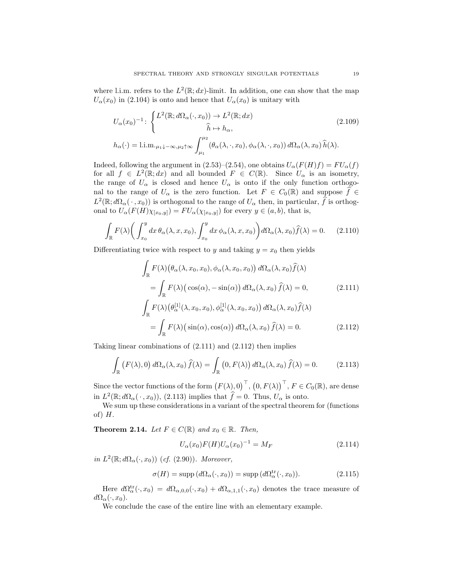where l.i.m. refers to the  $L^2(\mathbb{R}; dx)$ -limit. In addition, one can show that the map  $U_{\alpha}(x_0)$  in (2.104) is onto and hence that  $U_{\alpha}(x_0)$  is unitary with

$$
U_{\alpha}(x_0)^{-1} \colon \begin{cases} L^2(\mathbb{R}; d\Omega_{\alpha}(\cdot, x_0)) \to L^2(\mathbb{R}; dx) \\ \hat{h} \mapsto h_{\alpha}, \end{cases} \tag{2.109}
$$

$$
h_{\alpha}(\cdot) = \lim_{\mu_1 \downarrow -\infty, \mu_2 \uparrow \infty} \int_{\mu_1}^{\mu_2} (\theta_{\alpha}(\lambda, \cdot, x_0), \phi_{\alpha}(\lambda, \cdot, x_0)) d\Omega_{\alpha}(\lambda, x_0) \,\hat{h}(\lambda).
$$

Indeed, following the argument in (2.53)–(2.54), one obtains  $U_{\alpha}(F(H)f) = FU_{\alpha}(f)$ for all  $f \in L^2(\mathbb{R}; dx)$  and all bounded  $F \in C(\mathbb{R})$ . Since  $U_\alpha$  is an isometry, the range of  $U_{\alpha}$  is closed and hence  $U_{\alpha}$  is onto if the only function orthogonal to the range of  $U_{\alpha}$  is the zero function. Let  $F \in C_0(\mathbb{R})$  and suppose  $\hat{f} \in$  $L^2(\mathbb{R}; d\Omega_\alpha(\cdot, x_0))$  is orthogonal to the range of  $U_\alpha$  then, in particular,  $\hat{f}$  is orthogonal to  $U_{\alpha}(F(H)\chi_{[x_0,y]}) = FU_{\alpha}(\chi_{[x_0,y]})$  for every  $y \in (a,b)$ , that is,

$$
\int_{\mathbb{R}} F(\lambda) \bigg( \int_{x_0}^y dx \,\theta_\alpha(\lambda, x, x_0), \int_{x_0}^y dx \,\phi_\alpha(\lambda, x, x_0) \bigg) d\Omega_\alpha(\lambda, x_0) \widehat{f}(\lambda) = 0. \tag{2.110}
$$

Differentiating twice with respect to y and taking  $y = x_0$  then yields

$$
\int_{\mathbb{R}} F(\lambda) (\theta_{\alpha}(\lambda, x_0, x_0), \phi_{\alpha}(\lambda, x_0, x_0)) d\Omega_{\alpha}(\lambda, x_0) \hat{f}(\lambda)
$$
\n
$$
= \int_{\mathbb{R}} F(\lambda) (\cos(\alpha), -\sin(\alpha)) d\Omega_{\alpha}(\lambda, x_0) \hat{f}(\lambda) = 0, \qquad (2.111)
$$
\n
$$
\int_{\mathbb{R}} F(\lambda) (\theta_{\alpha}^{[1]}(\lambda, x_0, x_0), \phi_{\alpha}^{[1]}(\lambda, x_0, x_0)) d\Omega_{\alpha}(\lambda, x_0) \hat{f}(\lambda)
$$
\n
$$
= \int_{\mathbb{R}} F(\lambda) (\sin(\alpha), \cos(\alpha)) d\Omega_{\alpha}(\lambda, x_0) \hat{f}(\lambda) = 0. \qquad (2.112)
$$

Taking linear combinations of (2.111) and (2.112) then implies

$$
\int_{\mathbb{R}} \left( F(\lambda), 0 \right) d\Omega_{\alpha}(\lambda, x_0) \widehat{f}(\lambda) = \int_{\mathbb{R}} \left( 0, F(\lambda) \right) d\Omega_{\alpha}(\lambda, x_0) \widehat{f}(\lambda) = 0. \tag{2.113}
$$

Since the vector functions of the form  $(F(\lambda), 0)^\top, (0, F(\lambda))^\top, F \in C_0(\mathbb{R})$ , are dense in  $L^2(\mathbb{R}; d\Omega_\alpha(\cdot, x_0))$ , (2.113) implies that  $\hat{f} = 0$ . Thus,  $U_\alpha$  is onto.

We sum up these considerations in a variant of the spectral theorem for (functions of)  $H$ .

**Theorem 2.14.** Let  $F \in C(\mathbb{R})$  and  $x_0 \in \mathbb{R}$ . Then,

$$
U_{\alpha}(x_0)F(H)U_{\alpha}(x_0)^{-1} = M_F
$$
\n(2.114)

in  $L^2(\mathbb{R}; d\Omega_\alpha(\cdot, x_0))$  (cf. (2.90)). Moreover,

$$
\sigma(H) = \text{supp}\,(d\Omega_{\alpha}(\cdot, x_0)) = \text{supp}\,(d\Omega_{\alpha}^{\text{tr}}(\cdot, x_0)).\tag{2.115}
$$

Here  $d\Omega_{\alpha}^{\text{tr}}(\cdot, x_0) = d\Omega_{\alpha,0,0}(\cdot, x_0) + d\Omega_{\alpha,1,1}(\cdot, x_0)$  denotes the trace measure of  $d\Omega_{\alpha}(\cdot, x_0)$ .

We conclude the case of the entire line with an elementary example.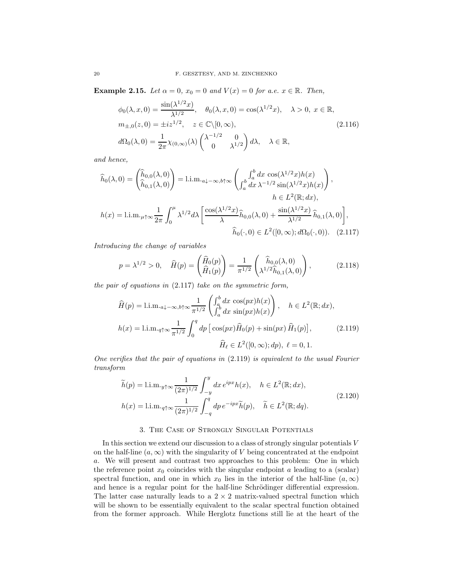**Example 2.15.** Let  $\alpha = 0$ ,  $x_0 = 0$  and  $V(x) = 0$  for a.e.  $x \in \mathbb{R}$ . Then,

$$
\phi_0(\lambda, x, 0) = \frac{\sin(\lambda^{1/2}x)}{\lambda^{1/2}}, \quad \theta_0(\lambda, x, 0) = \cos(\lambda^{1/2}x), \quad \lambda > 0, \ x \in \mathbb{R},
$$
  
\n
$$
m_{\pm,0}(z, 0) = \pm iz^{1/2}, \quad z \in \mathbb{C} \setminus [0, \infty),
$$
  
\n
$$
d\Omega_0(\lambda, 0) = \frac{1}{2\pi} \chi_{(0, \infty)}(\lambda) \begin{pmatrix} \lambda^{-1/2} & 0 \\ 0 & \lambda^{1/2} \end{pmatrix} d\lambda, \quad \lambda \in \mathbb{R},
$$
\n(2.116)

and hence,

$$
\hat{h}_0(\lambda,0) = \begin{pmatrix} \hat{h}_{0,0}(\lambda,0) \\ \hat{h}_{0,1}(\lambda,0) \end{pmatrix} = 1 \text{.i.m.}_{a\downarrow -\infty,b\uparrow\infty} \begin{pmatrix} \int_a^b dx \cos(\lambda^{1/2}x) h(x) \\ \int_a^b dx \lambda^{-1/2} \sin(\lambda^{1/2}x) h(x) \end{pmatrix},
$$
\n
$$
h \in L^2(\mathbb{R};dx),
$$
\n
$$
h(x) = 1 \text{.i.m.}_{\mu\uparrow\infty} \frac{1}{2\pi} \int_0^\mu \lambda^{1/2} d\lambda \left[ \frac{\cos(\lambda^{1/2}x)}{\lambda} \hat{h}_{0,0}(\lambda,0) + \frac{\sin(\lambda^{1/2}x)}{\lambda^{1/2}} \hat{h}_{0,1}(\lambda,0) \right],
$$
\n
$$
\hat{h}_0(\cdot,0) \in L^2([0,\infty);d\Omega_0(\cdot,0)). \quad (2.117)
$$

Introducing the change of variables

$$
p = \lambda^{1/2} > 0, \quad \widehat{H}(p) = \begin{pmatrix} \widehat{H}_0(p) \\ \widehat{H}_1(p) \end{pmatrix} = \frac{1}{\pi^{1/2}} \begin{pmatrix} \widehat{h}_{0,0}(\lambda,0) \\ \lambda^{1/2} \widehat{h}_{0,1}(\lambda,0) \end{pmatrix},
$$
(2.118)

the pair of equations in (2.117) take on the symmetric form,

$$
\widehat{H}(p) = \text{l.i.m.}_{a\downarrow -\infty, b\uparrow\infty} \frac{1}{\pi^{1/2}} \begin{pmatrix} \int_a^b dx \cos(px)h(x) \\ \int_a^b dx \sin(px)h(x) \end{pmatrix}, \quad h \in L^2(\mathbb{R}; dx),
$$

$$
h(x) = \text{l.i.m.}_{q\uparrow\infty} \frac{1}{\pi^{1/2}} \int_0^q dp \left[ \cos(px) \widehat{H}_0(p) + \sin(px) \widehat{H}_1(p) \right], \tag{2.119}
$$

$$
\widehat{H}_\ell \in L^2([0, \infty); dp), \quad \ell = 0, 1.
$$

One verifies that the pair of equations in  $(2.119)$  is equivalent to the usual Fourier transform

$$
\widetilde{h}(p) = \text{l.i.m.}_{y \uparrow \infty} \frac{1}{(2\pi)^{1/2}} \int_{-y}^{y} dx \, e^{ipx} h(x), \quad h \in L^{2}(\mathbb{R}; dx),
$$
\n
$$
h(x) = \text{l.i.m.}_{q \uparrow \infty} \frac{1}{(2\pi)^{1/2}} \int_{-q}^{q} dp \, e^{-ipx} \widetilde{h}(p), \quad \widetilde{h} \in L^{2}(\mathbb{R}; dq).
$$
\n
$$
(2.120)
$$

# 3. The Case of Strongly Singular Potentials

In this section we extend our discussion to a class of strongly singular potentials  $V$ on the half-line  $(a, \infty)$  with the singularity of V being concentrated at the endpoint a. We will present and contrast two approaches to this problem: One in which the reference point  $x_0$  coincides with the singular endpoint a leading to a (scalar) spectral function, and one in which  $x_0$  lies in the interior of the half-line  $(a, \infty)$ and hence is a regular point for the half-line Schrödinger differential expression. The latter case naturally leads to a  $2 \times 2$  matrix-valued spectral function which will be shown to be essentially equivalent to the scalar spectral function obtained from the former approach. While Herglotz functions still lie at the heart of the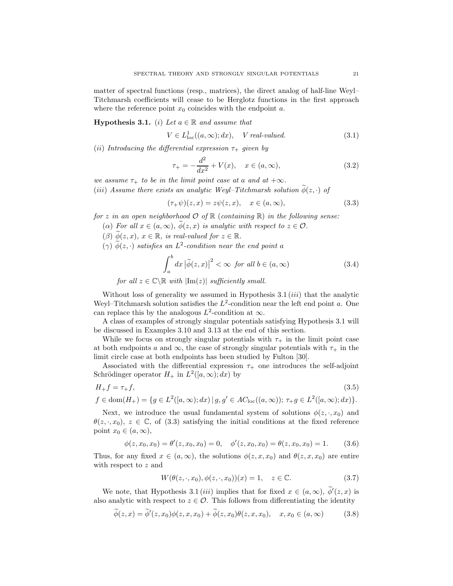matter of spectral functions (resp., matrices), the direct analog of half-line Weyl– Titchmarsh coefficients will cease to be Herglotz functions in the first approach where the reference point  $x_0$  coincides with the endpoint  $a$ .

**Hypothesis 3.1.** (i) Let  $a \in \mathbb{R}$  and assume that

$$
V \in L^1_{loc}((a,\infty);dx), \quad V \text{ real-valued.} \tag{3.1}
$$

(ii) Introducing the differential expression  $\tau_{+}$  given by

$$
\tau_{+} = -\frac{d^{2}}{dx^{2}} + V(x), \quad x \in (a, \infty), \tag{3.2}
$$

we assume  $\tau_+$  to be in the limit point case at a and at  $+\infty$ .

(iii) Assume there exists an analytic Weyl–Titchmarsh solution  $\phi(z, \cdot)$  of

$$
(\tau_{+}\psi)(z,x) = z\psi(z,x), \quad x \in (a,\infty), \tag{3.3}
$$

for z in an open neighborhood  $\mathcal{O}$  of  $\mathbb{R}$  (containing  $\mathbb{R}$ ) in the following sense:

- ( $\alpha$ ) For all  $x \in (a, \infty)$ ,  $\phi(z, x)$  is analytic with respect to  $z \in \mathcal{O}$ .
- $(\beta)$   $\widetilde{\phi}(z, x), x \in \mathbb{R}$ , is real-valued for  $z \in \mathbb{R}$ .
- $(\gamma)$   $\phi(z, \cdot)$  satisfies an  $L^2$ -condition near the end point a

$$
\int_{a}^{b} dx \left| \tilde{\phi}(z, x) \right|^{2} < \infty \text{ for all } b \in (a, \infty)
$$
\n(3.4)

for all  $z \in \mathbb{C} \backslash \mathbb{R}$  with  $|\text{Im}(z)|$  sufficiently small.

Without loss of generality we assumed in Hypothesis  $3.1 (iii)$  that the analytic Weyl-Titchmarsh solution satisfies the  $L^2$ -condition near the left end point a. One can replace this by the analogous  $L^2$ -condition at  $\infty$ .

A class of examples of strongly singular potentials satisfying Hypothesis 3.1 will be discussed in Examples 3.10 and 3.13 at the end of this section.

While we focus on strongly singular potentials with  $\tau_{+}$  in the limit point case at both endpoints a and  $\infty$ , the case of strongly singular potentials with  $\tau_{+}$  in the limit circle case at both endpoints has been studied by Fulton [30].

Associated with the differential expression  $\tau_{+}$  one introduces the self-adjoint Schrödinger operator  $H_+$  in  $L^2([a,\infty);dx)$  by

$$
H_{+}f = \tau_{+}f,
$$
\n
$$
f \in \text{dom}(H_{+}) = \{ g \in L^{2}([a,\infty);dx) \mid g, g' \in AC_{\text{loc}}((a,\infty)); \ \tau_{+}g \in L^{2}([a,\infty);dx) \}.
$$
\n
$$
(3.5)
$$

Next, we introduce the usual fundamental system of solutions  $\phi(z, \cdot, x_0)$  and  $\theta(z, \cdot, x_0), z \in \mathbb{C}$ , of (3.3) satisfying the initial conditions at the fixed reference point  $x_0 \in (a, \infty)$ ,

$$
\phi(z, x_0, x_0) = \theta'(z, x_0, x_0) = 0, \quad \phi'(z, x_0, x_0) = \theta(z, x_0, x_0) = 1. \tag{3.6}
$$

Thus, for any fixed  $x \in (a, \infty)$ , the solutions  $\phi(z, x, x_0)$  and  $\theta(z, x, x_0)$  are entire with respect to z and

$$
W(\theta(z,\cdot,x_0),\phi(z,\cdot,x_0))(x) = 1, \quad z \in \mathbb{C}.\tag{3.7}
$$

We note, that Hypothesis 3.1 *(iii)* implies that for fixed  $x \in (a, \infty)$ ,  $\phi'(z, x)$  is also analytic with respect to  $z \in \mathcal{O}$ . This follows from differentiating the identity

$$
\widetilde{\phi}(z,x) = \widetilde{\phi}'(z,x_0)\phi(z,x,x_0) + \widetilde{\phi}(z,x_0)\theta(z,x,x_0), \quad x, x_0 \in (a,\infty)
$$
\n(3.8)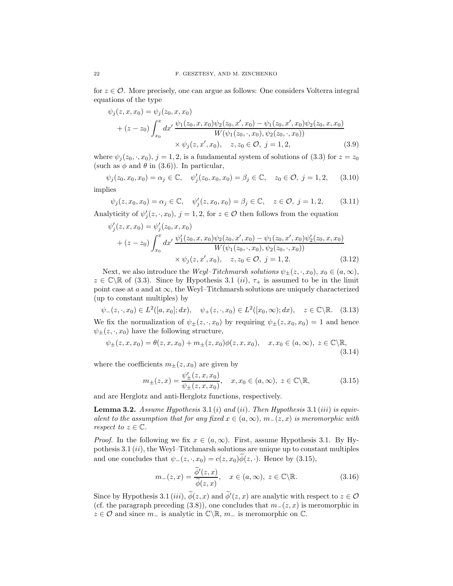for  $z \in \mathcal{O}$ . More precisely, one can argue as follows: One considers Volterra integral equations of the type

$$
\psi_j(z, x, x_0) = \psi_j(z_0, x, x_0)
$$
  
+  $(z - z_0) \int_{x_0}^x dx' \frac{\psi_1(z_0, x, x_0)\psi_2(z_0, x', x_0) - \psi_1(z_0, x', x_0)\psi_2(z_0, x, x_0)}{W(\psi_1(z_0, \cdot, x_0), \psi_2(z_0, \cdot, x_0))}$   
  $\times \psi_j(z, x', x_0), \quad z, z_0 \in \mathcal{O}, j = 1, 2,$  (3.9)

where  $\psi_j(z_0, \cdot, x_0)$ ,  $j = 1, 2$ , is a fundamental system of solutions of (3.3) for  $z = z_0$ (such as  $\phi$  and  $\theta$  in (3.6)). In particular,

$$
\psi_j(z_0, x_0, x_0) = \alpha_j \in \mathbb{C}, \quad \psi'_j(z_0, x_0, x_0) = \beta_j \in \mathbb{C}, \quad z_0 \in \mathcal{O}, \ j = 1, 2, \tag{3.10}
$$

implies

$$
\psi_j(z, x_0, x_0) = \alpha_j \in \mathbb{C}, \quad \psi_j'(z, x_0, x_0) = \beta_j \in \mathbb{C}, \quad z \in \mathcal{O}, \ j = 1, 2,
$$
 (3.11)

Analyticity of  $\psi_j'(z, \cdot, x_0)$ ,  $j = 1, 2$ , for  $z \in \mathcal{O}$  then follows from the equation

$$
\psi'_j(z, x, x_0) = \psi'_j(z_0, x, x_0)
$$
  
+  $(z - z_0) \int_{x_0}^x dx' \frac{\psi'_1(z_0, x, x_0)\psi_2(z_0, x', x_0) - \psi_1(z_0, x', x_0)\psi'_2(z_0, x, x_0)}{W(\psi_1(z_0, \cdot, x_0), \psi_2(z_0, \cdot, x_0))}$   
  $\times \psi_j(z, x', x_0), \quad z, z_0 \in \mathcal{O}, j = 1, 2.$  (3.12)

Next, we also introduce the *Weyl–Titchmarsh solutions*  $\psi_{\pm}(z, \cdot, x_0)$ ,  $x_0 \in (a, \infty)$ ,  $z \in \mathbb{C} \backslash \mathbb{R}$  of (3.3). Since by Hypothesis 3.1 (*ii*),  $\tau_+$  is assumed to be in the limit point case at  $a$  and at  $\infty$ , the Weyl–Titchmarsh solutions are uniquely characterized (up to constant multiples) by

 $\psi_{-}(z, \cdot, x_0) \in L^2([a, x_0]; dx), \quad \psi_{+}(z, \cdot, x_0) \in L^2([x_0, \infty); dx), \quad z \in \mathbb{C} \backslash \mathbb{R}.$  (3.13) We fix the normalization of  $\psi_{\pm}(z, \cdot, x_0)$  by requiring  $\psi_{\pm}(z, x_0, x_0) = 1$  and hence  $\psi_{\pm}(z,\cdot,x_0)$  have the following structure,

$$
\psi_{\pm}(z, x, x_0) = \theta(z, x, x_0) + m_{\pm}(z, x_0)\phi(z, x, x_0), \quad x, x_0 \in (a, \infty), \ z \in \mathbb{C} \backslash \mathbb{R},
$$
\n(3.14)

where the coefficients  $m_{\pm}(z, x_0)$  are given by

$$
m_{\pm}(z,x) = \frac{\psi'_{\pm}(z,x,x_0)}{\psi_{\pm}(z,x,x_0)}, \quad x, x_0 \in (a,\infty), \ z \in \mathbb{C} \backslash \mathbb{R}, \tag{3.15}
$$

and are Herglotz and anti-Herglotz functions, respectively.

**Lemma 3.2.** Assume Hypothesis 3.1 (i) and (ii). Then Hypothesis 3.1 (iii) is equivalent to the assumption that for any fixed  $x \in (a,\infty), m_-(z,x)$  is meromorphic with respect to  $z \in \mathbb{C}$ .

*Proof.* In the following we fix  $x \in (a, \infty)$ . First, assume Hypothesis 3.1. By Hypothesis  $3.1 \, (ii)$ , the Weyl–Titchmarsh solutions are unique up to constant multiples and one concludes that  $\psi_-(z, \cdot, x_0) = c(z, x_0) \widetilde{\phi}(z, \cdot)$ . Hence by (3.15),

$$
m_{-}(z,x) = \frac{\phi'(z,x)}{\widetilde{\phi}(z,x)}, \quad x \in (a,\infty), \ z \in \mathbb{C} \backslash \mathbb{R}.
$$
 (3.16)

Since by Hypothesis 3.1 (iii),  $\phi(z, x)$  and  $\phi'(z, x)$  are analytic with respect to  $z \in \mathcal{O}$ (cf. the paragraph preceding (3.8)), one concludes that  $m_-(z, x)$  is meromorphic in  $z \in \mathcal{O}$  and since  $m_-\$  is analytic in  $\mathbb{C}\backslash\mathbb{R}$ ,  $m_-\$  is meromorphic on  $\mathbb{C}$ .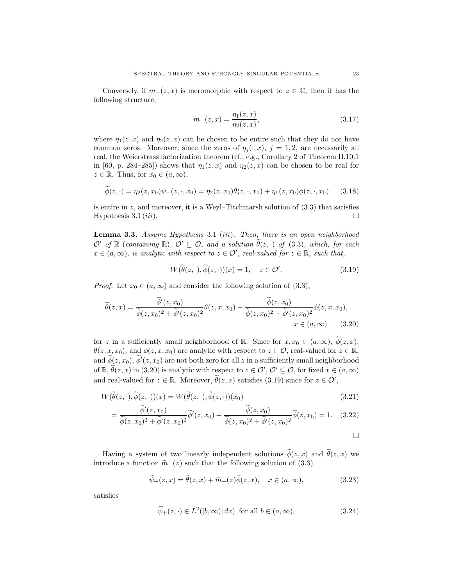Conversely, if  $m_-(z, x)$  is meromorphic with respect to  $z \in \mathbb{C}$ , then it has the following structure,

$$
m_{-}(z,x) = \frac{\eta_1(z,x)}{\eta_2(z,x)},
$$
\n(3.17)

where  $\eta_1(z, x)$  and  $\eta_2(z, x)$  can be chosen to be entire such that they do not have common zeros. Moreover, since the zeros of  $\eta_i(\cdot, x)$ ,  $j = 1, 2$ , are necessarily all real, the Weierstrass factorization theorem (cf., e.g., Corollary 2 of Theorem II.10.1 in [60, p. 284–285]) shows that  $\eta_1(z, x)$  and  $\eta_2(z, x)$  can be chosen to be real for  $z \in \mathbb{R}$ . Thus, for  $x_0 \in (a, \infty)$ ,

$$
\widetilde{\phi}(z, \cdot) = \eta_2(z, x_0)\psi_-(z, \cdot, x_0) = \eta_2(z, x_0)\theta(z, \cdot, x_0) + \eta_1(z, x_0)\phi(z, \cdot, x_0) \tag{3.18}
$$

is entire in  $z$ , and moreover, it is a Weyl–Titchmarsh solution of  $(3.3)$  that satisfies Hypothesis 3.1  $(iii)$ .

Lemma 3.3. Assume Hypothesis 3.1 (iii). Then, there is an open neighborhood  $\mathcal{O}'$  of  $\mathbb R$  (containing  $\mathbb R$ ),  $\mathcal{O}' \subseteq \mathcal{O}$ , and a solution  $\theta(z, \cdot)$  of (3.3), which, for each  $x \in (a, \infty)$ , is analytic with respect to  $z \in \mathcal{O}'$ , real-valued for  $z \in \mathbb{R}$ , such that,

$$
W(\widetilde{\theta}(z,\cdot),\widetilde{\phi}(z,\cdot))(x) = 1, \quad z \in \mathcal{O}'.\tag{3.19}
$$

*Proof.* Let  $x_0 \in (a, \infty)$  and consider the following solution of  $(3.3)$ ,

$$
\widetilde{\theta}(z,x) = \frac{\widetilde{\phi}'(z,x_0)}{\widetilde{\phi}(z,x_0)^2 + \widetilde{\phi}'(z,x_0)^2} \theta(z,x,x_0) - \frac{\widetilde{\phi}(z,x_0)}{\widetilde{\phi}(z,x_0)^2 + \widetilde{\phi}'(z,x_0)^2} \phi(z,x,x_0),
$$
\n
$$
x \in (a,\infty)
$$
\n(3.20)

for z in a sufficiently small neighborhood of R. Since for  $x, x_0 \in (a, \infty)$ ,  $\widetilde{\phi}(z, x)$ ,  $\theta(z, x, x_0)$ , and  $\phi(z, x, x_0)$  are analytic with respect to  $z \in \mathcal{O}$ , real-valued for  $z \in \mathbb{R}$ , and  $\phi(z, x_0), \phi'(z, x_0)$  are not both zero for all  $z$  in a sufficiently small neighborhood of  $\mathbb{R}, \widetilde{\theta}(z, x)$  in  $(3.20)$  is analytic with respect to  $z \in \mathcal{O}'$ ,  $\mathcal{O}' \subseteq \mathcal{O}$ , for fixed  $x \in (a, \infty)$ and real-valued for  $z \in \mathbb{R}$ . Moreover,  $\tilde{\theta}(z, x)$  satisfies  $(3.19)$  since for  $z \in \mathcal{O}'$ ,

$$
W(\widetilde{\theta}(z,\cdot),\widetilde{\phi}(z,\cdot))(x) = W(\widetilde{\theta}(z,\cdot),\widetilde{\phi}(z,\cdot))(x_0)
$$
\n
$$
\widetilde{\phi}(z,\cdot) \tag{3.21}
$$

$$
= \frac{\phi'(z, x_0)}{\widetilde{\phi}(z, x_0)^2 + \widetilde{\phi}'(z, x_0)^2} \widetilde{\phi}'(z, x_0) + \frac{\phi(z, x_0)}{\widetilde{\phi}(z, x_0)^2 + \widetilde{\phi}'(z, x_0)^2} \widetilde{\phi}(z, x_0) = 1. \quad (3.22)
$$

$$
\Box
$$

Having a system of two linearly independent solutions  $\widetilde{\phi}(z, x)$  and  $\widetilde{\theta}(z, x)$  we introduce a function  $\widetilde{m}_+(z)$  such that the following solution of (3.3)

$$
\widetilde{\psi}_{+}(z,x) = \widetilde{\theta}(z,x) + \widetilde{m}_{+}(z)\widetilde{\phi}(z,x), \quad x \in (a,\infty), \tag{3.23}
$$

satisfies

$$
\widetilde{\psi}_{+}(z,\cdot) \in L^{2}([b,\infty);dx) \text{ for all } b \in (a,\infty), \tag{3.24}
$$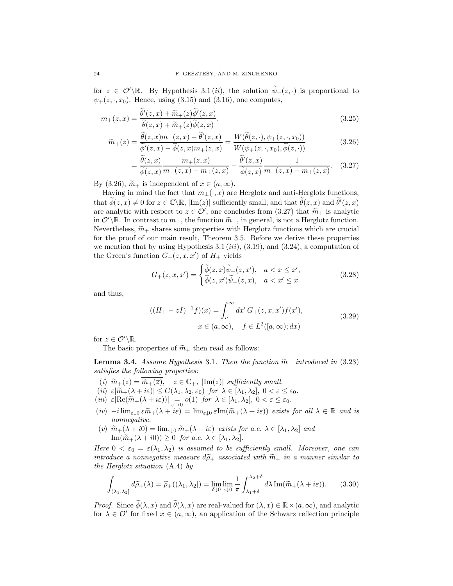for  $z \in \mathcal{O}'\backslash\mathbb{R}$ . By Hypothesis 3.1 (*ii*), the solution  $\psi_+(z, \cdot)$  is proportional to  $\psi_{+}(z, \cdot, x_0)$ . Hence, using (3.15) and (3.16), one computes,

$$
m_{+}(z,x) = \frac{\tilde{\theta}'(z,x) + \tilde{m}_{+}(z)\tilde{\phi}'(z,x)}{\tilde{\theta}(z,x) + \tilde{m}_{+}(z)\tilde{\phi}(z,x)},
$$
\n(3.25)

$$
\widetilde{m}_+(z) = \frac{\widetilde{\theta}(z,x)m_+(z,x) - \widetilde{\theta}'(z,x)}{\widetilde{\phi}'(z,x) - \widetilde{\phi}(z,x)m_+(z,x)} = \frac{W(\widetilde{\theta}(z,\cdot), \psi_+(z,\cdot,x_0))}{W(\psi_+(z,\cdot,x_0), \widetilde{\phi}(z,\cdot))}
$$
(3.26)

$$
= \frac{\widetilde{\theta}(z,x)}{\widetilde{\phi}(z,x)} \frac{m_+(z,x)}{m_-(z,x) - m_+(z,x)} - \frac{\widetilde{\theta}'(z,x)}{\widetilde{\phi}(z,x)} \frac{1}{m_-(z,x) - m_+(z,x)}.\tag{3.27}
$$

By (3.26),  $\widetilde{m}_+$  is independent of  $x \in (a,\infty)$ .

Having in mind the fact that  $m_+(\cdot, x)$  are Herglotz and anti-Herglotz functions, that  $\widetilde{\phi}(z, x) \neq 0$  for  $z \in \mathbb{C} \setminus \mathbb{R}$ ,  $|\text{Im}(z)|$  sufficiently small, and that  $\widetilde{\theta}(z, x)$  and  $\widetilde{\theta}'(z, x)$ are analytic with respect to  $z \in \mathcal{O}'$ , one concludes from  $(3.27)$  that  $\widetilde{m}_+$  is analytic<br>in  $\mathcal{O}'$ .  $\mathbb{R}$ , by contrast to  $\mathbb{R}$ , the function  $\widetilde{\mathbb{R}}$ , in general is not a Hamblet function in  $\mathcal{O}'\backslash\mathbb{R}$ . In contrast to  $m_+$ , the function  $\widetilde{m}_+$ , in general, is not a Herglotz function. Nevertheless,  $\widetilde{m}_+$  shares some properties with Herglotz functions which are crucial for the proof of our main result, Theorem 3.5. Before we derive these properties we mention that by using Hypothesis 3.1  $(iii)$ , (3.19), and (3.24), a computation of the Green's function  $G_{+}(z, x, x')$  of  $H_{+}$  yields

$$
G_{+}(z,x,x') = \begin{cases} \widetilde{\phi}(z,x)\widetilde{\psi}_{+}(z,x'), & a < x \leq x', \\ \widetilde{\phi}(z,x')\widetilde{\psi}_{+}(z,x), & a < x' \leq x \end{cases}
$$
(3.28)

and thus,

$$
((H_{+} - zI)^{-1}f)(x) = \int_{a}^{\infty} dx' G_{+}(z, x, x') f(x'),
$$
  
  $x \in (a, \infty), \quad f \in L^{2}([a, \infty); dx)$  (3.29)

for  $z \in \mathcal{O}'\backslash \mathbb{R}$ .

The basic properties of  $\widetilde{m}_+$  then read as follows:

**Lemma 3.4.** Assume Hypothesis 3.1. Then the function  $\widetilde{m}_+$  introduced in (3.23) satisfies the following properties:

- (i)  $\widetilde{m}_+(z) = \widetilde{m}_+(\overline{z}), \quad z \in \mathbb{C}_+,$   $|\text{Im}(z)|$  sufficiently small.
- (ii)  $\varepsilon |\widetilde{m}_+(\lambda + i\varepsilon)| \leq C(\lambda_1, \lambda_2, \varepsilon_0)$  for  $\lambda \in [\lambda_1, \lambda_2], 0 < \varepsilon \leq \varepsilon_0$ .
- (*iii*)  $\varepsilon |\text{Re}(\widetilde{m}_+(\lambda + i\varepsilon))| = o(1)$  for  $\lambda \in [\lambda_1, \lambda_2], 0 < \varepsilon \leq \varepsilon_0$ .
- $(iv) -i \lim_{\varepsilon \downarrow 0} \varepsilon \widetilde{m}_+(\lambda + i\varepsilon) = \lim_{\varepsilon \downarrow 0} \varepsilon \text{Im}(\widetilde{m}_+(\lambda + i\varepsilon))$  exists for all  $\lambda \in \mathbb{R}$  and is nonnegative.
- (v)  $\widetilde{m}_{+}(\lambda + i0) = \lim_{\varepsilon \downarrow 0} \widetilde{m}_{+}(\lambda + i\varepsilon)$  exists for a.e.  $\lambda \in [\lambda_1, \lambda_2]$  and  $\text{Im}(\widetilde{m}_{+}(\lambda + i0)) \geq 0$  for a.e.  $\lambda \in [\lambda_1, \lambda_2]$ .

Here  $0 < \varepsilon_0 = \varepsilon(\lambda_1, \lambda_2)$  is assumed to be sufficiently small. Moreover, one can introduce a nonnegative measure  $d\tilde{\rho}_+$  associated with  $\tilde{m}_+$  in a manner similar to the Herglotz situation (A.4) by

$$
\int_{(\lambda_1,\lambda_2]} d\widetilde{\rho}_+(\lambda) = \widetilde{\rho}_+(\lambda_1,\lambda_2] = \lim_{\delta \downarrow 0} \lim_{\varepsilon \downarrow 0} \frac{1}{\pi} \int_{\lambda_1+\delta}^{\lambda_2+\delta} d\lambda \operatorname{Im}(\widetilde{m}_+(\lambda + i\varepsilon)). \tag{3.30}
$$

*Proof.* Since  $\widetilde{\phi}(\lambda, x)$  and  $\widetilde{\theta}(\lambda, x)$  are real-valued for  $(\lambda, x) \in \mathbb{R} \times (a, \infty)$ , and analytic for  $\lambda \in \mathcal{O}'$  for fixed  $x \in (a,\infty)$ , an application of the Schwarz reflection principle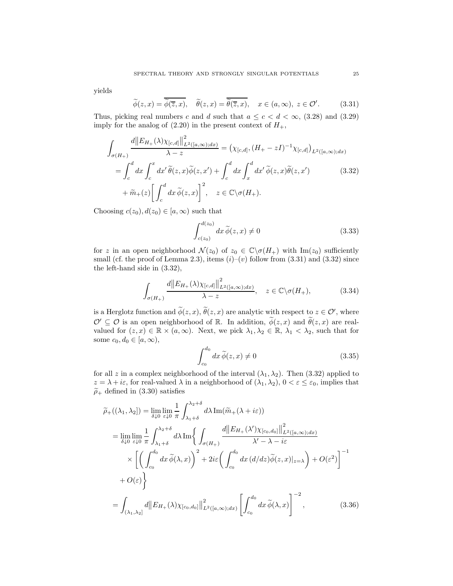yields

$$
\widetilde{\phi}(z,x) = \overline{\widetilde{\phi}(\overline{z},x)}, \quad \widetilde{\theta}(z,x) = \overline{\widetilde{\theta}(\overline{z},x)}, \quad x \in (a,\infty), \ z \in \mathcal{O}'. \tag{3.31}
$$

Thus, picking real numbers c and d such that  $a \leq c < d < \infty$ , (3.28) and (3.29) imply for the analog of  $(2.20)$  in the present context of  $H_{+}$ ,

$$
\int_{\sigma(H_{+})} \frac{d||E_{H_{+}}(\lambda)\chi_{[c,d]}||^{2}_{L^{2}([a,\infty);dx)}}{\lambda-z} = (\chi_{[c,d]}, (H_{+}-zI)^{-1}\chi_{[c,d]})_{L^{2}([a,\infty);dx)}
$$
\n
$$
= \int_{c}^{d} dx \int_{c}^{x} dx' \widetilde{\theta}(z,x) \widetilde{\phi}(z,x') + \int_{c}^{d} dx \int_{x}^{d} dx' \widetilde{\phi}(z,x) \widetilde{\theta}(z,x') \qquad (3.32)
$$
\n
$$
+ \widetilde{m}_{+}(z) \left[ \int_{c}^{d} dx \widetilde{\phi}(z,x) \right]^{2}, \quad z \in \mathbb{C} \setminus \sigma(H_{+}).
$$

Choosing  $c(z_0), d(z_0) \in [a, \infty)$  such that

$$
\int_{c(z_0)}^{d(z_0)} dx \,\widetilde{\phi}(z, x) \neq 0 \tag{3.33}
$$

for z in an open neighborhood  $\mathcal{N}(z_0)$  of  $z_0 \in \mathbb{C} \backslash \sigma(H_+)$  with  $\text{Im}(z_0)$  sufficiently small (cf. the proof of Lemma 2.3), items  $(i)-(v)$  follow from  $(3.31)$  and  $(3.32)$  since the left-hand side in (3.32),

$$
\int_{\sigma(H_+)} \frac{d||E_{H_+}(\lambda)\chi_{[c,d]}\|_{L^2([a,\infty);dx)}^2}{\lambda - z}, \quad z \in \mathbb{C}\backslash \sigma(H_+),
$$
\n(3.34)

is a Herglotz function and  $\phi(z, x)$ ,  $\hat{\theta}(z, x)$  are analytic with respect to  $z \in \mathcal{O}'$ , where  $\mathcal{O}' \subseteq \mathcal{O}$  is an open neighborhood of R. In addition,  $\widetilde{\phi}(z, x)$  and  $\widetilde{\theta}(z, x)$  are realvalued for  $(z, x) \in \mathbb{R} \times (a, \infty)$ . Next, we pick  $\lambda_1, \lambda_2 \in \mathbb{R}$ ,  $\lambda_1 < \lambda_2$ , such that for some  $c_0, d_0 \in [a, \infty)$ ,

$$
\int_{c_0}^{d_0} dx \,\widetilde{\phi}(z, x) \neq 0 \tag{3.35}
$$

for all z in a complex neighborhood of the interval  $(\lambda_1, \lambda_2)$ . Then (3.32) applied to  $z = \lambda + i\varepsilon$ , for real-valued  $\lambda$  in a neighborhood of  $(\lambda_1, \lambda_2)$ ,  $0 < \varepsilon \leq \varepsilon_0$ , implies that  $\tilde{\rho}_+$  defined in (3.30) satisfies

$$
\widetilde{\rho}_{+}((\lambda_{1},\lambda_{2})) = \lim_{\delta\downarrow0} \lim_{\varepsilon\downarrow0} \frac{1}{\pi} \int_{\lambda_{1}+\delta}^{\lambda_{2}+\delta} d\lambda \operatorname{Im}(\widetilde{m}_{+}(\lambda+i\varepsilon))
$$
\n
$$
= \lim_{\delta\downarrow0} \lim_{\varepsilon\downarrow0} \frac{1}{\pi} \int_{\lambda_{1}+\delta}^{\lambda_{2}+\delta} d\lambda \operatorname{Im}\left\{ \int_{\sigma(H_{+})} \frac{d\|E_{H_{+}}(\lambda')\chi_{[c_{0},d_{0}]}\|_{L^{2}([a,\infty);dx)}^{2}}{\lambda'-\lambda-i\varepsilon} \right\}
$$
\n
$$
\times \left[ \left( \int_{c_{0}}^{d_{0}} dx \widetilde{\phi}(\lambda,x) \right)^{2} + 2i\varepsilon \left( \int_{c_{0}}^{d_{0}} dx (d/dz) \widetilde{\phi}(z,x)|_{z=\lambda} \right) + O(\varepsilon^{2}) \right]^{-1}
$$
\n
$$
+ O(\varepsilon) \right\}
$$
\n
$$
= \int_{(\lambda_{1},\lambda_{2}]} d\|E_{H_{+}}(\lambda)\chi_{[c_{0},d_{0}]}\|_{L^{2}([a,\infty);dx)}^{2} \left[ \int_{c_{0}}^{d_{0}} dx \widetilde{\phi}(\lambda,x) \right]^{-2}, \qquad (3.36)
$$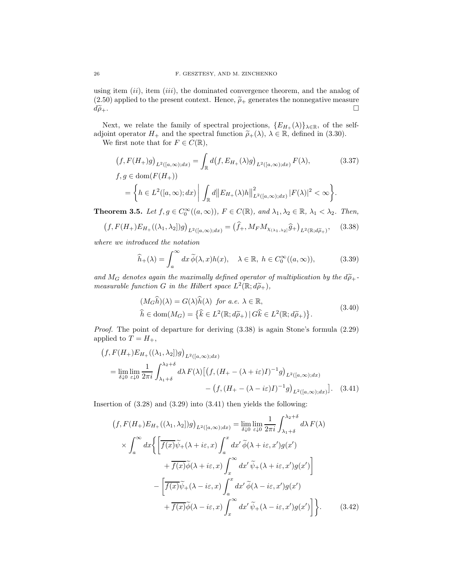using item  $(ii)$ , item  $(iii)$ , the dominated convergence theorem, and the analog of (2.50) applied to the present context. Hence,  $\tilde{\rho}_+$  generates the nonnegative measure  $d\tilde{\rho}_+$ .  $d\widetilde{\rho}_+.$ 

Next, we relate the family of spectral projections,  $\{E_{H_+}(\lambda)\}\_{\lambda\in\mathbb{R}}$ , of the selfadjoint operator  $H_+$  and the spectral function  $\tilde{\rho}_+(\lambda)$ ,  $\lambda \in \mathbb{R}$ , defined in (3.30).

We first note that for  $F \in C(\mathbb{R}),$ 

$$
(f, F(H_+)g)_{L^2([a,\infty);dx)} = \int_{\mathbb{R}} d(f, E_{H_+}(\lambda)g)_{L^2([a,\infty);dx)} F(\lambda),
$$
\n
$$
f, g \in \text{dom}(F(H_+))
$$
\n
$$
= \left\{ h \in L^2([a,\infty);dx) \middle| \int_{\mathbb{R}} d||E_{H_+}(\lambda)h||^2_{L^2([a,\infty);dx)} |F(\lambda)|^2 < \infty \right\}.
$$
\n
$$
(3.37)
$$

**Theorem 3.5.** Let  $f, g \in C_0^{\infty}((a, \infty))$ ,  $F \in C(\mathbb{R})$ , and  $\lambda_1, \lambda_2 \in \mathbb{R}$ ,  $\lambda_1 < \lambda_2$ . Then,

$$
(f, F(H_+)E_{H_+}((\lambda_1, \lambda_2])g)_{L^2([a,\infty);dx)} = (\hat{f}_+, M_F M_{\chi_{(\lambda_1,\lambda_2]}}\hat{g}_+)_{L^2(\mathbb{R};d\tilde{\rho}_+)},\tag{3.38}
$$

where we introduced the notation

$$
\widehat{h}_{+}(\lambda) = \int_{a}^{\infty} dx \, \widetilde{\phi}(\lambda, x) h(x), \quad \lambda \in \mathbb{R}, \ h \in C_{0}^{\infty}((a, \infty)), \tag{3.39}
$$

and  $M_G$  denotes again the maximally defined operator of multiplication by the  $d\tilde{\rho}_+$ measurable function G in the Hilbert space  $L^2(\mathbb{R}; d\widetilde{\rho}_+),$ 

$$
(M_G \hat{h})(\lambda) = G(\lambda)\hat{h}(\lambda) \text{ for a.e. } \lambda \in \mathbb{R},
$$
  

$$
\hat{h} \in \text{dom}(M_G) = \{\hat{k} \in L^2(\mathbb{R}; d\tilde{\rho}_+) | G\hat{k} \in L^2(\mathbb{R}; d\tilde{\rho}_+)\}.
$$
 (3.40)

Proof. The point of departure for deriving (3.38) is again Stone's formula (2.29) applied to  $T = H_+,$ 

$$
(f, F(H_+)E_{H_+}((\lambda_1, \lambda_2|)g)_{L^2([a,\infty);dx)}
$$
  
= 
$$
\lim_{\delta \downarrow 0} \lim_{\varepsilon \downarrow 0} \frac{1}{2\pi i} \int_{\lambda_1 + \delta}^{\lambda_2 + \delta} d\lambda F(\lambda) \left[ \left( f, (H_+ - (\lambda + i\varepsilon)I)^{-1} g \right)_{L^2([a,\infty);dx)} - \left( f, (H_+ - (\lambda - i\varepsilon)I)^{-1} g \right)_{L^2([a,\infty);dx)} \right].
$$
 (3.41)

Insertion of  $(3.28)$  and  $(3.29)$  into  $(3.41)$  then yields the following:

$$
(f, F(H_{+})E_{H_{+}}((\lambda_{1}, \lambda_{2}))g)_{L^{2}([a, \infty); dx)} = \lim_{\delta \downarrow 0} \lim_{\varepsilon \downarrow 0} \frac{1}{2\pi i} \int_{\lambda_{1}+\delta}^{\lambda_{2}+\delta} d\lambda F(\lambda)
$$

$$
\times \int_{a}^{\infty} dx \Big\{ \Big[ \overline{f(x)}\widetilde{\psi}_{+}(\lambda + i\varepsilon, x) \int_{a}^{x} dx' \widetilde{\phi}(\lambda + i\varepsilon, x')g(x') + \overline{f(x)}\widetilde{\phi}(\lambda + i\varepsilon, x) \int_{x}^{\infty} dx' \widetilde{\psi}_{+}(\lambda + i\varepsilon, x')g(x') \Big] - \Big[ \overline{f(x)}\widetilde{\psi}_{+}(\lambda - i\varepsilon, x) \int_{a}^{x} dx' \widetilde{\phi}(\lambda - i\varepsilon, x')g(x') + \overline{f(x)}\widetilde{\phi}(\lambda - i\varepsilon, x) \int_{x}^{\infty} dx' \widetilde{\psi}_{+}(\lambda - i\varepsilon, x')g(x') \Big] \Big\}. \tag{3.42}
$$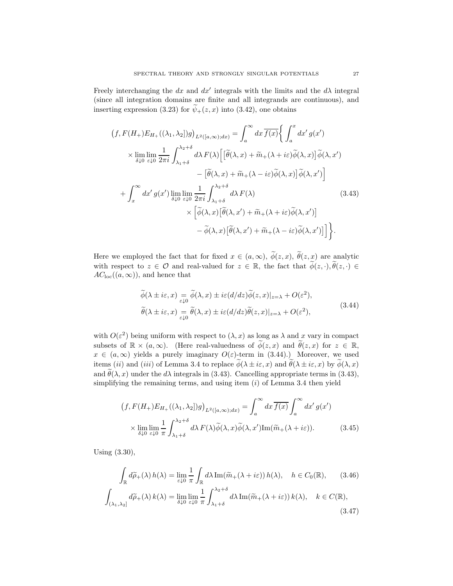Freely interchanging the dx and  $dx'$  integrals with the limits and the  $d\lambda$  integral (since all integration domains are finite and all integrands are continuous), and inserting expression (3.23) for  $\widetilde{\psi}_{+}(z, x)$  into (3.42), one obtains

$$
(f, F(H_{+})E_{H_{+}}((\lambda_{1}, \lambda_{2}))g)_{L^{2}([a, \infty); dx)} = \int_{a}^{\infty} dx \overline{f(x)} \Big\{ \int_{a}^{x} dx' g(x')
$$
  
\n
$$
\times \lim_{\delta \downarrow 0} \lim_{\varepsilon \downarrow 0} \frac{1}{2\pi i} \int_{\lambda_{1}+\delta}^{\lambda_{2}+\delta} d\lambda F(\lambda) \Big[ [\tilde{\theta}(\lambda, x) + \tilde{m}_{+}(\lambda + i\varepsilon) \tilde{\phi}(\lambda, x)] \tilde{\phi}(\lambda, x') - [\tilde{\theta}(\lambda, x) + \tilde{m}_{+}(\lambda - i\varepsilon) \tilde{\phi}(\lambda, x)] \tilde{\phi}(\lambda, x') \Big]
$$
  
\n
$$
+ \int_{x}^{\infty} dx' g(x') \lim_{\delta \downarrow 0} \lim_{\varepsilon \downarrow 0} \frac{1}{2\pi i} \int_{\lambda_{1}+\delta}^{\lambda_{2}+\delta} d\lambda F(\lambda) \Big[ \tilde{\theta}(\lambda, x') + \tilde{m}_{+}(\lambda + i\varepsilon) \tilde{\phi}(\lambda, x') \Big] - \tilde{\phi}(\lambda, x) [\tilde{\theta}(\lambda, x') + \tilde{m}_{+}(\lambda - i\varepsilon) \tilde{\phi}(\lambda, x')] \Big]. \tag{3.43}
$$

Here we employed the fact that for fixed  $x \in (a, \infty)$ ,  $\widetilde{\phi}(z, x)$ ,  $\widetilde{\theta}(z, x)$  are analytic with respect to  $z \in \mathcal{O}$  and real-valued for  $z \in \mathbb{R}$ , the fact that  $\widetilde{\phi}(z, \cdot), \widetilde{\theta}(z, \cdot) \in$  $AC<sub>loc</sub>((a, \infty))$ , and hence that

$$
\widetilde{\phi}(\lambda \pm i\varepsilon, x) = \widetilde{\phi}(\lambda, x) \pm i\varepsilon (d/dz) \widetilde{\phi}(z, x)|_{z=\lambda} + O(\varepsilon^2), \n\widetilde{\theta}(\lambda \pm i\varepsilon, x) = \widetilde{\theta}(\lambda, x) \pm i\varepsilon (d/dz) \widetilde{\theta}(z, x)|_{z=\lambda} + O(\varepsilon^2),
$$
\n(3.44)

with  $O(\varepsilon^2)$  being uniform with respect to  $(\lambda, x)$  as long as  $\lambda$  and x vary in compact subsets of  $\mathbb{R} \times (a, \infty)$ . (Here real-valuedness of  $\widetilde{\phi}(z, x)$  and  $\widetilde{\theta}(z, x)$  for  $z \in \mathbb{R}$ ,  $x \in (a, \infty)$  yields a purely imaginary  $O(\varepsilon)$ -term in (3.44).) Moreover, we used items (ii) and (iii) of Lemma 3.4 to replace  $\widetilde{\phi}(\lambda \pm i\varepsilon, x)$  and  $\widetilde{\theta}(\lambda \pm i\varepsilon, x)$  by  $\widetilde{\phi}(\lambda, x)$ and  $\tilde{\theta}(\lambda, x)$  under the d $\lambda$  integrals in (3.43). Cancelling appropriate terms in (3.43), simplifying the remaining terms, and using item  $(i)$  of Lemma 3.4 then yield

$$
\left(f, F(H_+)E_{H_+}((\lambda_1, \lambda_2])g\right)_{L^2([a,\infty);dx)} = \int_a^{\infty} dx \overline{f(x)} \int_a^{\infty} dx' g(x')
$$
  
 
$$
\times \lim_{\delta \downarrow 0} \lim_{\varepsilon \downarrow 0} \frac{1}{\pi} \int_{\lambda_1 + \delta}^{\lambda_2 + \delta} d\lambda F(\lambda) \widetilde{\phi}(\lambda, x) \widetilde{\phi}(\lambda, x') \text{Im}(\widetilde{m}_+(\lambda + i\varepsilon)).
$$
 (3.45)

Using (3.30),

Z

$$
\int_{\mathbb{R}} d\widetilde{\rho}_{+}(\lambda) h(\lambda) = \lim_{\varepsilon \downarrow 0} \frac{1}{\pi} \int_{\mathbb{R}} d\lambda \operatorname{Im}(\widetilde{m}_{+}(\lambda + i\varepsilon)) h(\lambda), \quad h \in C_{0}(\mathbb{R}), \quad (3.46)
$$

$$
\int_{(\lambda_{1},\lambda_{2}]} d\widetilde{\rho}_{+}(\lambda) k(\lambda) = \lim_{\delta \downarrow 0} \lim_{\varepsilon \downarrow 0} \frac{1}{\pi} \int_{\lambda_{1}+\delta}^{\lambda_{2}+\delta} d\lambda \operatorname{Im}(\widetilde{m}_{+}(\lambda + i\varepsilon)) k(\lambda), \quad k \in C(\mathbb{R}), \quad (3.47)
$$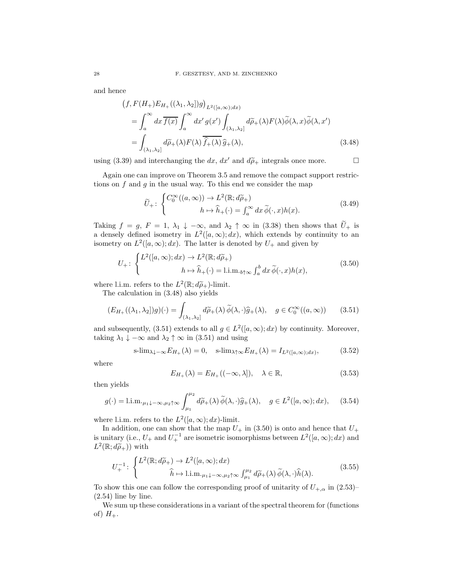and hence

$$
(f, F(H_+)E_{H_+}((\lambda_1, \lambda_2))g)_{L^2([a, \infty); dx)}
$$
  
= 
$$
\int_a^{\infty} dx \overline{f(x)} \int_a^{\infty} dx' g(x') \int_{(\lambda_1, \lambda_2]} d\widetilde{\rho}_+(\lambda) F(\lambda) \widetilde{\phi}(\lambda, x) \widetilde{\phi}(\lambda, x')
$$
  
= 
$$
\int_{(\lambda_1, \lambda_2]} d\widetilde{\rho}_+(\lambda) F(\lambda) \overline{\widehat{f}_+(\lambda)} \widehat{g}_+(\lambda),
$$
 (3.48)

using (3.39) and interchanging the dx, dx' and  $d\tilde{\rho}_+$  integrals once more.

Again one can improve on Theorem 3.5 and remove the compact support restrictions on  $f$  and  $g$  in the usual way. To this end we consider the map

$$
\widetilde{U}_{+}: \begin{cases} C_{0}^{\infty}((a,\infty)) \to L^{2}(\mathbb{R}; d\widetilde{\rho}_{+}) \\ h \mapsto \widehat{h}_{+}(\cdot) = \int_{a}^{\infty} dx \, \widetilde{\phi}(\cdot, x) h(x). \end{cases} (3.49)
$$

Taking  $f = g$ ,  $F = 1$ ,  $\lambda_1 \downarrow -\infty$ , and  $\lambda_2 \uparrow \infty$  in (3.38) then shows that  $\widetilde{U}_+$  is a densely defined isometry in  $L^2([a,\infty);dx)$ , which extends by continuity to an isometry on  $L^2([a,\infty);dx)$ . The latter is denoted by  $U_+$  and given by

$$
U_{+}: \begin{cases} L^{2}([a,\infty);dx) \to L^{2}(\mathbb{R};d\widetilde{\rho}_{+})\\ h \mapsto \widehat{h}_{+}(\cdot) = \text{l.i.m.}_{b\uparrow\infty} \int_{a}^{b} dx \,\widetilde{\phi}(\cdot,x)h(x), \end{cases}
$$
(3.50)

where l.i.m. refers to the  $L^2(\mathbb{R}; d\tilde{\rho}_+)$ -limit.<br>The solution in (2.48) classically

The calculation in (3.48) also yields

$$
(E_{H_+}((\lambda_1, \lambda_2)g)(\cdot) = \int_{(\lambda_1, \lambda_2]} d\widetilde{\rho}_+(\lambda) \, \widetilde{\phi}(\lambda, \cdot) \widehat{g}_+(\lambda), \quad g \in C_0^{\infty}((a, \infty)) \qquad (3.51)
$$

and subsequently, (3.51) extends to all  $g \in L^2([a,\infty);dx)$  by continuity. Moreover, taking  $\lambda_1 \downarrow -\infty$  and  $\lambda_2 \uparrow \infty$  in (3.51) and using

$$
\text{s-lim}_{\lambda \downarrow -\infty} E_{H_+}(\lambda) = 0, \quad \text{s-lim}_{\lambda \uparrow \infty} E_{H_+}(\lambda) = I_{L^2([a,\infty);dx)}, \tag{3.52}
$$

where

$$
E_{H_+}(\lambda) = E_{H_+}((-\infty,\lambda]), \quad \lambda \in \mathbb{R}, \tag{3.53}
$$

then yields

$$
g(\cdot) = 1 \text{.i.m.}_{\mu_1 \downarrow -\infty, \mu_2 \uparrow \infty} \int_{\mu_1}^{\mu_2} d\widetilde{\rho}_+(\lambda) \, \widetilde{\phi}(\lambda, \cdot) \widehat{g}_+(\lambda), \quad g \in L^2([a, \infty); dx), \quad (3.54)
$$

where l.i.m. refers to the  $L^2([a,\infty);dx)$ -limit.

In addition, one can show that the map  $U_+$  in (3.50) is onto and hence that  $U_+$ is unitary (i.e.,  $U_+$  and  $U_+^{-1}$  are isometric isomorphisms between  $L^2([a,\infty);dx)$  and  $L^2(\mathbb{R}; d\widetilde{\rho}_+))$  with

$$
U_{+}^{-1} \colon \begin{cases} L^{2}(\mathbb{R}; d\widetilde{\rho}_{+}) \to L^{2}([a, \infty); dx) \\ \widehat{h} \mapsto \text{l.i.m.}_{\mu_{1}\downarrow -\infty, \mu_{2}\uparrow \infty} \int_{\mu_{1}}^{\mu_{2}} d\widetilde{\rho}_{+}(\lambda) \, \widetilde{\phi}(\lambda, \cdot) \widehat{h}(\lambda). \end{cases} \tag{3.55}
$$

To show this one can follow the corresponding proof of unitarity of  $U_{+,\alpha}$  in (2.53)–  $(2.54)$  line by line.

We sum up these considerations in a variant of the spectral theorem for (functions of)  $H_+$ .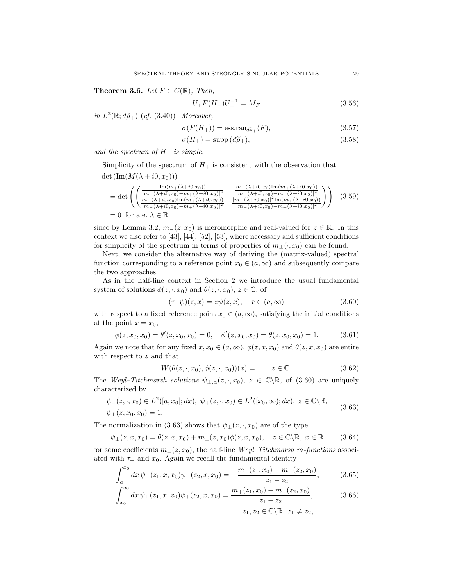Theorem 3.6. Let  $F \in C(\mathbb{R})$ , Then,

$$
U_{+}F(H_{+})U_{+}^{-1} = M_{F}
$$
\n(3.56)

in  $L^2(\mathbb{R}; d\widetilde{\rho}_+)$  (cf. (3.40)). Moreover,

$$
\sigma(F(H_+)) = \text{ess.random}_{d\widetilde{\rho}_+}(F),\tag{3.57}
$$

$$
\sigma(H_+) = \text{supp}\,(d\widetilde{\rho}_+),\tag{3.58}
$$

and the spectrum of  $H_+$  is simple.

Simplicity of the spectrum of  $H_+$  is consistent with the observation that det  $(\text{Im}(M(\lambda + i0, x_0)))$ 

$$
= \det \left( \left( \frac{\frac{\text{Im}(m_{+}(\lambda+i0,x_{0}))}{[m_{-}(\lambda+i0,x_{0})-m_{+}(\lambda+i0,x_{0})]^2}}{\frac{m_{-}(\lambda+i0,x_{0})-m_{+}(\lambda+i0,x_{0})^2}} \frac{\frac{m_{-}(\lambda+i0,x_{0})\text{Im}(m_{+}(\lambda+i0,x_{0}))}{[m_{-}(\lambda+i0,x_{0})-m_{+}(\lambda+i0,x_{0})]^2}}{\frac{[m_{-}(\lambda+i0,x_{0})-m_{+}(\lambda+i0,x_{0})]^2 \text{Im}(m_{+}(\lambda+i0,x_{0})^2]}{[m_{-}(\lambda+i0,x_{0})-m_{+}(\lambda+i0,x_{0})]^2}} \right) \right) (3.59)
$$
  
= 0 for a.e.  $\lambda \in \mathbb{R}$ 

since by Lemma 3.2,  $m_-(z, x_0)$  is meromorphic and real-valued for  $z \in \mathbb{R}$ . In this context we also refer to [43], [44], [52], [53], where necessary and sufficient conditions for simplicity of the spectrum in terms of properties of  $m_{+}(\cdot, x_0)$  can be found.

Next, we consider the alternative way of deriving the (matrix-valued) spectral function corresponding to a reference point  $x_0 \in (a, \infty)$  and subsequently compare the two approaches.

As in the half-line context in Section 2 we introduce the usual fundamental system of solutions  $\phi(z, \cdot, x_0)$  and  $\theta(z, \cdot, x_0)$ ,  $z \in \mathbb{C}$ , of

$$
(\tau_{+}\psi)(z,x) = z\psi(z,x), \quad x \in (a,\infty)
$$
\n(3.60)

with respect to a fixed reference point  $x_0 \in (a, \infty)$ , satisfying the initial conditions at the point  $x = x_0$ ,

$$
\phi(z, x_0, x_0) = \theta'(z, x_0, x_0) = 0, \quad \phi'(z, x_0, x_0) = \theta(z, x_0, x_0) = 1.
$$
 (3.61)

Again we note that for any fixed  $x, x_0 \in (a, \infty), \phi(z, x, x_0)$  and  $\theta(z, x, x_0)$  are entire with respect to z and that

$$
W(\theta(z,\cdot,x_0),\phi(z,\cdot,x_0))(x) = 1, \quad z \in \mathbb{C}.\tag{3.62}
$$

The Weyl–Titchmarsh solutions  $\psi_{\pm,\alpha}(z,\cdot,x_0), z \in \mathbb{C} \backslash \mathbb{R}$ , of (3.60) are uniquely characterized by

$$
\psi_{-}(z, \cdot, x_{0}) \in L^{2}([a, x_{0}]; dx), \ \psi_{+}(z, \cdot, x_{0}) \in L^{2}([x_{0}, \infty); dx), \ z \in \mathbb{C} \backslash \mathbb{R},
$$
  

$$
\psi_{\pm}(z, x_{0}, x_{0}) = 1.
$$
 (3.63)

The normalization in (3.63) shows that  $\psi_{\pm}(z, \cdot, x_0)$  are of the type

$$
\psi_{\pm}(z,x,x_0) = \theta(z,x,x_0) + m_{\pm}(z,x_0)\phi(z,x,x_0), \quad z \in \mathbb{C} \backslash \mathbb{R}, \ x \in \mathbb{R} \tag{3.64}
$$

for some coefficients  $m_{\pm}(z, x_0)$ , the half-line Weyl–Titchmarsh m-functions associated with  $\tau_+$  and  $x_0$ . Again we recall the fundamental identity

$$
\int_{a}^{x_0} dx \, \psi_{-}(z_1, x, x_0) \psi_{-}(z_2, x, x_0) = -\frac{m_{-}(z_1, x_0) - m_{-}(z_2, x_0)}{z_1 - z_2}, \tag{3.65}
$$

$$
\int_{x_0}^{\infty} dx \, \psi_+(z_1, x, x_0) \psi_+(z_2, x, x_0) = \frac{m_+(z_1, x_0) - m_+(z_2, x_0)}{z_1 - z_2},\tag{3.66}
$$

$$
z_1, z_2 \in \mathbb{C} \backslash \mathbb{R}, \ z_1 \neq z_2,
$$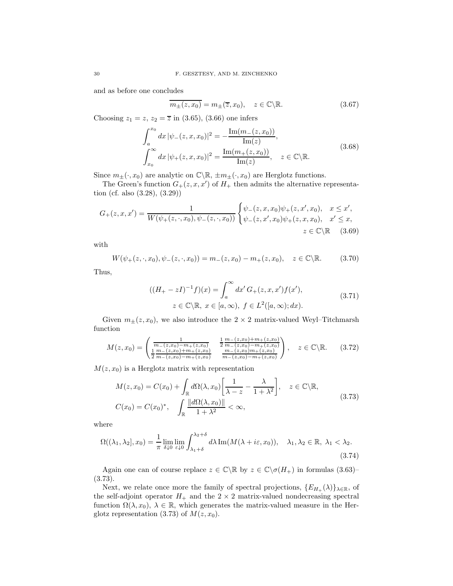and as before one concludes

$$
\overline{m_{\pm}(z,x_0)} = m_{\pm}(\overline{z},x_0), \quad z \in \mathbb{C} \backslash \mathbb{R}.\tag{3.67}
$$

Choosing  $z_1 = z$ ,  $z_2 = \overline{z}$  in (3.65), (3.66) one infers

$$
\int_{a}^{x_{0}} dx |\psi_{-}(z, x, x_{0})|^{2} = -\frac{\text{Im}(m_{-}(z, x_{0}))}{\text{Im}(z)},
$$
\n
$$
\int_{x_{0}}^{\infty} dx |\psi_{+}(z, x, x_{0})|^{2} = \frac{\text{Im}(m_{+}(z, x_{0}))}{\text{Im}(z)}, \quad z \in \mathbb{C} \backslash \mathbb{R}.
$$
\n(3.68)

Since  $m_{\pm}(\cdot, x_0)$  are analytic on  $\mathbb{C}\backslash\mathbb{R}, \pm m_{\pm}(\cdot, x_0)$  are Herglotz functions.

The Green's function  $G_{+}(z, x, x')$  of  $H_{+}$  then admits the alternative representation (cf. also (3.28), (3.29))

$$
G_{+}(z,x,x') = \frac{1}{W(\psi_{+}(z,\cdot,x_0),\psi_{-}(z,\cdot,x_0))} \begin{cases} \psi_{-}(z,x,x_0)\psi_{+}(z,x',x_0), & x \leq x', \\ \psi_{-}(z,x',x_0)\psi_{+}(z,x,x_0), & x' \leq x, \\ z \in \mathbb{C} \backslash \mathbb{R} \end{cases}
$$
 (3.69)

with

$$
W(\psi_+(z,\cdot,x_0),\psi_-(z,\cdot,x_0)) = m_-(z,x_0) - m_+(z,x_0), \quad z \in \mathbb{C} \backslash \mathbb{R}.\tag{3.70}
$$

Thus,

$$
((H_{+} - zI)^{-1}f)(x) = \int_{a}^{\infty} dx' G_{+}(z, x, x') f(x'),
$$
  
  $z \in \mathbb{C} \setminus \mathbb{R}, x \in [a, \infty), f \in L^{2}([a, \infty); dx).$  (3.71)

Given  $m_{\pm}(z, x_0)$ , we also introduce the  $2 \times 2$  matrix-valued Weyl–Titchmarsh function

$$
M(z, x_0) = \begin{pmatrix} \frac{1}{m_-(z, x_0) - m_+(z, x_0)} & \frac{1}{2} \frac{m_-(z, x_0) + m_+(z, x_0)}{m_-(z, x_0) - m_+(z, x_0)} \\ \frac{1}{2} \frac{m_-(z, x_0) + m_+(z, x_0)}{m_-(z, x_0) - m_+(z, x_0)} & \frac{m_-(z, x_0) - m_+(z, x_0)}{m_-(z, x_0) - m_+(z, x_0)} \end{pmatrix}, \quad z \in \mathbb{C} \backslash \mathbb{R}.
$$
 (3.72)

 $M(z, x_0)$  is a Herglotz matrix with representation

$$
M(z, x_0) = C(x_0) + \int_{\mathbb{R}} d\Omega(\lambda, x_0) \left[ \frac{1}{\lambda - z} - \frac{\lambda}{1 + \lambda^2} \right], \quad z \in \mathbb{C} \backslash \mathbb{R},
$$
  

$$
C(x_0) = C(x_0)^*, \quad \int_{\mathbb{R}} \frac{\|d\Omega(\lambda, x_0)\|}{1 + \lambda^2} < \infty,
$$
 (3.73)

where

$$
\Omega((\lambda_1, \lambda_2], x_0) = \frac{1}{\pi} \lim_{\delta \downarrow 0} \lim_{\varepsilon \downarrow 0} \int_{\lambda_1 + \delta}^{\lambda_2 + \delta} d\lambda \operatorname{Im}(M(\lambda + i\varepsilon, x_0)), \quad \lambda_1, \lambda_2 \in \mathbb{R}, \lambda_1 < \lambda_2. \tag{3.74}
$$

Again one can of course replace  $z \in \mathbb{C} \backslash \mathbb{R}$  by  $z \in \mathbb{C} \backslash \sigma(H_+)$  in formulas (3.63)– (3.73).

Next, we relate once more the family of spectral projections,  $\{E_{H_+}(\lambda)\}_{\lambda\in\mathbb{R}}$ , of the self-adjoint operator  $H_+$  and the  $2 \times 2$  matrix-valued nondecreasing spectral function  $\Omega(\lambda, x_0)$ ,  $\lambda \in \mathbb{R}$ , which generates the matrix-valued measure in the Herglotz representation (3.73) of  $M(z, x_0)$ .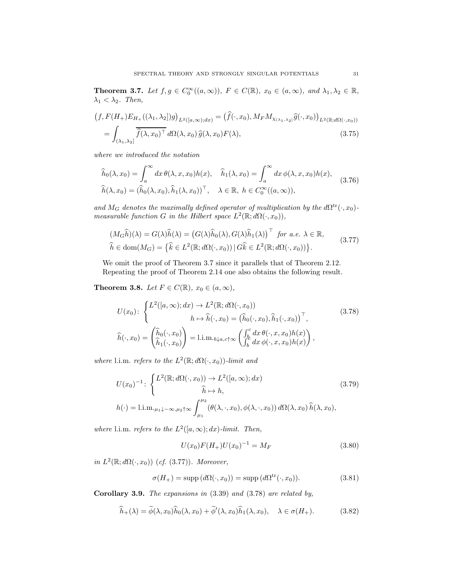**Theorem 3.7.** Let  $f, g \in C_0^{\infty}((a,\infty))$ ,  $F \in C(\mathbb{R})$ ,  $x_0 \in (a,\infty)$ , and  $\lambda_1, \lambda_2 \in \mathbb{R}$ ,  $\lambda_1 < \lambda_2$ . Then,

$$
(f, F(H_+)E_{H_+}((\lambda_1, \lambda_2|)g)_{L^2([a,\infty);dx)} = (\hat{f}(\cdot, x_0), M_F M_{\chi_{(\lambda_1, \lambda_2]}} \hat{g}(\cdot, x_0))_{L^2(\mathbb{R};d\Omega(\cdot, x_0))}
$$

$$
= \int_{(\lambda_1, \lambda_2]} \overline{\hat{f}(\lambda, x_0)^\top} d\Omega(\lambda, x_0) \hat{g}(\lambda, x_0) F(\lambda), \tag{3.75}
$$

where we introduced the notation

$$
\widehat{h}_0(\lambda, x_0) = \int_a^\infty dx \,\theta(\lambda, x, x_0) h(x), \quad \widehat{h}_1(\lambda, x_0) = \int_a^\infty dx \,\phi(\lambda, x, x_0) h(x),
$$
\n
$$
\widehat{h}(\lambda, x_0) = (\widehat{h}_0(\lambda, x_0), \widehat{h}_1(\lambda, x_0))^\top, \quad \lambda \in \mathbb{R}, \ h \in C_0^\infty((a, \infty)),
$$
\n(3.76)

and M<sub>G</sub> denotes the maximally defined operator of multiplication by the  $d\Omega^{\text{tr}}(\cdot, x_0)$ measurable function G in the Hilbert space  $L^2(\mathbb{R}; d\Omega(\cdot, x_0)),$ 

$$
(M_G\widehat{h})(\lambda) = G(\lambda)\widehat{h}(\lambda) = (G(\lambda)\widehat{h}_0(\lambda), G(\lambda)\widehat{h}_1(\lambda))^{\top} \text{ for a.e. } \lambda \in \mathbb{R},
$$
  

$$
\widehat{h} \in \text{dom}(M_G) = \{\widehat{k} \in L^2(\mathbb{R}; d\Omega(\cdot, x_0)) \mid G\widehat{k} \in L^2(\mathbb{R}; d\Omega(\cdot, x_0))\}.
$$
 (3.77)

We omit the proof of Theorem 3.7 since it parallels that of Theorem 2.12. Repeating the proof of Theorem 2.14 one also obtains the following result.

Theorem 3.8. Let  $F \in C(\mathbb{R})$ ,  $x_0 \in (a,\infty)$ ,

$$
U(x_0): \begin{cases} L^2([a,\infty);dx) \to L^2(\mathbb{R};d\Omega(\cdot,x_0)) \\ h \mapsto \widehat{h}(\cdot,x_0) = (\widehat{h}_0(\cdot,x_0),\widehat{h}_1(\cdot,x_0))^\top, \\ \widehat{h}(\cdot,x_0) = \begin{pmatrix} \widehat{h}_0(\cdot,x_0) \\ \widehat{h}_1(\cdot,x_0) \end{pmatrix} = \text{l.i.m.}_{b\downarrow a,c\uparrow\infty} \begin{pmatrix} \int_b^c dx \,\theta(\cdot,x,x_0)h(x) \\ \int_b^c dx \,\phi(\cdot,x,x_0)h(x) \end{pmatrix}, \end{cases}
$$
(3.78)

where l.i.m. refers to the  $L^2(\mathbb{R}; d\Omega(\cdot, x_0))$ -limit and

$$
U(x_0)^{-1} : \begin{cases} L^2(\mathbb{R}; d\Omega(\cdot, x_0)) \to L^2([a, \infty); dx) \\ \widehat{h} \mapsto h, \end{cases}
$$
 (3.79)  

$$
h(\cdot) = \text{l.i.m.}_{\mu_1 \downarrow -\infty, \mu_2 \uparrow \infty} \int_{\mu_1}^{\mu_2} (\theta(\lambda, \cdot, x_0), \phi(\lambda, \cdot, x_0)) d\Omega(\lambda, x_0) \widehat{h}(\lambda, x_0),
$$

where l.i.m. refers to the  $L^2([a,\infty);dx)$ -limit. Then,

$$
U(x_0)F(H_+)U(x_0)^{-1} = M_F
$$
\n(3.80)

in  $L^2(\mathbb{R}; d\Omega(\cdot, x_0))$  (cf. (3.77)). Moreover,

$$
\sigma(H_+) = \text{supp}\,(d\Omega(\cdot, x_0)) = \text{supp}\,(d\Omega^{\text{tr}}(\cdot, x_0)).\tag{3.81}
$$

Corollary 3.9. The expansions in (3.39) and (3.78) are related by,

$$
\widehat{h}_+(\lambda) = \widetilde{\phi}(\lambda, x_0)\widehat{h}_0(\lambda, x_0) + \widetilde{\phi}'(\lambda, x_0)\widehat{h}_1(\lambda, x_0), \quad \lambda \in \sigma(H_+).
$$
\n(3.82)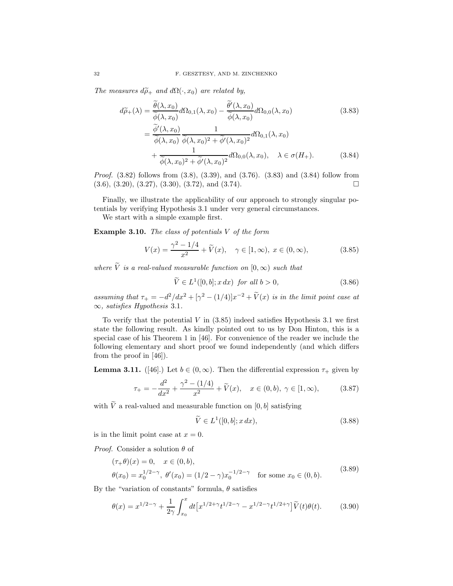The measures  $d\widetilde{\rho}_+$  and  $d\Omega(\cdot, x_0)$  are related by,

$$
d\tilde{\rho}_{+}(\lambda) = \frac{\tilde{\theta}(\lambda, x_{0})}{\tilde{\phi}(\lambda, x_{0})} d\Omega_{0,1}(\lambda, x_{0}) - \frac{\tilde{\theta}'(\lambda, x_{0})}{\tilde{\phi}(\lambda, x_{0})} d\Omega_{0,0}(\lambda, x_{0})
$$
(3.83)  

$$
= \frac{\tilde{\phi}'(\lambda, x_{0})}{\tilde{\phi}(\lambda, x_{0})} \frac{1}{\tilde{\phi}(\lambda, x_{0})^{2} + \tilde{\phi}'(\lambda, x_{0})^{2}} d\Omega_{0,1}(\lambda, x_{0})
$$

$$
+ \frac{1}{\tilde{\phi}(\lambda, x_{0})^{2} + \tilde{\phi}'(\lambda, x_{0})^{2}} d\Omega_{0,0}(\lambda, x_{0}), \quad \lambda \in \sigma(H_{+}).
$$
(3.84)

Proof. (3.82) follows from (3.8), (3.39), and (3.76). (3.83) and (3.84) follow from  $(3.6), (3.20), (3.27), (3.30), (3.72), \text{ and } (3.74).$ 

Finally, we illustrate the applicability of our approach to strongly singular potentials by verifying Hypothesis 3.1 under very general circumstances.

We start with a simple example first.

**Example 3.10.** The class of potentials  $V$  of the form

$$
V(x) = \frac{\gamma^2 - 1/4}{x^2} + \tilde{V}(x), \quad \gamma \in [1, \infty), \ x \in (0, \infty), \tag{3.85}
$$

where  $\tilde{V}$  is a real-valued measurable function on  $[0, \infty)$  such that

$$
\widetilde{V} \in L^1([0, b]; x \, dx) \text{ for all } b > 0,\tag{3.86}
$$

assuming that  $\tau_+ = -d^2/dx^2 + [\gamma^2 - (1/4)]x^{-2} + \tilde{V}(x)$  is in the limit point case at  $\infty$ , satisfies Hypothesis 3.1.

To verify that the potential V in  $(3.85)$  indeed satisfies Hypothesis 3.1 we first state the following result. As kindly pointed out to us by Don Hinton, this is a special case of his Theorem 1 in [46]. For convenience of the reader we include the following elementary and short proof we found independently (and which differs from the proof in [46]).

**Lemma 3.11.** ([46].) Let  $b \in (0, \infty)$ . Then the differential expression  $\tau_+$  given by

$$
\tau_{+} = -\frac{d^{2}}{dx^{2}} + \frac{\gamma^{2} - (1/4)}{x^{2}} + \widetilde{V}(x), \quad x \in (0, b), \ \gamma \in [1, \infty), \tag{3.87}
$$

with  $\widetilde{V}$  a real-valued and measurable function on  $[0,b]$  satisfying

$$
\widetilde{V} \in L^1([0, b]; x \, dx),\tag{3.88}
$$

is in the limit point case at  $x = 0$ .

*Proof.* Consider a solution  $\theta$  of

$$
(\tau_{+}\theta)(x) = 0, \quad x \in (0, b),
$$
  
\n
$$
\theta(x_{0}) = x_{0}^{1/2-\gamma}, \quad \theta'(x_{0}) = (1/2 - \gamma)x_{0}^{-1/2-\gamma} \quad \text{for some } x_{0} \in (0, b).
$$
\n(3.89)

By the "variation of constants" formula,  $\theta$  satisfies

$$
\theta(x) = x^{1/2 - \gamma} + \frac{1}{2\gamma} \int_{x_0}^x dt \left[ x^{1/2 + \gamma} t^{1/2 - \gamma} - x^{1/2 - \gamma} t^{1/2 + \gamma} \right] \widetilde{V}(t) \theta(t).
$$
 (3.90)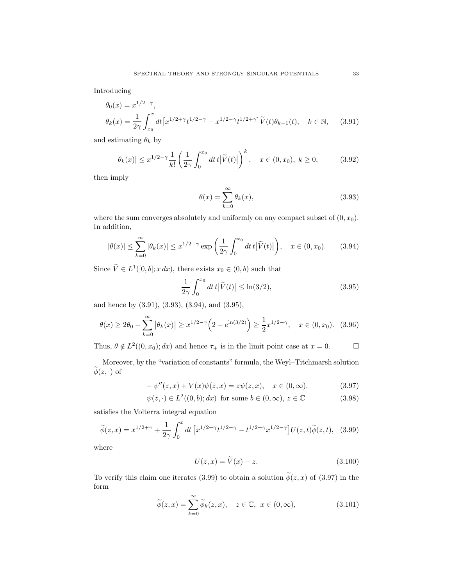Introducing

$$
\theta_0(x) = x^{1/2 - \gamma},
$$
  
\n
$$
\theta_k(x) = \frac{1}{2\gamma} \int_{x_0}^x dt \left[ x^{1/2 + \gamma} t^{1/2 - \gamma} - x^{1/2 - \gamma} t^{1/2 + \gamma} \right] \widetilde{V}(t) \theta_{k-1}(t), \quad k \in \mathbb{N}, \quad (3.91)
$$

and estimating  $\theta_k$  by

$$
|\theta_k(x)| \le x^{1/2 - \gamma} \frac{1}{k!} \left(\frac{1}{2\gamma} \int_0^{x_0} dt \, t \, |\widetilde{V}(t)|\right)^k, \quad x \in (0, x_0), \ k \ge 0,
$$
 (3.92)

then imply

$$
\theta(x) = \sum_{k=0}^{\infty} \theta_k(x),\tag{3.93}
$$

where the sum converges absolutely and uniformly on any compact subset of  $(0, x_0)$ . In addition,

$$
|\theta(x)| \le \sum_{k=0}^{\infty} |\theta_k(x)| \le x^{1/2 - \gamma} \exp\left(\frac{1}{2\gamma} \int_0^{x_0} dt \, t \, |\widetilde{V}(t)|\right), \quad x \in (0, x_0). \tag{3.94}
$$

Since  $\tilde{V} \in L^1([0, b]; x dx)$ , there exists  $x_0 \in (0, b)$  such that

$$
\frac{1}{2\gamma} \int_0^{x_0} dt \, t \left| \tilde{V}(t) \right| \le \ln(3/2),\tag{3.95}
$$

and hence by (3.91), (3.93), (3.94), and (3.95),

$$
\theta(x) \ge 2\theta_0 - \sum_{k=0}^{\infty} |\theta_k(x)| \ge x^{1/2 - \gamma} \left( 2 - e^{\ln(3/2)} \right) \ge \frac{1}{2} x^{1/2 - \gamma}, \quad x \in (0, x_0). \tag{3.96}
$$

Thus,  $\theta \notin L^2((0, x_0); dx)$  and hence  $\tau_+$  is in the limit point case at  $x = 0$ .  $\Box$ 

Moreover, by the "variation of constants" formula, the Weyl–Titchmarsh solution  $\widetilde{\phi}(z, \cdot)$  of

$$
-\psi''(z,x) + V(x)\psi(z,x) = z\psi(z,x), \quad x \in (0,\infty), \tag{3.97}
$$

$$
\psi(z, \cdot) \in L^2((0, b); dx) \text{ for some } b \in (0, \infty), z \in \mathbb{C}
$$
\n(3.98)

satisfies the Volterra integral equation

$$
\widetilde{\phi}(z,x) = x^{1/2+\gamma} + \frac{1}{2\gamma} \int_0^x dt \left[ x^{1/2+\gamma} t^{1/2-\gamma} - t^{1/2+\gamma} x^{1/2-\gamma} \right] U(z,t) \widetilde{\phi}(z,t), \quad (3.99)
$$

where

$$
U(z,x) = \tilde{V}(x) - z.
$$
\n(3.100)

To verify this claim one iterates (3.99) to obtain a solution  $\tilde{\phi}(z, x)$  of (3.97) in the form

$$
\widetilde{\phi}(z,x) = \sum_{k=0}^{\infty} \widetilde{\phi}_k(z,x), \quad z \in \mathbb{C}, \ x \in (0,\infty), \tag{3.101}
$$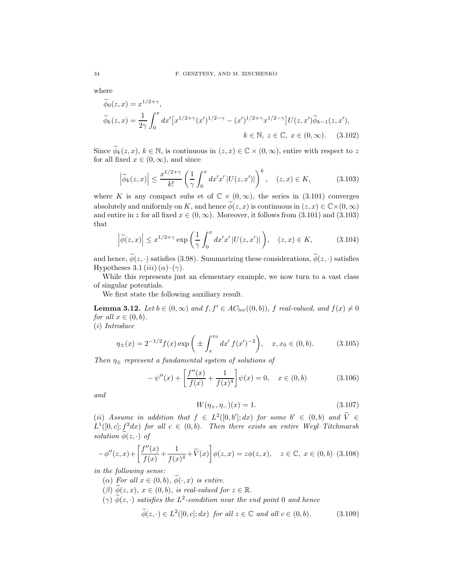where

$$
\widetilde{\phi}_0(z, x) = x^{1/2 + \gamma},
$$
\n
$$
\widetilde{\phi}_k(z, x) = \frac{1}{2\gamma} \int_0^x dx' \left[ x^{1/2 + \gamma} (x')^{1/2 - \gamma} - (x')^{1/2 + \gamma} x^{1/2 - \gamma} \right] U(z, x') \widetilde{\phi}_{k-1}(z, x'),
$$
\n
$$
k \in \mathbb{N}, z \in \mathbb{C}, x \in (0, \infty).
$$
\n(3.102)

Since  $\widetilde{\phi}_k(z, x), k \in \mathbb{N}$ , is continuous in  $(z, x) \in \mathbb{C} \times (0, \infty)$ , entire with respect to z for all fixed  $x \in (0, \infty)$ , and since

$$
\left|\widetilde{\phi}_k(z,x)\right| \le \frac{x^{1/2+\gamma}}{k!} \left(\frac{1}{\gamma} \int_0^x dx' x' \left|U(z,x')\right|\right)^k, \quad (z,x) \in K,\tag{3.103}
$$

where K is any compact subs et of  $\mathbb{C} \times (0, \infty)$ , the series in (3.101) converges absolutely and uniformly on K, and hence  $\phi(z, x)$  is continuous in  $(z, x) \in \mathbb{C} \times (0, \infty)$ and entire in z for all fixed  $x \in (0, \infty)$ . Moreover, it follows from (3.101) and (3.103) that

$$
\left|\widetilde{\phi}(z,x)\right| \leq x^{1/2+\gamma} \exp\left(\frac{1}{\gamma} \int_0^x dx' x' \left|U(z,x')\right|\right), \quad (z,x) \in K,\tag{3.104}
$$

and hence,  $\widetilde{\phi}(z, \cdot)$  satisfies (3.98). Summarizing these considerations,  $\widetilde{\phi}(z, \cdot)$  satisfies Hypotheses 3.1  $(iii)$   $(\alpha)$ – $(\gamma)$ .

While this represents just an elementary example, we now turn to a vast class of singular potentials.

We first state the following auxiliary result.

**Lemma 3.12.** Let  $b \in (0, \infty)$  and  $f, f' \in AC_{loc}((0, b))$ , f real-valued, and  $f(x) \neq 0$ for all  $x \in (0, b)$ .

(i) Introduce

$$
\eta_{\pm}(x) = 2^{-1/2} f(x) \exp\left(\pm \int_{x}^{x_0} dx' f(x')^{-2}\right), \quad x, x_0 \in (0, b). \tag{3.105}
$$

Then  $\eta_{\pm}$  represent a fundamental system of solutions of

$$
-\psi''(x) + \left[\frac{f''(x)}{f(x)} + \frac{1}{f(x)^4}\right]\psi(x) = 0, \quad x \in (0, b)
$$
\n(3.106)

and

$$
W(\eta_+,\eta_-)(x) = 1.\t\t(3.107)
$$

(ii) Assume in addition that  $f \in L^2([0,b'];dx)$  for some  $b' \in (0,b)$  and  $\tilde{V} \in$  $L^1([0,c]; f^2dx)$  for all  $c \in (0,b)$ . Then there exists an entire Weyl-Titchmarsh solution  $\phi(z, \cdot)$  of

$$
-\phi''(z,x) + \left[\frac{f''(x)}{f(x)} + \frac{1}{f(x)^4} + \tilde{V}(x)\right]\phi(z,x) = z\phi(z,x), \quad z \in \mathbb{C}, \ x \in (0,b) \tag{3.108}
$$

in the following sense:

- ( $\alpha$ ) For all  $x \in (0, b)$ ,  $\widetilde{\phi}(\cdot, x)$  is entire.
- $(\beta)$   $\widetilde{\phi}(z, x), x \in (0, b),$  is real-valued for  $z \in \mathbb{R}$ .
- $(\gamma)$   $\phi(z, \cdot)$  satisfies the  $L^2$ -condition near the end point 0 and hence

$$
\widetilde{\phi}(z,\cdot) \in L^2([0,c];dx) \text{ for all } z \in \mathbb{C} \text{ and all } c \in (0,b). \tag{3.109}
$$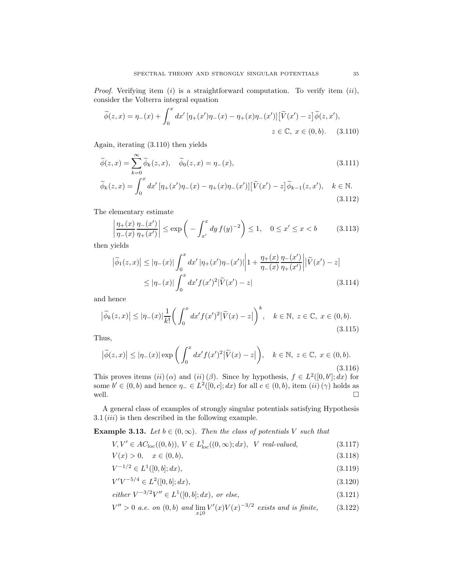*Proof.* Verifying item (i) is a straightforward computation. To verify item (ii), consider the Volterra integral equation

$$
\widetilde{\phi}(z,x) = \eta_{-}(x) + \int_0^x dx' \left[ \eta_{+}(x') \eta_{-}(x) - \eta_{+}(x) \eta_{-}(x') \right] \left[ \widetilde{V}(x') - z \right] \widetilde{\phi}(z,x'),
$$
  

$$
z \in \mathbb{C}, \ x \in (0,b). \tag{3.110}
$$

Again, iterating (3.110) then yields

$$
\widetilde{\phi}(z,x) = \sum_{k=0}^{\infty} \widetilde{\phi}_k(z,x), \quad \widetilde{\phi}_0(z,x) = \eta_-(x),
$$
\n
$$
\widetilde{\phi}_k(z,x) = \int_x^x dx' \left[ \eta_+(x') \eta_-(x) - \eta_+(x) \eta_-(x') \right] \left[ \widetilde{V}(x') - z \right] \widetilde{\phi}_{k-1}(z,x'), \quad k \in \mathbb{N}.
$$
\n(3.111)

 $J_0$ (3.112)

The elementary estimate

$$
\left| \frac{\eta_+(x)}{\eta_-(x)} \frac{\eta_-(x')}{\eta_+(x')} \right| \le \exp\left( - \int_{x'}^x dy f(y)^{-2} \right) \le 1, \quad 0 \le x' \le x < b \tag{3.113}
$$

then yields

$$
\left| \widetilde{\phi}_1(z, x) \right| \leq \left| \eta_-(x) \right| \int_0^x dx' \left| \eta_+(x') \eta_-(x') \right| \left| 1 + \frac{\eta_+(x)}{\eta_-(x)} \frac{\eta_-(x')}{\eta_+(x')} \right| \left| \widetilde{V}(x') - z \right|
$$
\n
$$
\leq \left| \eta_-(x) \right| \int_0^x dx' f(x')^2 \left| \widetilde{V}(x') - z \right| \tag{3.114}
$$

and hence

$$
\left|\widetilde{\phi}_k(z,x)\right| \leq \left|\eta_-(x)\right| \frac{1}{k!} \left(\int_0^x dx' f(x')^2 \left|\widetilde{V}(x) - z\right|\right)^k, \quad k \in \mathbb{N}, \ z \in \mathbb{C}, \ x \in (0,b). \tag{3.115}
$$

Thus,

$$
\left|\tilde{\phi}(z,x)\right| \leq \left|\eta_{-}(x)\right| \exp\left(\int_0^x dx' f(x')^2 \left|\tilde{V}(x) - z\right|\right), \quad k \in \mathbb{N}, \ z \in \mathbb{C}, \ x \in (0,b). \tag{3.116}
$$

This proves items  $(ii)$  ( $\alpha$ ) and  $(ii)$  ( $\beta$ ). Since by hypothesis,  $f \in L^2([0, b']; dx)$  for some  $b' \in (0, b)$  and hence  $\eta_- \in L^2([0, c]; dx)$  for all  $c \in (0, b)$ , item  $(ii)(\gamma)$  holds as well.

A general class of examples of strongly singular potentials satisfying Hypothesis  $3.1 (iii)$  is then described in the following example.

**Example 3.13.** Let  $b \in (0, \infty)$ . Then the class of potentials V such that

$$
V, V' \in AC_{\text{loc}}((0, b)), V \in L^1_{\text{loc}}((0, \infty); dx), V \text{ real-valued}, \tag{3.117}
$$

$$
V(x) > 0, \quad x \in (0, b), \tag{3.118}
$$

$$
V^{-1/2} \in L^1([0, b]; dx), \tag{3.119}
$$

$$
V'V^{-5/4} \in L^2([0, b]; dx), \tag{3.120}
$$

$$
either \ V^{-3/2}V'' \in L^1([0, b]; dx), \ or \ else,
$$
\n(3.121)

$$
V'' > 0 \text{ a.e. on } (0, b) \text{ and } \lim_{x \downarrow 0} V'(x) V(x)^{-3/2} \text{ exists and is finite, } (3.122)
$$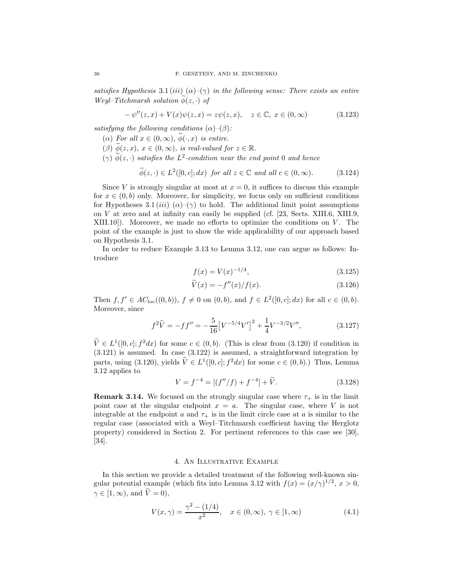satisfies Hypothesis 3.1 (iii)  $(\alpha)$ – $(\gamma)$  in the following sense: There exists an entire Weyl–Titchmarsh solution  $\phi(z, \cdot)$  of

$$
-\psi''(z, x) + V(x)\psi(z, x) = z\psi(z, x), \quad z \in \mathbb{C}, \ x \in (0, \infty)
$$
\n(3.123)

satisfying the following conditions  $(\alpha)$ – $(\beta)$ :

- ( $\alpha$ ) For all  $x \in (0, \infty)$ ,  $\widetilde{\phi}(\cdot, x)$  is entire.
- $(\beta)$   $\widetilde{\phi}(z, x), x \in (0, \infty)$ , is real-valued for  $z \in \mathbb{R}$ .
- $(\gamma)$   $\phi(z, \cdot)$  satisfies the  $L^2$ -condition near the end point 0 and hence

$$
\widetilde{\phi}(z,\cdot) \in L^2([0,c];dx) \text{ for all } z \in \mathbb{C} \text{ and all } c \in (0,\infty). \tag{3.124}
$$

Since V is strongly singular at most at  $x = 0$ , it suffices to discuss this example for  $x \in (0, b)$  only. Moreover, for simplicity, we focus only on sufficient conditions for Hypotheses 3.1 (iii)  $(\alpha)$ –( $\gamma$ ) to hold. The additional limit point assumptions on V at zero and at infinity can easily be supplied (cf. [23, Sects. XIII.6, XIII.9,  $XIII.10$ ). Moreover, we made no efforts to optimize the conditions on V. The point of the example is just to show the wide applicability of our approach based on Hypothesis 3.1.

In order to reduce Example 3.13 to Lemma 3.12, one can argue as follows: Introduce

$$
f(x) = V(x)^{-1/4},\tag{3.125}
$$

$$
\widetilde{V}(x) = -f''(x)/f(x). \tag{3.126}
$$

Then  $f, f' \in AC_{loc}((0, b)), f \neq 0$  on  $(0, b)$ , and  $f \in L^2([0, c]; dx)$  for all  $c \in (0, b)$ . Moreover, since

$$
f^{2}\widetilde{V} = -ff'' = -\frac{5}{16} \left[V^{-5/4}V'\right]^{2} + \frac{1}{4}V^{-3/2}V'',
$$
\n(3.127)

 $V \in L^1([0, c]; f^2 dx)$  for some  $c \in (0, b)$ . (This is clear from (3.120) if condition in (3.121) is assumed. In case (3.122) is assumed, a straightforward integration by parts, using (3.120), yields  $\tilde{V} \in L^1([0, c]; f^2 dx)$  for some  $c \in (0, b)$ .) Thus, Lemma 3.12 applies to

$$
V = f^{-4} = [(f''/f) + f^{-4}] + \widetilde{V}.
$$
 (3.128)

**Remark 3.14.** We focused on the strongly singular case where  $\tau_{+}$  is in the limit point case at the singular endpoint  $x = a$ . The singular case, where V is not integrable at the endpoint a and  $\tau_{+}$  is in the limit circle case at a is similar to the regular case (associated with a Weyl–Titchmarsh coefficient having the Herglotz property) considered in Section 2. For pertinent references to this case see [30], [34].

# 4. An Illustrative Example

In this section we provide a detailed treatment of the following well-known singular potential example (which fits into Lemma 3.12 with  $f(x) = (x/\gamma)^{1/2}, x > 0$ ,  $\gamma \in [1,\infty)$ , and  $\widetilde{V}=0$ ),

$$
V(x,\gamma) = \frac{\gamma^2 - (1/4)}{x^2}, \quad x \in (0,\infty), \ \gamma \in [1,\infty)
$$
 (4.1)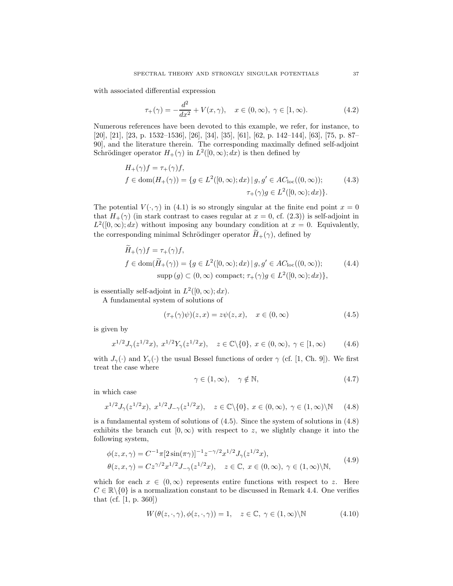with associated differential expression

$$
\tau_{+}(\gamma) = -\frac{d^2}{dx^2} + V(x, \gamma), \quad x \in (0, \infty), \ \gamma \in [1, \infty). \tag{4.2}
$$

Numerous references have been devoted to this example, we refer, for instance, to [20], [21], [23, p. 1532–1536], [26], [34], [35], [61], [62, p. 142–144], [63], [75, p. 87– 90], and the literature therein. The corresponding maximally defined self-adjoint Schrödinger operator  $H_+(\gamma)$  in  $L^2([0,\infty); dx)$  is then defined by

$$
H_{+}(\gamma)f = \tau_{+}(\gamma)f,
$$
  
\n
$$
f \in \text{dom}(H_{+}(\gamma)) = \{ g \in L^{2}([0, \infty); dx) \mid g, g' \in AC_{\text{loc}}((0, \infty));
$$
\n
$$
\tau_{+}(\gamma)g \in L^{2}([0, \infty); dx) \}.
$$
\n(4.3)

The potential  $V(\cdot, \gamma)$  in (4.1) is so strongly singular at the finite end point  $x = 0$ that  $H_+(\gamma)$  (in stark contrast to cases regular at  $x = 0$ , cf. (2.3)) is self-adjoint in  $L^2([0,\infty);dx)$  without imposing any boundary condition at  $x=0$ . Equivalently, the corresponding minimal Schrödinger operator  $H_+(\gamma)$ , defined by

$$
H_{+}(\gamma)f = \tau_{+}(\gamma)f,
$$
  
\n
$$
f \in \text{dom}(\widetilde{H}_{+}(\gamma)) = \{ g \in L^{2}([0, \infty); dx) \mid g, g' \in AC_{\text{loc}}((0, \infty));
$$
\n
$$
\text{supp}(g) \subset (0, \infty) \text{ compact}; \tau_{+}(\gamma)g \in L^{2}([0, \infty); dx) \},
$$
\n(4.4)

is essentially self-adjoint in  $L^2([0,\infty); dx)$ .

A fundamental system of solutions of

$$
(\tau_+(\gamma)\psi)(z,x) = z\psi(z,x), \quad x \in (0,\infty)
$$
\n(4.5)

is given by

$$
x^{1/2} J_{\gamma}(z^{1/2} x), \ x^{1/2} Y_{\gamma}(z^{1/2} x), \quad z \in \mathbb{C} \backslash \{0\}, \ x \in (0, \infty), \ \gamma \in [1, \infty) \tag{4.6}
$$

with  $J_{\gamma}(\cdot)$  and  $Y_{\gamma}(\cdot)$  the usual Bessel functions of order  $\gamma$  (cf. [1, Ch. 9]). We first treat the case where

$$
\gamma \in (1, \infty), \quad \gamma \notin \mathbb{N}, \tag{4.7}
$$

in which case

$$
x^{1/2} J_{\gamma}(z^{1/2} x), \ x^{1/2} J_{-\gamma}(z^{1/2} x), \quad z \in \mathbb{C} \setminus \{0\}, \ x \in (0, \infty), \ \gamma \in (1, \infty) \setminus \mathbb{N} \tag{4.8}
$$

is a fundamental system of solutions of  $(4.5)$ . Since the system of solutions in  $(4.8)$ exhibits the branch cut  $[0, \infty)$  with respect to z, we slightly change it into the following system,

$$
\phi(z, x, \gamma) = C^{-1} \pi [2 \sin(\pi \gamma)]^{-1} z^{-\gamma/2} x^{1/2} J_{\gamma}(z^{1/2} x), \n\theta(z, x, \gamma) = C z^{\gamma/2} x^{1/2} J_{-\gamma}(z^{1/2} x), \quad z \in \mathbb{C}, \ x \in (0, \infty), \ \gamma \in (1, \infty) \setminus \mathbb{N},
$$
\n(4.9)

which for each  $x \in (0,\infty)$  represents entire functions with respect to z. Here  $C \in \mathbb{R} \setminus \{0\}$  is a normalization constant to be discussed in Remark 4.4. One verifies that (cf. [1, p. 360])

$$
W(\theta(z,\cdot,\gamma),\phi(z,\cdot,\gamma)) = 1, \quad z \in \mathbb{C}, \ \gamma \in (1,\infty) \backslash \mathbb{N}
$$
 (4.10)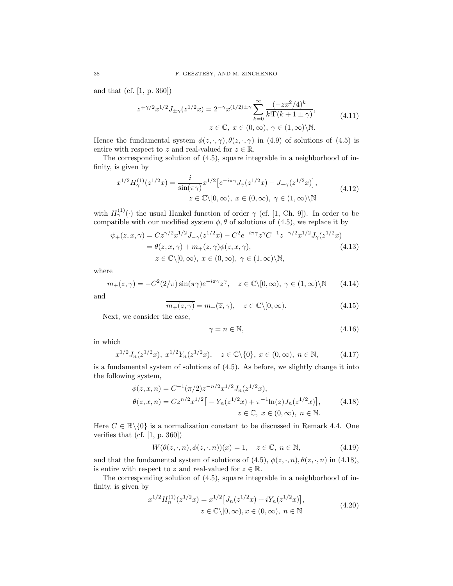and that (cf. [1, p. 360])

$$
z^{\mp \gamma/2} x^{1/2} J_{\pm \gamma}(z^{1/2} x) = 2^{-\gamma} x^{(1/2) \pm \gamma} \sum_{k=0}^{\infty} \frac{(-zx^2/4)^k}{k! \Gamma(k+1 \pm \gamma)},
$$
  
 
$$
z \in \mathbb{C}, \ x \in (0, \infty), \ \gamma \in (1, \infty) \backslash \mathbb{N}.
$$
 (4.11)

Hence the fundamental system  $\phi(z, \cdot, \gamma), \theta(z, \cdot, \gamma)$  in (4.9) of solutions of (4.5) is entire with respect to z and real-valued for  $z \in \mathbb{R}$ .

The corresponding solution of (4.5), square integrable in a neighborhood of infinity, is given by

$$
x^{1/2} H_{\gamma}^{(1)}(z^{1/2}x) = \frac{i}{\sin(\pi \gamma)} x^{1/2} \left[ e^{-i\pi \gamma} J_{\gamma}(z^{1/2}x) - J_{-\gamma}(z^{1/2}x) \right],
$$
  
\n
$$
z \in \mathbb{C} \setminus [0, \infty), \ x \in (0, \infty), \ \gamma \in (1, \infty) \setminus \mathbb{N}
$$
\n(4.12)

with  $H_{\gamma}^{(1)}(\cdot)$  the usual Hankel function of order  $\gamma$  (cf. [1, Ch. 9]). In order to be compatible with our modified system  $\phi$ ,  $\theta$  of solutions of (4.5), we replace it by

$$
\psi_{+}(z, x, \gamma) = C z^{\gamma/2} x^{1/2} J_{-\gamma}(z^{1/2} x) - C^2 e^{-i\pi \gamma} z^{\gamma} C^{-1} z^{-\gamma/2} x^{1/2} J_{\gamma}(z^{1/2} x) \n= \theta(z, x, \gamma) + m_{+}(z, \gamma) \phi(z, x, \gamma), \nz \in \mathbb{C} \setminus [0, \infty), \ x \in (0, \infty), \ \gamma \in (1, \infty) \setminus \mathbb{N},
$$
\n(4.13)

where

$$
m_{+}(z,\gamma) = -C^{2}(2/\pi)\sin(\pi\gamma)e^{-i\pi\gamma}z^{\gamma}, \quad z \in \mathbb{C}\backslash[0,\infty), \ \gamma \in (1,\infty)\backslash\mathbb{N} \tag{4.14}
$$

and

$$
\overline{m_+(z,\gamma)} = m_+(\overline{z},\gamma), \quad z \in \mathbb{C} \setminus [0,\infty). \tag{4.15}
$$

Next, we consider the case,

$$
\gamma = n \in \mathbb{N},\tag{4.16}
$$

in which

$$
x^{1/2} J_n(z^{1/2} x), \ x^{1/2} Y_n(z^{1/2} x), \quad z \in \mathbb{C} \backslash \{0\}, \ x \in (0, \infty), \ n \in \mathbb{N}, \tag{4.17}
$$

is a fundamental system of solutions of (4.5). As before, we slightly change it into the following system,

$$
\phi(z, x, n) = C^{-1} (\pi/2) z^{-n/2} x^{1/2} J_n(z^{1/2} x),
$$
  
\n
$$
\theta(z, x, n) = C z^{n/2} x^{1/2} \big[ -Y_n(z^{1/2} x) + \pi^{-1} \ln(z) J_n(z^{1/2} x) \big],
$$
  
\n
$$
z \in \mathbb{C}, x \in (0, \infty), n \in \mathbb{N}.
$$
\n(4.18)

Here  $C \in \mathbb{R} \setminus \{0\}$  is a normalization constant to be discussed in Remark 4.4. One verifies that (cf.  $[1, p. 360]$ )

$$
W(\theta(z, \cdot, n), \phi(z, \cdot, n))(x) = 1, \quad z \in \mathbb{C}, \ n \in \mathbb{N}, \tag{4.19}
$$

and that the fundamental system of solutions of (4.5),  $\phi(z, \cdot, n)$ ,  $\theta(z, \cdot, n)$  in (4.18), is entire with respect to z and real-valued for  $z \in \mathbb{R}$ .

The corresponding solution of (4.5), square integrable in a neighborhood of infinity, is given by

$$
x^{1/2}H_n^{(1)}(z^{1/2}x) = x^{1/2}[J_n(z^{1/2}x) + iY_n(z^{1/2}x)],
$$
  
\n
$$
z \in \mathbb{C}\backslash [0, \infty), x \in (0, \infty), n \in \mathbb{N}
$$
\n(4.20)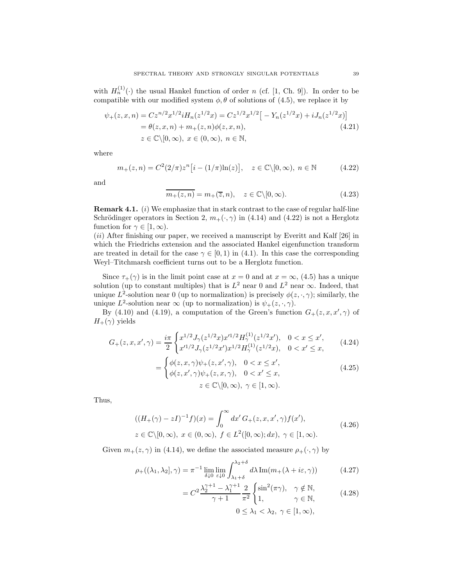with  $H_n^{(1)}(\cdot)$  the usual Hankel function of order n (cf. [1, Ch. 9]). In order to be compatible with our modified system  $\phi$ ,  $\theta$  of solutions of (4.5), we replace it by

$$
\psi_{+}(z, x, n) = Cz^{n/2}x^{1/2}iH_{n}(z^{1/2}x) = Cz^{1/2}x^{1/2}[-Y_{n}(z^{1/2}x) + iJ_{n}(z^{1/2}x)]
$$
  
=  $\theta(z, x, n) + m_{+}(z, n)\phi(z, x, n),$   
 $z \in \mathbb{C}\setminus[0, \infty), x \in (0, \infty), n \in \mathbb{N},$  (4.21)

where

$$
m_{+}(z,n) = C^{2}(2/\pi)z^{n}[i - (1/\pi)\ln(z)], \quad z \in \mathbb{C}\backslash[0,\infty), \; n \in \mathbb{N}
$$
 (4.22)

and

$$
\overline{m_+(z,n)} = m_+(\overline{z},n), \quad z \in \mathbb{C} \setminus [0,\infty). \tag{4.23}
$$

**Remark 4.1.** (i) We emphasize that in stark contrast to the case of regular half-line Schrödinger operators in Section 2,  $m_+(\cdot, \gamma)$  in (4.14) and (4.22) is not a Herglotz function for  $\gamma \in [1, \infty)$ .

(ii) After finishing our paper, we received a manuscript by Everitt and Kalf [26] in which the Friedrichs extension and the associated Hankel eigenfunction transform are treated in detail for the case  $\gamma \in [0, 1)$  in (4.1). In this case the corresponding Weyl–Titchmarsh coefficient turns out to be a Herglotz function.

Since  $\tau_+(\gamma)$  is in the limit point case at  $x=0$  and at  $x=\infty$ , (4.5) has a unique solution (up to constant multiples) that is  $L^2$  near 0 and  $L^2$  near  $\infty$ . Indeed, that unique  $L^2$ -solution near 0 (up to normalization) is precisely  $\phi(z, \cdot, \gamma)$ ; similarly, the unique L<sup>2</sup>-solution near  $\infty$  (up to normalization) is  $\psi_+(z,\cdot,\gamma)$ .

By (4.10) and (4.19), a computation of the Green's function  $G_{+}(z, x, x', \gamma)$  of  $H_+(\gamma)$  yields

$$
G_{+}(z,x,x',\gamma) = \frac{i\pi}{2} \begin{cases} x^{1/2} J_{\gamma}(z^{1/2}x) x'^{1/2} H_{\gamma}^{(1)}(z^{1/2}x'), & 0 < x \leq x', \\ x'^{1/2} J_{\gamma}(z^{1/2}x') x^{1/2} H_{\gamma}^{(1)}(z^{1/2}x), & 0 < x' \leq x, \end{cases}
$$
(4.24)

$$
= \begin{cases} \phi(z, x, \gamma)\psi_{+}(z, x', \gamma), & 0 < x \leq x', \\ \phi(z, x', \gamma)\psi_{+}(z, x, \gamma), & 0 < x' \leq x, \\ z \in \mathbb{C}\backslash[0, \infty), & \gamma \in [1, \infty). \end{cases}
$$
(4.25)

Thus,

$$
((H_{+}(\gamma) - zI)^{-1}f)(x) = \int_{0}^{\infty} dx' G_{+}(z, x, x', \gamma) f(x'),
$$
  
\n
$$
z \in \mathbb{C} \setminus [0, \infty), \ x \in (0, \infty), \ f \in L^{2}([0, \infty); dx), \ \gamma \in [1, \infty).
$$
\n(4.26)

Given  $m_+(z, \gamma)$  in (4.14), we define the associated measure  $\rho_+(\cdot, \gamma)$  by

$$
\rho_{+}((\lambda_{1},\lambda_{2}],\gamma) = \pi^{-1} \lim_{\delta \downarrow 0} \lim_{\varepsilon \downarrow 0} \int_{\lambda_{1}+\delta}^{\lambda_{2}+\delta} d\lambda \operatorname{Im}(m_{+}(\lambda + i\varepsilon, \gamma)) \tag{4.27}
$$

$$
= C^2 \frac{\lambda_2^{\gamma+1} - \lambda_1^{\gamma+1}}{\gamma+1} \frac{2}{\pi^2} \begin{cases} \sin^2(\pi \gamma), & \gamma \notin \mathbb{N}, \\ 1, & \gamma \in \mathbb{N}, \end{cases}
$$
 (4.28)  

$$
0 \le \lambda_1 < \lambda_2, \ \gamma \in [1, \infty),
$$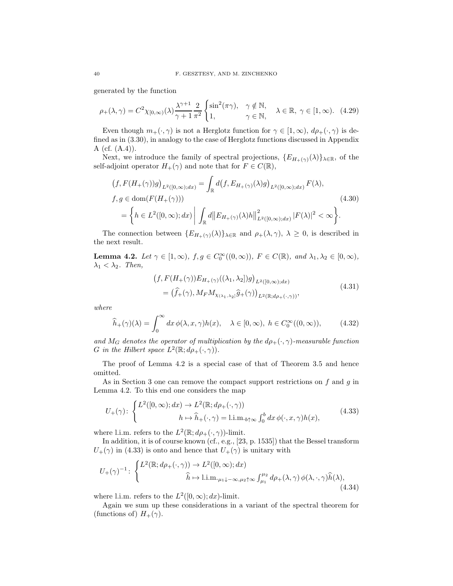generated by the function

$$
\rho_{+}(\lambda,\gamma) = C^{2}\chi_{[0,\infty)}(\lambda)\frac{\lambda^{\gamma+1}}{\gamma+1}\frac{2}{\pi^{2}}\begin{cases} \sin^{2}(\pi\gamma), & \gamma \notin \mathbb{N}, \\ 1, & \gamma \in \mathbb{N}, \end{cases} \quad \lambda \in \mathbb{R}, \ \gamma \in [1,\infty). \tag{4.29}
$$

Even though  $m_+(\cdot, \gamma)$  is not a Herglotz function for  $\gamma \in [1, \infty)$ ,  $d\rho_+(\cdot, \gamma)$  is defined as in (3.30), in analogy to the case of Herglotz functions discussed in Appendix A (cf. (A.4)).

Next, we introduce the family of spectral projections,  $\{E_{H_{+}(\gamma)}(\lambda)\}_{\lambda\in\mathbb{R}}$ , of the self-adjoint operator  $H_+(\gamma)$  and note that for  $F \in C(\mathbb{R})$ ,

$$
(f, F(H_{+}(\gamma))g)_{L^{2}([0,\infty);dx)} = \int_{\mathbb{R}} d(f, E_{H_{+}(\gamma)}(\lambda)g)_{L^{2}([0,\infty);dx)} F(\lambda),
$$
  

$$
f, g \in \text{dom}(F(H_{+}(\gamma)))
$$
  

$$
= \left\{ h \in L^{2}([0,\infty);dx) \middle| \int_{\mathbb{R}} d||E_{H_{+}(\gamma)}(\lambda)h||^{2}_{L^{2}([0,\infty);dx)} |F(\lambda)|^{2} < \infty \right\}.
$$
 (4.30)

The connection between  $\{E_{H_+(\gamma)}(\lambda)\}\lambda\in\mathbb{R}$  and  $\rho_+(\lambda,\gamma), \lambda \geq 0$ , is described in the next result.

**Lemma 4.2.** Let  $\gamma \in [1, \infty)$ ,  $f, g \in C_0^{\infty}((0, \infty))$ ,  $F \in C(\mathbb{R})$ , and  $\lambda_1, \lambda_2 \in [0, \infty)$ ,  $\lambda_1 < \lambda_2$ . Then,

$$
(f, F(H_{+}(\gamma))E_{H_{+}(\gamma)}((\lambda_1, \lambda_2])g)_{L^2([0,\infty);dx)}
$$
  
= 
$$
(\widehat{f}_{+}(\gamma), M_F M_{\chi_{(\lambda_1, \lambda_2)}} \widehat{g}_{+}(\gamma))_{L^2(\mathbb{R}; d\rho_{+}(\cdot, \gamma))},
$$
\n(4.31)

where

$$
\widehat{h}_{+}(\gamma)(\lambda) = \int_{0}^{\infty} dx \, \phi(\lambda, x, \gamma) h(x), \quad \lambda \in [0, \infty), \ h \in C_{0}^{\infty}((0, \infty)), \tag{4.32}
$$

and  $M_G$  denotes the operator of multiplication by the  $d\rho_+(\cdot, \gamma)$ -measurable function G in the Hilbert space  $L^2(\mathbb{R}; d\rho_+(\cdot, \gamma)).$ 

The proof of Lemma 4.2 is a special case of that of Theorem 3.5 and hence omitted.

As in Section 3 one can remove the compact support restrictions on  $f$  and  $g$  in Lemma 4.2. To this end one considers the map

$$
U_{+}(\gamma) \colon \begin{cases} L^{2}([0,\infty);dx) \to L^{2}(\mathbb{R};d\rho_{+}(\cdot,\gamma)) \\ h \mapsto \widehat{h}_{+}(\cdot,\gamma) = \text{l.i.m.}_{b\uparrow\infty} \int_{0}^{b} dx \, \phi(\cdot,x,\gamma)h(x), \end{cases} (4.33)
$$

where l.i.m. refers to the  $L^2(\mathbb{R}; d\rho_{+}(\cdot, \gamma))$ -limit.

In addition, it is of course known (cf., e.g., [23, p. 1535]) that the Bessel transform  $U_{+}(\gamma)$  in (4.33) is onto and hence that  $U_{+}(\gamma)$  is unitary with

$$
U_{+}(\gamma)^{-1} \colon \begin{cases} L^{2}(\mathbb{R}; d\rho_{+}(\cdot, \gamma)) \to L^{2}([0, \infty); dx) \\ \widehat{h} \mapsto \text{l.i.m.}_{\mu_{1} \downarrow -\infty, \mu_{2} \uparrow \infty} \int_{\mu_{1}}^{\mu_{2}} d\rho_{+}(\lambda, \gamma) \phi(\lambda, \cdot, \gamma) \widehat{h}(\lambda), \end{cases}
$$
(4.34)

where l.i.m. refers to the  $L^2([0,\infty);dx)$ -limit.

Again we sum up these considerations in a variant of the spectral theorem for (functions of)  $H_+(\gamma)$ .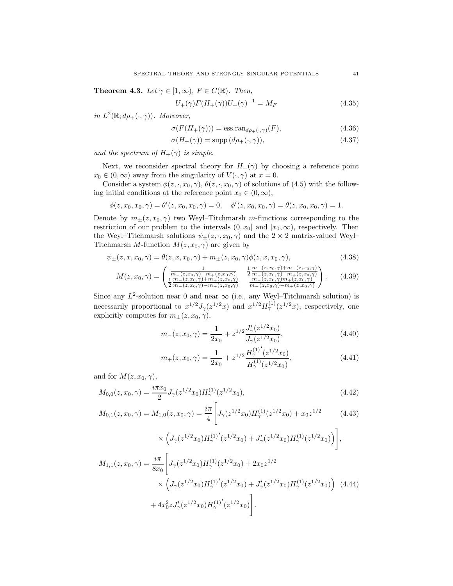**Theorem 4.3.** Let  $\gamma \in [1, \infty)$ ,  $F \in C(\mathbb{R})$ . Then,

$$
U_{+}(\gamma)F(H_{+}(\gamma))U_{+}(\gamma)^{-1} = M_{F}
$$
\n(4.35)

in  $L^2(\mathbb{R}; d\rho_+(\cdot, \gamma))$ . Moreover,

$$
\sigma(F(H_+(\gamma))) = \text{ess.ran}_{d\rho_+(\cdot,\gamma)}(F),\tag{4.36}
$$

$$
\sigma(H_{+}(\gamma)) = \text{supp}\,(d\rho_{+}(\cdot,\gamma)),\tag{4.37}
$$

and the spectrum of  $H_+(\gamma)$  is simple.

Next, we reconsider spectral theory for  $H_+(\gamma)$  by choosing a reference point  $x_0 \in (0,\infty)$  away from the singularity of  $V(\cdot,\gamma)$  at  $x=0$ .

Consider a system  $\phi(z, \cdot, x_0, \gamma)$ ,  $\theta(z, \cdot, x_0, \gamma)$  of solutions of (4.5) with the following initial conditions at the reference point  $x_0 \in (0, \infty)$ ,

$$
\phi(z, x_0, x_0, \gamma) = \theta'(z, x_0, x_0, \gamma) = 0, \quad \phi'(z, x_0, x_0, \gamma) = \theta(z, x_0, x_0, \gamma) = 1.
$$

Denote by  $m_{\pm}(z, x_0, \gamma)$  two Weyl–Titchmarsh m-functions corresponding to the restriction of our problem to the intervals  $(0, x_0]$  and  $[x_0, \infty)$ , respectively. Then the Weyl–Titchmarsh solutions  $\psi_{\pm}(z, \cdot, x_0, \gamma)$  and the  $2 \times 2$  matrix-valued Weyl– Titchmarsh M-function  $M(z, x_0, \gamma)$  are given by

$$
\psi_{\pm}(z, x, x_0, \gamma) = \theta(z, x, x_0, \gamma) + m_{\pm}(z, x_0, \gamma)\phi(z, x, x_0, \gamma), \tag{4.38}
$$

$$
M(z, x_0, \gamma) = \begin{pmatrix} \frac{1}{m_-(z, x_0, \gamma) - m_+(z, x_0, \gamma)} & \frac{1}{2} \frac{m_-(z, x_0, \gamma) + m_+(z, x_0, \gamma)}{m_-(z, x_0, \gamma) - m_+(z, x_0, \gamma)} \\ \frac{1}{2} \frac{m_-(z, x_0, \gamma) + m_+(z, x_0, \gamma)}{m_-(z, x_0, \gamma) - m_+(z, x_0, \gamma)} & \frac{m_-(z, x_0, \gamma) + m_+(z, x_0, \gamma)}{m_-(z, x_0, \gamma) - m_+(z, x_0, \gamma)} \end{pmatrix} . \tag{4.39}
$$

Since any  $L^2$ -solution near 0 and near  $\infty$  (i.e., any Weyl–Titchmarsh solution) is necessarily proportional to  $x^{1/2}J_{\gamma}(z^{1/2}x)$  and  $x^{1/2}H_{\gamma}^{(1)}(z^{1/2}x)$ , respectively, one explicitly computes for  $m_{\pm}(z, x_0, \gamma)$ ,

$$
m_{-}(z, x_0, \gamma) = \frac{1}{2x_0} + z^{1/2} \frac{J'_{\gamma}(z^{1/2} x_0)}{J_{\gamma}(z^{1/2} x_0)},
$$
\n(4.40)

$$
m_{+}(z, x_0, \gamma) = \frac{1}{2x_0} + z^{1/2} \frac{{H_{\gamma}^{(1)}}'(z^{1/2}x_0)}{H_{\gamma}^{(1)}(z^{1/2}x_0)},
$$
\n(4.41)

and for  $M(z, x_0, \gamma)$ ,

$$
M_{0,0}(z, x_0, \gamma) = \frac{i\pi x_0}{2} J_{\gamma}(z^{1/2} x_0) H_{\gamma}^{(1)}(z^{1/2} x_0), \qquad (4.42)
$$

$$
M_{0,1}(z, x_0, \gamma) = M_{1,0}(z, x_0, \gamma) = \frac{i\pi}{4} \left[ J_{\gamma}(z^{1/2}x_0) H_{\gamma}^{(1)}(z^{1/2}x_0) + x_0 z^{1/2} \right] \tag{4.43}
$$

$$
\times \left( J_{\gamma}(z^{1/2}x_0) H_{\gamma}^{(1)'}(z^{1/2}x_0) + J'_{\gamma}(z^{1/2}x_0) H_{\gamma}^{(1)}(z^{1/2}x_0) \right),
$$
  
\n
$$
M_{1,1}(z, x_0, \gamma) = \frac{i\pi}{8x_0} \left[ J_{\gamma}(z^{1/2}x_0) H_{\gamma}^{(1)}(z^{1/2}x_0) + 2x_0 z^{1/2} \times \left( J_{\gamma}(z^{1/2}x_0) H_{\gamma}^{(1)'}(z^{1/2}x_0) + J'_{\gamma}(z^{1/2}x_0) H_{\gamma}^{(1)}(z^{1/2}x_0) \right) (4.44) + 4x_0^2 z J'_{\gamma}(z^{1/2}x_0) H_{\gamma}^{(1)'}(z^{1/2}x_0) \right].
$$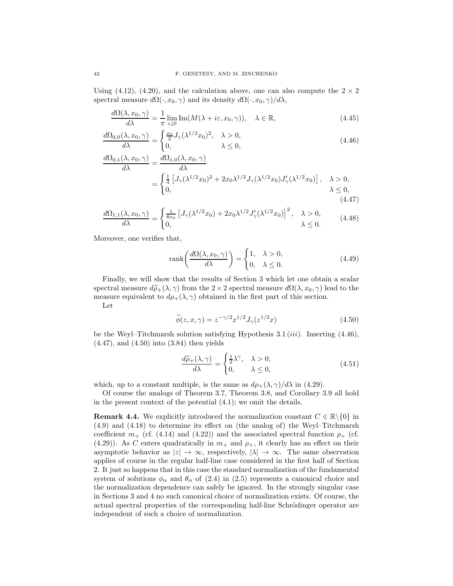Using (4.12), (4.20), and the calculation above, one can also compute the  $2 \times 2$ spectral measure  $d\Omega(\cdot, x_0, \gamma)$  and its density  $d\Omega(\cdot, x_0, \gamma)/d\lambda$ ,

$$
\frac{d\Omega(\lambda, x_0, \gamma)}{d\lambda} = \frac{1}{\pi} \lim_{\varepsilon \downarrow 0} \text{Im}(M(\lambda + i\varepsilon, x_0, \gamma)), \quad \lambda \in \mathbb{R},
$$
\n(4.45)

$$
\frac{d\Omega_{0,0}(\lambda, x_0, \gamma)}{d\lambda} = \begin{cases} \frac{x_0}{2} J_\gamma(\lambda^{1/2} x_0)^2, & \lambda > 0, \\ 0, & \lambda \le 0, \end{cases}
$$
\n(4.46)

$$
\frac{d\Omega_{0,1}(\lambda, x_0, \gamma)}{d\lambda} = \frac{d\Omega_{1,0}(\lambda, x_0, \gamma)}{d\lambda}
$$
\n
$$
= \begin{cases}\n\frac{1}{4} \left[ J_\gamma(\lambda^{1/2} x_0)^2 + 2x_0 \lambda^{1/2} J_\gamma(\lambda^{1/2} x_0) J'_\gamma(\lambda^{1/2} x_0) \right], & \lambda > 0, \\
0, & \lambda \le 0, \\
0. & (4.47)\n\end{cases}
$$

$$
\frac{d\Omega_{1,1}(\lambda, x_0, \gamma)}{d\lambda} = \begin{cases} \frac{1}{8x_0} \left[ J_\gamma(\lambda^{1/2} x_0) + 2x_0 \lambda^{1/2} J'_\gamma(\lambda^{1/2} x_0) \right]^2, & \lambda > 0, \\ 0, & \lambda \le 0. \end{cases}
$$
(4.48)

Moreover, one verifies that,

$$
rank\left(\frac{d\Omega(\lambda, x_0, \gamma)}{d\lambda}\right) = \begin{cases} 1, & \lambda > 0, \\ 0, & \lambda \le 0. \end{cases} \tag{4.49}
$$

Finally, we will show that the results of Section 3 which let one obtain a scalar spectral measure  $d\widetilde{\rho}_+(\lambda, \gamma)$  from the 2 × 2 spectral measure  $d\Omega(\lambda, x_0, \gamma)$  lead to the measure equivalent to  $d\rho_+(\lambda, \gamma)$  obtained in the first part of this section.

Let

$$
\widetilde{\phi}(z, x, \gamma) = z^{-\gamma/2} x^{1/2} J_{\gamma}(z^{1/2} x)
$$
\n(4.50)

be the Weyl–Titchmarsh solution satisfying Hypothesis  $3.1 \, (iii)$ . Inserting  $(4.46)$ , (4.47), and (4.50) into (3.84) then yields

$$
\frac{d\widetilde{\rho}_{+}(\lambda,\gamma)}{d\lambda} = \begin{cases} \frac{1}{2}\lambda^{\gamma}, & \lambda > 0, \\ 0, & \lambda \le 0, \end{cases}
$$
\n(4.51)

which, up to a constant multiple, is the same as  $d\rho_+(\lambda, \gamma)/d\lambda$  in (4.29).

Of course the analogs of Theorem 3.7, Theorem 3.8, and Corollary 3.9 all hold in the present context of the potential (4.1); we omit the details.

**Remark 4.4.** We explicitly introduced the normalization constant  $C \in \mathbb{R} \backslash \{0\}$  in (4.9) and (4.18) to determine its effect on (the analog of) the Weyl–Titchmarsh coefficient  $m_+$  (cf. (4.14) and (4.22)) and the associated spectral function  $\rho_+$  (cf. (4.29)). As C enters quadratically in  $m_+$  and  $\rho_+$ , it clearly has an effect on their asymptotic behavior as  $|z| \to \infty$ , respectively,  $|\lambda| \to \infty$ . The same observation applies of course in the regular half-line case considered in the first half of Section 2. It just so happens that in this case the standard normalization of the fundamental system of solutions  $\phi_{\alpha}$  and  $\theta_{\alpha}$  of (2.4) in (2.5) represents a canonical choice and the normalization dependence can safely be ignored. In the strongly singular case in Sections 3 and 4 no such canonical choice of normalization exists. Of course, the actual spectral properties of the corresponding half-line Schrödinger operator are independent of such a choice of normalization.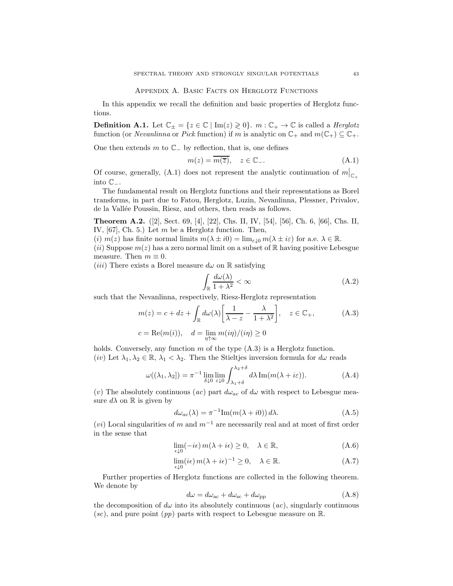### Appendix A. Basic Facts on Herglotz Functions

In this appendix we recall the definition and basic properties of Herglotz functions.

**Definition A.1.** Let  $\mathbb{C}_{\pm} = \{z \in \mathbb{C} \mid \text{Im}(z) \geq 0\}$ .  $m : \mathbb{C}_{+} \to \mathbb{C}$  is called a *Herglotz* function (or *Nevanlinna* or *Pick* function) if m is analytic on  $\mathbb{C}_+$  and  $m(\mathbb{C}_+) \subseteq \mathbb{C}_+$ .

One then extends  $m$  to  $\mathbb{C}_-$  by reflection, that is, one defines

$$
m(z) = \overline{m(\overline{z})}, \quad z \in \mathbb{C}_{-}.
$$
 (A.1)

Of course, generally, (A.1) does not represent the analytic continuation of  $m|_{\mathbb{C}_+}$ into C−.

The fundamental result on Herglotz functions and their representations as Borel transforms, in part due to Fatou, Herglotz, Luzin, Nevanlinna, Plessner, Privalov, de la Vallée Poussin, Riesz, and others, then reads as follows.

Theorem A.2. ([2], Sect. 69, [4], [22], Chs. II, IV, [54], [56], Ch. 6, [66], Chs. II, IV,  $[67]$ , Ch. 5.) Let m be a Herglotz function. Then,

(i)  $m(z)$  has finite normal limits  $m(\lambda \pm i0) = \lim_{\varepsilon \downarrow 0} m(\lambda \pm i\varepsilon)$  for a.e.  $\lambda \in \mathbb{R}$ .

(ii) Suppose  $m(z)$  has a zero normal limit on a subset of R having positive Lebesgue measure. Then  $m \equiv 0$ .

(*iii*) There exists a Borel measure  $d\omega$  on R satisfying

$$
\int_{\mathbb{R}} \frac{d\omega(\lambda)}{1 + \lambda^2} < \infty \tag{A.2}
$$

such that the Nevanlinna, respectively, Riesz-Herglotz representation

$$
m(z) = c + dz + \int_{\mathbb{R}} d\omega(\lambda) \left[ \frac{1}{\lambda - z} - \frac{\lambda}{1 + \lambda^2} \right], \quad z \in \mathbb{C}_+,
$$
  
\n
$$
c = \text{Re}(m(i)), \quad d = \lim_{\eta \uparrow \infty} m(i\eta) / (i\eta) \ge 0
$$
 (A.3)

holds. Conversely, any function  $m$  of the type  $(A.3)$  is a Herglotz function. (iv) Let  $\lambda_1, \lambda_2 \in \mathbb{R}, \lambda_1 < \lambda_2$ . Then the Stieltjes inversion formula for  $d\omega$  reads

$$
\omega((\lambda_1, \lambda_2]) = \pi^{-1} \lim_{\delta \downarrow 0} \lim_{\varepsilon \downarrow 0} \int_{\lambda_1 + \delta}^{\lambda_2 + \delta} d\lambda \operatorname{Im}(m(\lambda + i\varepsilon)).
$$
 (A.4)

(v) The absolutely continuous (ac) part  $d\omega_{ac}$  of  $d\omega$  with respect to Lebesgue measure  $d\lambda$  on R is given by

$$
d\omega_{ac}(\lambda) = \pi^{-1} \text{Im}(m(\lambda + i0)) d\lambda.
$$
 (A.5)

 $(vi)$  Local singularities of m and  $m^{-1}$  are necessarily real and at most of first order in the sense that

$$
\lim_{\epsilon \downarrow 0} (-i\epsilon) m(\lambda + i\epsilon) \ge 0, \quad \lambda \in \mathbb{R}, \tag{A.6}
$$

$$
\lim_{\epsilon \downarrow 0} (i\epsilon) \, m(\lambda + i\epsilon)^{-1} \ge 0, \quad \lambda \in \mathbb{R}.\tag{A.7}
$$

Further properties of Herglotz functions are collected in the following theorem. We denote by

$$
d\omega = d\omega_{ac} + d\omega_{sc} + d\omega_{pp}
$$
 (A.8)

the decomposition of  $d\omega$  into its absolutely continuous  $(ac)$ , singularly continuous  $(sc)$ , and pure point  $(pp)$  parts with respect to Lebesgue measure on  $\mathbb{R}$ .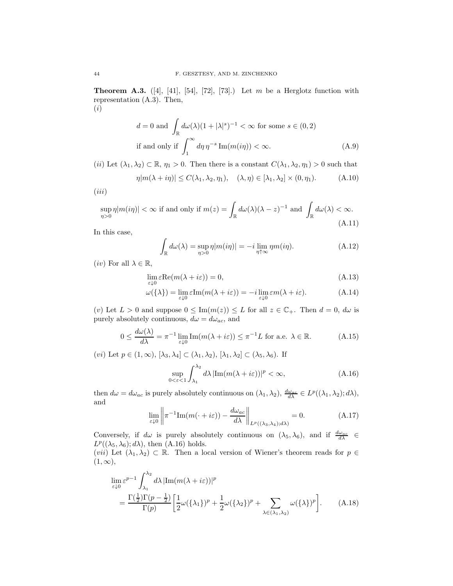**Theorem A.3.** ([4], [41], [54], [72], [73].) Let m be a Herglotz function with representation (A.3). Then, (i)

$$
d = 0 \text{ and } \int_{\mathbb{R}} d\omega(\lambda)(1 + |\lambda|^s)^{-1} < \infty \text{ for some } s \in (0, 2)
$$
  
if and only if 
$$
\int_{1}^{\infty} d\eta \, \eta^{-s} \operatorname{Im}(m(i\eta)) < \infty.
$$
 (A.9)

(ii) Let  $(\lambda_1, \lambda_2) \subset \mathbb{R}$ ,  $\eta_1 > 0$ . Then there is a constant  $C(\lambda_1, \lambda_2, \eta_1) > 0$  such that

$$
\eta |m(\lambda + i\eta)| \le C(\lambda_1, \lambda_2, \eta_1), \quad (\lambda, \eta) \in [\lambda_1, \lambda_2] \times (0, \eta_1). \tag{A.10}
$$

 $(iii)$ 

$$
\sup_{\eta>0} \eta |m(i\eta)| < \infty \text{ if and only if } m(z) = \int_{\mathbb{R}} d\omega(\lambda)(\lambda - z)^{-1} \text{ and } \int_{\mathbb{R}} d\omega(\lambda) < \infty.
$$
\n(A.11)

In this case,

$$
\int_{\mathbb{R}} d\omega(\lambda) = \sup_{\eta>0} \eta |m(i\eta)| = -i \lim_{\eta \uparrow \infty} \eta m(i\eta).
$$
 (A.12)

(*iv*) For all  $\lambda \in \mathbb{R}$ ,

$$
\lim_{\varepsilon \downarrow 0} \varepsilon \text{Re}(m(\lambda + i\varepsilon)) = 0,\tag{A.13}
$$

$$
\omega(\{\lambda\}) = \lim_{\varepsilon \downarrow 0} \varepsilon \text{Im}(m(\lambda + i\varepsilon)) = -i \lim_{\varepsilon \downarrow 0} \varepsilon m(\lambda + i\varepsilon). \tag{A.14}
$$

(v) Let  $L > 0$  and suppose  $0 \leq \text{Im}(m(z)) \leq L$  for all  $z \in \mathbb{C}_+$ . Then  $d = 0$ ,  $d\omega$  is purely absolutely continuous,  $d\omega = d\omega_{ac}$ , and

$$
0 \le \frac{d\omega(\lambda)}{d\lambda} = \pi^{-1} \lim_{\varepsilon \downarrow 0} \text{Im}(m(\lambda + i\varepsilon)) \le \pi^{-1} L \text{ for a.e. } \lambda \in \mathbb{R}.
$$
 (A.15)

(*vi*) Let  $p \in (1, \infty)$ ,  $[\lambda_3, \lambda_4] \subset (\lambda_1, \lambda_2)$ ,  $[\lambda_1, \lambda_2] \subset (\lambda_5, \lambda_6)$ . If

$$
\sup_{0 < \varepsilon < 1} \int_{\lambda_1}^{\lambda_2} d\lambda \, |\text{Im}(m(\lambda + i\varepsilon))|^p < \infty,\tag{A.16}
$$

then  $d\omega = d\omega_{ac}$  is purely absolutely continuous on  $(\lambda_1, \lambda_2)$ ,  $\frac{d\omega_{ac}}{d\lambda} \in L^p((\lambda_1, \lambda_2); d\lambda)$ , and

$$
\lim_{\varepsilon \downarrow 0} \left\| \pi^{-1} \text{Im}(m(\cdot + i\varepsilon)) - \frac{d\omega_{ac}}{d\lambda} \right\|_{L^p((\lambda_3, \lambda_4); d\lambda)} = 0. \tag{A.17}
$$

Conversely, if  $d\omega$  is purely absolutely continuous on  $(\lambda_5, \lambda_6)$ , and if  $\frac{d\omega_{ac}}{d\lambda} \in$  $L^p((\lambda_5, \lambda_6); d\lambda)$ , then (A.16) holds.

(*vii*) Let  $(\lambda_1, \lambda_2) \subset \mathbb{R}$ . Then a local version of Wiener's theorem reads for  $p \in$  $(1, \infty),$ 

$$
\lim_{\varepsilon \downarrow 0} \varepsilon^{p-1} \int_{\lambda_1}^{\lambda_2} d\lambda \, |\text{Im}(m(\lambda + i\varepsilon))|^p
$$
\n
$$
= \frac{\Gamma(\frac{1}{2}) \Gamma(p - \frac{1}{2})}{\Gamma(p)} \left[ \frac{1}{2} \omega(\{\lambda_1\})^p + \frac{1}{2} \omega(\{\lambda_2\})^p + \sum_{\lambda \in (\lambda_1, \lambda_2)} \omega(\{\lambda\})^p \right]. \tag{A.18}
$$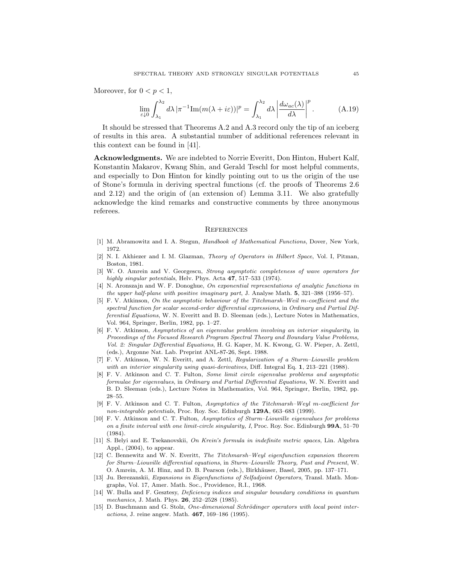Moreover, for  $0 < p < 1$ ,

$$
\lim_{\varepsilon \downarrow 0} \int_{\lambda_1}^{\lambda_2} d\lambda \, |\pi^{-1} \text{Im}(m(\lambda + i\varepsilon))|^p = \int_{\lambda_1}^{\lambda_2} d\lambda \, \left| \frac{d\omega_{ac}(\lambda)}{d\lambda} \right|^p. \tag{A.19}
$$

It should be stressed that Theorems A.2 and A.3 record only the tip of an iceberg of results in this area. A substantial number of additional references relevant in this context can be found in [41].

Acknowledgments. We are indebted to Norrie Everitt, Don Hinton, Hubert Kalf, Konstantin Makarov, Kwang Shin, and Gerald Teschl for most helpful comments, and especially to Don Hinton for kindly pointing out to us the origin of the use of Stone's formula in deriving spectral functions (cf. the proofs of Theorems 2.6 and 2.12) and the origin of (an extension of) Lemma 3.11. We also gratefully acknowledge the kind remarks and constructive comments by three anonymous referees.

#### **REFERENCES**

- [1] M. Abramowitz and I. A. Stegun, Handbook of Mathematical Functions, Dover, New York, 1972.
- [2] N. I. Akhiezer and I. M. Glazman, Theory of Operators in Hilbert Space, Vol. I, Pitman, Boston, 1981.
- [3] W. O. Amrein and V. Georgescu, Strong asymptotic completeness of wave operators for highly singular potentials, Helv. Phys. Acta 47, 517–533 (1974).
- [4] N. Aronszajn and W. F. Donoghue, On exponential representations of analytic functions in the upper half-plane with positive imaginary part, J. Analyse Math. 5, 321–388 (1956–57).
- [5] F. V. Atkinson, On the asymptotic behaviour of the Titchmarsh–Weil m-coefficient and the spectral function for scalar second-order differential expressions, in Ordinary and Partial Differential Equations, W. N. Everitt and B. D. Sleeman (eds.), Lecture Notes in Mathematics, Vol. 964, Springer, Berlin, 1982, pp. 1–27.
- [6] F. V. Atkinson, Asymptotics of an eigenvalue problem involving an interior singularity, in Proceedings of the Focused Research Program Spectral Theory and Boundary Value Problems, Vol. 2: Singular Differential Equations, H. G. Kaper, M. K. Kwong, G. W. Pieper, A. Zettl, (eds.), Argonne Nat. Lab. Preprint ANL-87-26, Sept. 1988.
- [7] F. V. Atkinson, W. N. Everitt, and A. Zettl, Regularization of a Sturm–Liouville problem with an interior singularity using quasi-derivatives, Diff. Integral Eq. 1, 213–221 (1988).
- [8] F. V. Atkinson and C. T. Fulton, Some limit circle eigenvalue problems and asymptotic formulae for eigenvalues, in Ordinary and Partial Differential Equations, W. N. Everitt and B. D. Sleeman (eds.), Lecture Notes in Mathematics, Vol. 964, Springer, Berlin, 1982, pp. 28–55.
- [9] F. V. Atkinson and C. T. Fulton, Asymptotics of the Titchmarsh–Weyl m-coefficient for non-integrable potentials, Proc. Roy. Soc. Edinburgh 129A, 663–683 (1999).
- [10] F. V. Atkinson and C. T. Fulton, Asymptotics of Sturm–Liouville eigenvalues for problems on a finite interval with one limit-circle singularity, I, Proc. Roy. Soc. Edinburgh  $99A$ ,  $51-70$ (1984).
- [11] S. Belyi and E. Tsekanovskii, On Krein's formula in indefinite metric spaces, Lin. Algebra Appl., (2004), to appear.
- [12] C. Bennewitz and W. N. Everitt, The Titchmarsh–Weyl eigenfunction expansion theorem for Sturm–Liouville differential equations, in Sturm–Liouville Theory, Past and Present, W. O. Amrein, A. M. Hinz, and D. B. Pearson (eds.), Birkhäuser, Basel, 2005, pp. 137–171.
- [13] Ju. Berezanskii, Expansions in Eigenfunctions of Selfadjoint Operators, Transl. Math. Mongraphs, Vol. 17, Amer. Math. Soc., Providence, R.I., 1968.
- [14] W. Bulla and F. Gesztesy, Deficiency indices and singular boundary conditions in quantum mechanics, J. Math. Phys. **26**, 252-2528 (1985).
- [15] D. Buschmann and G. Stolz, One-dimensional Schrödinger operators with local point interactions, J. reine angew. Math. 467, 169–186 (1995).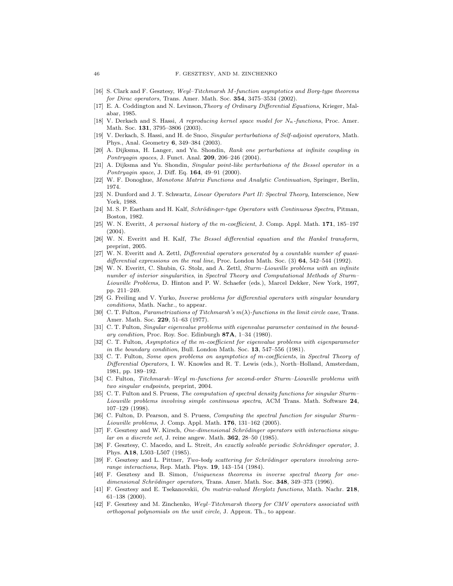- [16] S. Clark and F. Gesztesy, Weyl–Titchmarsh M-function asymptotics and Borg-type theorems for Dirac operators, Trans. Amer. Math. Soc. 354, 3475–3534 (2002).
- [17] E. A. Coddington and N. Levinson,Theory of Ordinary Differential Equations, Krieger, Malabar, 1985.
- V. Derkach and S. Hassi, A reproducing kernel space model for  $N_{\kappa}$ -functions, Proc. Amer. Math. Soc. 131, 3795–3806 (2003).
- [19] V. Derkach, S. Hassi, and H. de Snoo, Singular perturbations of Self-adjoint operators, Math. Phys., Anal. Geometry 6, 349–384 (2003).
- [20] A. Dijksma, H. Langer, and Yu. Shondin, Rank one perturbations at infinite coupling in Pontryagin spaces, J. Funct. Anal. 209, 206–246 (2004).
- [21] A. Dijksma and Yu. Shondin, Singular point-like perturbations of the Bessel operator in a Pontryagin space, J. Diff. Eq. 164, 49-91 (2000).
- [22] W. F. Donoghue, Monotone Matrix Functions and Analytic Continuation, Springer, Berlin, 1974.
- [23] N. Dunford and J. T. Schwartz, Linear Operators Part II: Spectral Theory, Interscience, New York, 1988.
- [24] M. S. P. Eastham and H. Kalf, Schrödinger-type Operators with Continuous Spectra, Pitman, Boston, 1982.
- [25] W. N. Everitt, A personal history of the m-coefficient, J. Comp. Appl. Math. 171, 185–197  $(2004)$ .
- [26] W. N. Everitt and H. Kalf, The Bessel differential equation and the Hankel transform, preprint, 2005.
- [27] W. N. Everitt and A. Zettl, Differential operators generated by a countable number of quasidifferential expressions on the real line, Proc. London Math. Soc.  $(3)$  64, 542–544 (1992).
- [28] W. N. Everitt, C. Shubin, G. Stolz, and A. Zettl, Sturm–Liouville problems with an infinite number of interior singularities, in Spectral Theory and Computational Methods of Sturm– Liouville Problems, D. Hinton and P. W. Schaefer (eds.), Marcel Dekker, New York, 1997, pp. 211–249.
- [29] G. Freiling and V. Yurko, Inverse problems for differential operators with singular boundary conditions, Math. Nachr., to appear.
- [30] C. T. Fulton, *Parametrizations of Titchmarsh's*  $m(\lambda)$ -functions in the limit circle case, Trans. Amer. Math. Soc. 229, 51-63 (1977).
- [31] C. T. Fulton, Singular eigenvalue problems with eigenvalue parameter contained in the boundary condition, Proc. Roy. Soc. Edinburgh 87A, 1–34 (1980).
- [32] C. T. Fulton, Asymptotics of the m-coefficient for eigenvalue problems with eigenparameter in the boundary condition, Bull. London Math. Soc. 13, 547–556 (1981).
- [33] C. T. Fulton, Some open problems on asymptotics of m-coefficients, in Spectral Theory of Differential Operators, I. W. Knowles and R. T. Lewis (eds.), North–Holland, Amsterdam, 1981, pp. 189–192.
- [34] C. Fulton, Titchmarsh–Weyl m-functions for second-order Sturm–Liouville problems with two singular endpoints, preprint, 2004.
- [35] C. T. Fulton and S. Pruess, The computation of spectral density functions for singular Sturm– Liouville problems involving simple continuous spectra, ACM Trans. Math. Software 24, 107–129 (1998).
- [36] C. Fulton, D. Pearson, and S. Pruess, Computing the spectral function for singular Sturm– Liouville problems, J. Comp. Appl. Math. 176, 131–162 (2005).
- [37] F. Gesztesy and W. Kirsch, One-dimensional Schrödinger operators with interactions singu $lar\; on\; a\; discrete\; set.$  J. reine angew. Math.  $362$ ,  $28-50$  (1985).
- [38] F. Gesztesy, C. Macedo, and L. Streit, An exactly solvable periodic Schrödinger operator, J. Phys. A18, L503–L507 (1985).
- [39] F. Gesztesy and L. Pittner, Two-body scattering for Schrödinger operators involving zerorange interactions, Rep. Math. Phys. 19, 143–154 (1984).
- [40] F. Gesztesy and B. Simon, Uniqueness theorems in inverse spectral theory for onedimensional Schrödinger operators, Trans. Amer. Math. Soc. 348, 349–373 (1996).
- [41] F. Gesztesy and E. Tsekanovskii, On matrix-valued Herglotz functions, Math. Nachr. 218, 61–138 (2000).
- [42] F. Gesztesy and M. Zinchenko, Weyl–Titchmarsh theory for CMV operators associated with orthogonal polynomials on the unit circle, J. Approx. Th., to appear.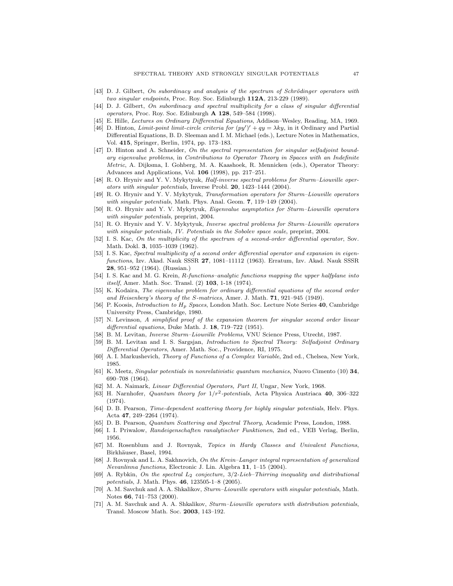- [43] D. J. Gilbert, On subordinacy and analysis of the spectrum of Schrödinger operators with two singular endpoints, Proc. Roy. Soc. Edinburgh 112A, 213-229 (1989).
- [44] D. J. Gilbert, On subordinacy and spectral multiplicity for a class of singular differential operators, Proc. Roy. Soc. Edinburgh A 128, 549–584 (1998).
- [45] E. Hille, Lectures on Ordinary Differential Equations, Addison–Wesley, Reading, MA, 1969.
- [46] D. Hinton, *Limit-point limit-circle criteria for*  $(py')' + qy = \lambda ky$ , in it Ordinary and Partial Differential Equations, B. D. Sleeman and I. M. Michael (eds.), Lecture Notes in Mathematics, Vol. 415, Springer, Berlin, 1974, pp. 173–183.
- [47] D. Hinton and A. Schneider, On the spectral representation for singular selfadjoint boundary eigenvalue problems, in Contributions to Operator Theory in Spaces with an Indefinite Metric, A. Dijksma, I. Gohberg, M. A. Kaashoek, R. Mennicken (eds.), Operator Theory: Advances and Applications, Vol. 106 (1998), pp. 217–251.
- [48] R. O. Hryniv and Y. V. Mykytyuk, Half-inverse spectral problems for Sturm–Liouville operators with singular potentials, Inverse Probl. 20, 1423–1444 (2004).
- [49] R. O. Hryniv and Y. V. Mykytyuk, Transformation operators for Sturm–Liouville operators with singular potentials, Math. Phys. Anal. Geom. 7, 119–149 (2004).
- [50] R. O. Hryniv and Y. V. Mykytyuk, Eigenvalue asymptotics for Sturm–Liouville operators with singular potentials, preprint, 2004.
- [51] R. O. Hryniv and Y. V. Mykytyuk, Inverse spectral problems for Sturm–Liouville operators with singular potentials, IV. Potentials in the Sobolev space scale, preprint, 2004.
- [52] I. S. Kac, On the multiplicity of the spectrum of a second-order differential operator, Sov. Math. Dokl. 3, 1035–1039 (1962).
- [53] I. S. Kac, Spectral multiplicity of a second order differential operator and expansion in eigenfunctions, Izv. Akad. Nauk SSSR 27, 1081–11112 (1963). Erratum, Izv. Akad. Nauk SSSR 28, 951–952 (1964). (Russian.)
- [54] I. S. Kac and M. G. Krein, R-functions–analytic functions mapping the upper halfplane into itself, Amer. Math. Soc. Transl. (2) 103, 1-18 (1974).
- [55] K. Kodaira, The eigenvalue problem for ordinary differential equations of the second order and Heisenberg's theory of the S-matrices, Amer. J. Math. 71, 921–945 (1949).
- [56] P. Koosis, *Introduction to H<sub>p</sub> Spaces*, London Math. Soc. Lecture Note Series 40, Cambridge University Press, Cambridge, 1980.
- [57] N. Levinson, A simplified proof of the expansion theorem for singular second order linear differential equations, Duke Math. J. 18, 719–722 (1951).
- [58] B. M. Levitan, Inverse Sturm–Liouville Problems, VNU Science Press, Utrecht, 1987.
- [59] B. M. Levitan and I. S. Sargsjan, Introduction to Spectral Theory: Selfadjoint Ordinary Differential Operators, Amer. Math. Soc., Providence, RI, 1975.
- [60] A. I. Markushevich, Theory of Functions of a Complex Variable, 2nd ed., Chelsea, New York, 1985.
- [61] K. Meetz, Singular potentials in nonrelativistic quantum mechanics, Nuovo Cimento (10) 34, 690–708 (1964).
- [62] M. A. Naimark, Linear Differential Operators, Part II, Ungar, New York, 1968.
- $[63]$  H. Narnhofer, *Quantum theory for*  $1/r^2$ -potentials, Acta Physica Austriaca 40, 306-322 (1974).
- [64] D. B. Pearson, Time-dependent scattering theory for highly singular potentials, Helv. Phys. Acta 47, 249–2264 (1974).
- [65] D. B. Pearson, Quantum Scattering and Spectral Theory, Academic Press, London, 1988.
- [66] I. I. Priwalow, Randeigenschaften ranalytischer Funktionen, 2nd ed., VEB Verlag, Berlin, 1956.
- [67] M. Rosenblum and J. Rovnyak, Topics in Hardy Classes and Univalent Functions, Birkhäuser, Basel, 1994.
- [68] J. Rovnyak and L. A. Sakhnovich, On the Krein–Langer integral representation of generalized Nevanlinna functions, Electronic J. Lin. Algebra 11, 1–15 (2004).
- [69] A. Rybkin, On the spectral  $L_2$  conjecture,  $3/2$ -Lieb–Thirring inequality and distributional potentials, J. Math. Phys. 46, 123505-1–8 (2005).
- [70] A. M. Savchuk and A. A. Shkalikov, Sturm–Liouville operators with singular potentials, Math. Notes 66, 741–753 (2000).
- [71] A. M. Savchuk and A. A. Shkalikov, Sturm–Liouville operators with distribution potentials, Transl. Moscow Math. Soc. 2003, 143–192.